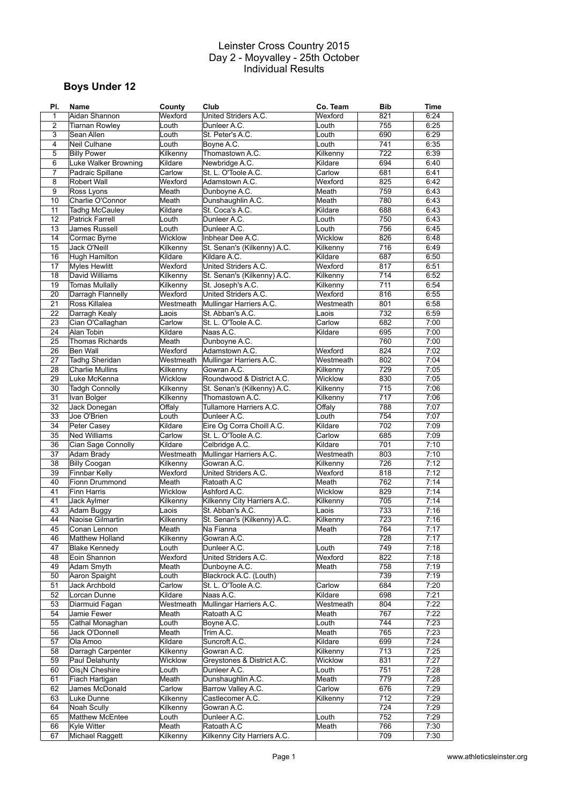# **Boys Under 12**

| PI.          | <b>Name</b>                 | County         | Club                        | Co. Team  | <b>Bib</b> | Time |
|--------------|-----------------------------|----------------|-----------------------------|-----------|------------|------|
| $\mathbf{1}$ | Aidan Shannon               | Wexford        | United Striders A.C.        | Wexford   | 821        | 6:24 |
| 2            | Tiarnan Rowley              | Louth          | Dunleer A.C.                | Louth     | 755        | 6:25 |
| 3            | Sean Allen                  | Louth          | St. Peter's A.C.            | Louth     | 690        | 6:29 |
| 4            | <b>Neil Culhane</b>         | Louth          | Boyne A.C.                  | Louth     | 741        | 6:35 |
| 5            | <b>Billy Power</b>          | Kilkenny       | Thomastown A.C.             | Kilkenny  | 722        | 6:39 |
| 6            | Luke Walker Browning        | Kildare        | Newbridge A.C.              | Kildare   | 694        | 6:40 |
| 7            | Padraic Spillane            | Carlow         | St. L. O'Toole A.C.         | Carlow    | 681        | 6:41 |
| 8            | <b>Robert Wall</b>          | Wexford        | Adamstown A.C.              | Wexford   | 825        | 6:42 |
|              |                             |                |                             |           |            |      |
| 9            | Ross Lyons                  | Meath          | Dunboyne A.C.               | Meath     | 759        | 6:43 |
| 10           | Charlie O'Connor            | Meath          | Dunshaughlin A.C.           | Meath     | 780        | 6:43 |
| 11           | <b>Tadhg McCauley</b>       | Kildare        | St. Coca's A.C.             | Kildare   | 688        | 6:43 |
| 12           | Patrick Farrell             | Louth          | Dunleer A.C.                | Louth     | 750        | 6:43 |
| 13           | James Russell               | Louth          | Dunleer A.C.                | Louth     | 756        | 6:45 |
| 14           | Cormac Byrne                | Wicklow        | Inbhear Dee A.C.            | Wicklow   | 826        | 6:48 |
| 15           | Jack O'Neill                | Kilkenny       | St. Senan's (Kilkenny) A.C. | Kilkenny  | 716        | 6:49 |
| 16           | Hugh Hamilton               | Kildare        | Kildare A.C.                | Kildare   | 687        | 6:50 |
| 17           | <b>Myles Hewlitt</b>        | Wexford        | United Striders A.C.        | Wexford   | 817        | 6:51 |
| 18           | David Williams              | Kilkenny       | St. Senan's (Kilkenny) A.C. | Kilkenny  | 714        | 6:52 |
| 19           | <b>Tomas Mullally</b>       | Kilkenny       | St. Joseph's A.C.           | Kilkenny  | 711        | 6:54 |
| 20           | Darragh Flannelly           | Wexford        | United Striders A.C.        | Wexford   | 816        | 6:55 |
| 21           | Ross Killalea               | Westmeath      | Mullingar Harriers A.C.     | Westmeath | 801        | 6:58 |
| 22           |                             | Laois          |                             |           | 732        |      |
|              | Darragh Kealy               |                | St. Abban's A.C.            | Laois     |            | 6:59 |
| 23           | Cian O'Callaghan            | Carlow         | St. L. O'Toole A.C.         | Carlow    | 682        | 7:00 |
| 24           | Alan Tobin                  | Kildare        | Naas A.C.                   | Kildare   | 695        | 7:00 |
| 25           | <b>Thomas Richards</b>      | Meath          | Dunboyne A.C.               |           | 760        | 7:00 |
| 26           | <b>Ben Wall</b>             | Wexford        | Adamstown A.C.              | Wexford   | 824        | 7:02 |
| 27           | Tadhg Sheridan              | Westmeath      | Mullingar Harriers A.C.     | Westmeath | 802        | 7:04 |
| 28           | <b>Charlie Mullins</b>      | Kilkenny       | Gowran A.C.                 | Kilkenny  | 729        | 7:05 |
| 29           | Luke McKenna                | Wicklow        | Roundwood & District A.C.   | Wicklow   | 830        | 7:05 |
| 30           | <b>Tadgh Connolly</b>       | Kilkenny       | St. Senan's (Kilkenny) A.C. | Kilkenny  | 715        | 7:06 |
| 31           | Ivan Bolger                 | Kilkenny       | Thomastown A.C.             | Kilkenny  | 717        | 7:06 |
| 32           | Jack Donegan                | Offaly         | Tullamore Harriers A.C.     | Offaly    | 788        | 7:07 |
| 33           | Joe O'Brien                 | Louth          | Dunleer A.C.                | Louth     | 754        | 7:07 |
| 34           | <b>Peter Casev</b>          | Kildare        | Eire Og Corra Choill A.C.   | Kildare   | 702        | 7:09 |
|              |                             |                | St. L. O'Toole A.C.         |           | 685        |      |
| 35           | <b>Ned Williams</b>         | Carlow         |                             | Carlow    |            | 7:09 |
| 36           | Cian Sage Connolly          | Kildare        | Celbridge A.C.              | Kildare   | 701        | 7:10 |
| 37           | Adam Brady                  | Westmeath      | Mullingar Harriers A.C.     | Westmeath | 803        | 7:10 |
| 38           | <b>Billy Coogan</b>         | Kilkenny       | Gowran A.C.                 | Kilkenny  | 726        | 7:12 |
| 39           | Finnbar Kelly               | Wexford        | United Striders A.C.        | Wexford   | 818        | 7:12 |
| 40           | Fionn Drummond              | Meath          | Ratoath A.C                 | Meath     | 762        | 7:14 |
| 41           | <b>Finn Harris</b>          | <b>Wicklow</b> | Ashford A.C.                | Wicklow   | 829        | 7:14 |
| 41           | Jack Aylmer                 | Kilkenny       | Kilkenny City Harriers A.C. | Kilkenny  | 705        | 7:14 |
| 43           | Adam Buggy                  | Laois          | St. Abban's A.C.            | Laois     | 733        | 7:16 |
| 44           | Naoise Gilmartin            | Kilkenny       | St. Senan's (Kilkenny) A.C. | Kilkenny  | 723        | 7:16 |
| 45           | Conan Lennon                | Meath          | Na Fianna                   | Meath     | 764        | 7:17 |
| 46           | Matthew Holland             | Kilkenny       | Gowran A.C.                 |           | 728        | 7:17 |
| 47           | <b>Blake Kennedy</b>        | Louth          | Dunleer A.C.                | Louth     | 749        | 7:18 |
| 48           |                             | Wexford        | United Striders A.C.        | Wexford   | 822        | 7:18 |
|              | Eoin Shannon                |                |                             |           |            |      |
| 49           | Adam Smyth                  | Meath          | Dunboyne A.C.               | Meath     | 758        | 7:19 |
| 50           | Aaron Spaight               | Louth          | Blackrock A.C. (Louth)      |           | 739        | 7:19 |
| 51           | Jack Archbold               | Carlow         | St. L. O'Toole A.C.         | Carlow    | 684        | 7:20 |
| 52           | Lorcan Dunne                | Kildare        | Naas A.C.                   | Kildare   | 698        | 7:21 |
| 53           | Diarmuid Fagan              | Westmeath      | Mullingar Harriers A.C.     | Westmeath | 804        | 7:22 |
| 54           | Jamie Fewer                 | Meath          | Ratoath A.C                 | Meath     | 767        | 7:22 |
| 55           | Cathal Monaghan             | Louth          | Boyne A.C.                  | Louth     | 744        | 7:23 |
| 56           | Jack O'Donnell              | Meath          | Trim A.C.                   | Meath     | 765        | 7:23 |
| 57           | Ola Amoo                    | Kildare        | Suncroft A.C.               | Kildare   | 699        | 7:24 |
| 58           | Darragh Carpenter           | Kilkenny       | Gowran A.C.                 | Kilkenny  | 713        | 7:25 |
| 59           | Paul Delahunty              | Wicklow        | Greystones & District A.C.  | Wicklow   | 831        | 7:27 |
| 60           | Ois <sub>i</sub> N Cheshire | Louth          | Dunleer A.C.                | Louth     | 751        | 7:28 |
| 61           | Fiach Hartigan              | Meath          | Dunshaughlin A.C.           | Meath     | 779        | 7:28 |
|              |                             |                |                             |           |            |      |
| 62           | James McDonald              | Carlow         | Barrow Valley A.C.          | Carlow    | 676        | 7:29 |
| 63           | Luke Dunne                  | Kilkenny       | Castlecomer A.C.            | Kilkenny  | 712        | 7:29 |
| 64           | <b>Noah Scully</b>          | Kilkenny       | Gowran A.C.                 |           | 724        | 7:29 |
| 65           | Matthew McEntee             | Louth          | Dunleer A.C.                | Louth     | 752        | 7:29 |
| 66           | Kyle Witter                 | Meath          | Ratoath A.C                 | Meath     | 766        | 7:30 |
| 67           | Michael Raggett             | Kilkenny       | Kilkenny City Harriers A.C. |           | 709        | 7:30 |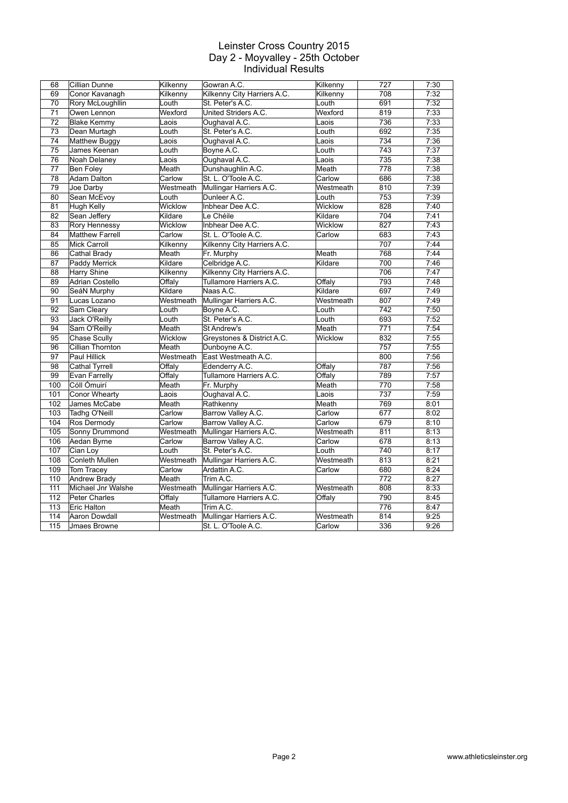| 68                | Cillian Dunne          | Kilkenny  | Gowran A.C.                 | Kilkenny  | 727 | 7:30 |
|-------------------|------------------------|-----------|-----------------------------|-----------|-----|------|
| 69                | Conor Kavanagh         | Kilkenny  | Kilkenny City Harriers A.C. | Kilkenny  | 708 | 7:32 |
| 70                | Rory McLoughllin       | Louth     | St. Peter's A.C.            | Louth     | 691 | 7:32 |
| 71                | Owen Lennon            | Wexford   | United Striders A.C.        | Wexford   | 819 | 7:33 |
| 72                | <b>Blake Kemmv</b>     | Laois     | Oughaval A.C.               | Laois     | 736 | 7:33 |
| 73                | Dean Murtagh           | Louth     | St. Peter's A.C.            | Louth     | 692 | 7:35 |
| 74                | Matthew Buggy          | Laois     | Oughaval A.C.               | Laois     | 734 | 7:36 |
| $\overline{75}$   | James Keenan           | Louth     | Boyne A.C.                  | Louth     | 743 | 7:37 |
| $\overline{76}$   | Noah Delaney           | Laois     | Oughaval A.C.               | Laois     | 735 | 7:38 |
| $\overline{77}$   | <b>Ben Folev</b>       | Meath     | Dunshaughlin A.C.           | Meath     | 778 | 7:38 |
| 78                | Adam Dalton            | Carlow    | St. L. O'Toole A.C.         | Carlow    | 686 | 7:38 |
| 79                | Joe Darby              | Westmeath | Mullingar Harriers A.C.     | Westmeath | 810 | 7:39 |
| 80                | Sean McEvoy            | Louth     | Dunleer A.C.                | Louth     | 753 | 7:39 |
| 81                | <b>Hugh Kelly</b>      | Wicklow   | Inbhear Dee A.C.            | Wicklow   | 828 | 7:40 |
| 82                | Sean Jeffery           | Kildare   | Le Chéile                   | Kildare   | 704 | 7:41 |
| 83                | Rory Hennessy          | Wicklow   | Inbhear Dee A.C.            | Wicklow   | 827 | 7:43 |
| 84                | <b>Matthew Farrell</b> | Carlow    | St. L. O'Toole A.C.         | Carlow    | 683 | 7:43 |
| 85                | <b>Mick Carroll</b>    | Kilkenny  | Kilkenny City Harriers A.C. |           | 707 | 7:44 |
| 86                | Cathal Brady           | Meath     | Fr. Murphy                  | Meath     | 768 | 7:44 |
| $\overline{87}$   | Paddy Merrick          | Kildare   | Celbridge A.C.              | Kildare   | 700 | 7:46 |
| 88                | Harry Shine            | Kilkenny  | Kilkenny City Harriers A.C. |           | 706 | 7:47 |
| 89                | <b>Adrian Costello</b> | Offaly    | Tullamore Harriers A.C.     | Offaly    | 793 | 7:48 |
| 90                | SeáN Murphy            | Kildare   | Naas A.C.                   | Kildare   | 697 | 7:49 |
| 91                | Lucas Lozano           | Westmeath | Mullingar Harriers A.C.     | Westmeath | 807 | 7:49 |
| 92                | Sam Cleary             | Louth     | Boyne A.C.                  | Louth     | 742 | 7:50 |
| 93                | Jack O'Reilly          | Louth     | St. Peter's A.C.            | Louth     | 693 | 7:52 |
| 94                | Sam O'Reilly           | Meath     | St Andrew's                 | Meath     | 771 | 7:54 |
| 95                | <b>Chase Scully</b>    | Wicklow   | Greystones & District A.C.  | Wicklow   | 832 | 7:55 |
| 96                | Cillian Thornton       | Meath     | Dunboyne A.C.               |           | 757 | 7:55 |
| 97                | <b>Paul Hillick</b>    | Westmeath | East Westmeath A.C.         |           | 800 | 7:56 |
| 98                | Cathal Tyrrell         | Offaly    | Edenderry A.C.              | Offaly    | 787 | 7:56 |
| 99                | Evan Farrelly          | Offaly    | Tullamore Harriers A.C.     | Offaly    | 789 | 7:57 |
| 100               | Cóll Ómuirí            | Meath     | Fr. Murphy                  | Meath     | 770 | 7:58 |
| 101               | <b>Conor Whearty</b>   | Laois     | Oughaval A.C.               | Laois     | 737 | 7:59 |
| 102               | James McCabe           | Meath     | Rathkenny                   | Meath     | 769 | 8:01 |
| 103               | Tadhg O'Neill          | Carlow    | Barrow Valley A.C.          | Carlow    | 677 | 8:02 |
| 104               | Ros Dermody            | Carlow    | Barrow Valley A.C.          | Carlow    | 679 | 8:10 |
| 105               | Sonny Drummond         | Westmeath | Mullingar Harriers A.C.     | Westmeath | 811 | 8:13 |
| 106               | Aedan Byrne            | Carlow    | Barrow Valley A.C.          | Carlow    | 678 | 8:13 |
| 107               | Cian Loy               | Louth     | St. Peter's A.C.            | Louth     | 740 | 8:17 |
| 108               | Conleth Mullen         | Westmeath | Mullingar Harriers A.C.     | Westmeath | 813 | 8:21 |
| 109               | <b>Tom Tracey</b>      | Carlow    | Ardattin A.C.               | Carlow    | 680 | 8:24 |
| 110               | <b>Andrew Brady</b>    | Meath     | Trim A.C.                   |           | 772 | 8:27 |
| 111               | Michael Jnr Walshe     | Westmeath | Mullingar Harriers A.C.     | Westmeath | 808 | 8:33 |
| 112               | <b>Peter Charles</b>   | Offaly    | Tullamore Harriers A.C.     | Offaly    | 790 | 8:45 |
| 113               | Eric Halton            | Meath     | Trim A.C.                   |           | 776 | 8:47 |
| 114               | <b>Aaron Dowdall</b>   | Westmeath | Mullingar Harriers A.C.     | Westmeath | 814 | 9:25 |
| $\frac{115}{115}$ | Jmaes Browne           |           | St. L. O'Toole A.C.         | Carlow    | 336 | 9:26 |
|                   |                        |           |                             |           |     |      |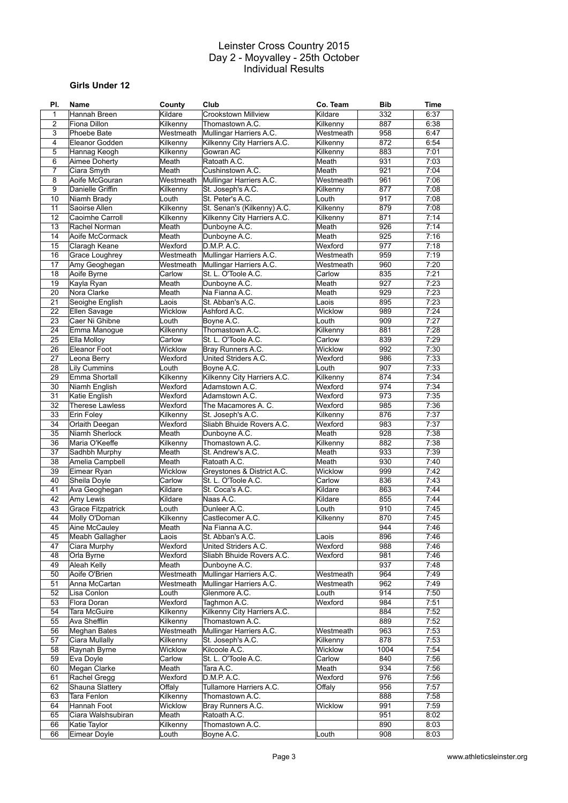# **Girls Under 12**

| PI.             | <b>Name</b>              | County            | Club                                                       | Co. Team  | <b>Bib</b> | Time |
|-----------------|--------------------------|-------------------|------------------------------------------------------------|-----------|------------|------|
| 1               | Hannah Breen             | Kildare           | <b>Crookstown Millview</b>                                 | Kildare   | 332        | 6:37 |
| $\overline{c}$  | Fiona Dillon             | Kilkenny          | Thomastown A.C.                                            | Kilkenny  | 887        | 6:38 |
| 3               | Phoebe Bate              | Westmeath         | Mullingar Harriers A.C.                                    | Westmeath | 958        | 6:47 |
| 4               | Eleanor Godden           | Kilkenny          | Kilkenny City Harriers A.C.                                | Kilkenny  | 872        | 6:54 |
| 5               | Hannag Keogh             | Kilkenny          | Gowran AC                                                  | Kilkenny  | 883        | 7:01 |
| 6               | Aimee Doherty            | Meath             | Ratoath A.C.                                               | Meath     | 931        | 7:03 |
| 7               | Ciara Smyth              | Meath             | Cushinstown A.C.                                           | Meath     | 921        | 7:04 |
| 8               | Aoife McGouran           | Westmeath         | Mullingar Harriers A.C.                                    | Westmeath | 961        | 7:06 |
| 9               | Danielle Griffin         | Kilkenny          | St. Joseph's A.C.                                          | Kilkenny  | 877        | 7:08 |
| 10              | Niamh Brady              |                   | St. Peter's A.C.                                           | Louth     | 917        | 7:08 |
| 11              |                          | Louth<br>Kilkenny |                                                            |           | 879        | 7:08 |
|                 | Saoirse Allen            |                   | St. Senan's (Kilkenny) A.C.<br>Kilkenny City Harriers A.C. | Kilkenny  | 871        |      |
| 12              | Caoimhe Carroll          | Kilkenny          |                                                            | Kilkenny  |            | 7:14 |
| 13              | Rachel Norman            | Meath             | Dunboyne A.C.                                              | Meath     | 926        | 7:14 |
| 14              | Aoife McCormack          | Meath             | Dunboyne A.C.                                              | Meath     | 925        | 7:16 |
| 15              | Claragh Keane            | Wexford           | D.M.P. A.C.                                                | Wexford   | 977        | 7:18 |
| 16              | Grace Loughrey           | Westmeath         | Mullingar Harriers A.C.                                    | Westmeath | 959        | 7:19 |
| 17              | Amy Geoghegan            | Westmeath         | Mullingar Harriers A.C.                                    | Westmeath | 960        | 7:20 |
| 18              | Aoife Byrne              | Carlow            | St. L. O'Toole A.C.                                        | Carlow    | 835        | 7:21 |
| 19              | Kayla Ryan               | Meath             | Dunboyne A.C.                                              | Meath     | 927        | 7:23 |
| 20              | Nora Clarke              | Meath             | Na Fianna A.C.                                             | Meath     | 929        | 7:23 |
| 21              | Seoighe English          | Laois             | St. Abban's A.C.                                           | Laois     | 895        | 7:23 |
| 22              | Ellen Savage             | Wicklow           | Ashford A.C.                                               | Wicklow   | 989        | 7:24 |
| 23              | Caer Ni Ghibne           | Louth             | Boyne A.C.                                                 | Louth     | 909        | 7:27 |
| 24              | Emma Manogue             | Kilkenny          | Thomastown A.C.                                            | Kilkenny  | 881        | 7:28 |
| 25              | Ella Molloy              | Carlow            | St. L. O'Toole A.C.                                        | Carlow    | 839        | 7:29 |
| 26              | <b>Eleanor Foot</b>      | Wicklow           | Bray Runners A.C.                                          | Wicklow   | 992        | 7:30 |
| 27              | Leona Berry              | Wexford           | United Striders A.C.                                       | Wexford   | 986        | 7:33 |
| 28              | Lily Cummins             | Louth             | Boyne A.C.                                                 | Louth     | 907        | 7:33 |
| 29              | Emma Shortall            | Kilkenny          | Kilkenny City Harriers A.C.                                | Kilkenny  | 874        | 7:34 |
| 30              | Niamh English            | Wexford           | Adamstown A.C.                                             | Wexford   | 974        | 7:34 |
| 31              | Katie English            | Wexford           | Adamstown A.C.                                             | Wexford   | 973        | 7:35 |
| 32              | <b>Therese Lawless</b>   | Wexford           | The Macamores A. C.                                        | Wexford   | 985        | 7:36 |
| 33              | Erin Foley               | Kilkenny          | St. Joseph's A.C.                                          | Kilkenny  | 876        | 7:37 |
| 34              | Orlaith Deegan           | Wexford           | Sliabh Bhuide Rovers A.C.                                  | Wexford   | 983        | 7:37 |
|                 |                          | Meath             |                                                            |           |            |      |
| 35              | Niamh Sherlock           |                   | Dunboyne A.C.                                              | Meath     | 928        | 7:38 |
| 36              | Maria O'Keeffe           | Kilkenny          | Thomastown A.C.                                            | Kilkenny  | 882        | 7:38 |
| 37              | Sadhbh Murphy            | Meath             | St. Andrew's A.C.                                          | Meath     | 933        | 7:39 |
| 38              | Amelia Campbell          | Meath             | Ratoath A.C.                                               | Meath     | 930        | 7:40 |
| 39              | Eimear Ryan              | Wicklow           | Greystones & District A.C.                                 | Wicklow   | 999        | 7:42 |
| 40              | Sheila Doyle             | Carlow            | St. L. O'Toole A.C.                                        | Carlow    | 836        | 7:43 |
| 41              | Ava Geoghegan            | Kildare           | St. Coca's A.C.                                            | Kildare   | 863        | 7:44 |
| 42              | Amy Lewis                | Kildare           | Naas A.C.                                                  | Kildare   | 855        | 7:44 |
| 43              | <b>Grace Fitzpatrick</b> | Louth             | Dunleer A.C.                                               | Louth     | 910        | 7:45 |
| 44              | Molly O'Dornan           | Kilkenny          | Castlecomer A.C.                                           | Kilkenny  | 870        | 7:45 |
| $\overline{45}$ | Aine McCauley            | Meath             | Na Fianna A.C.                                             |           | 944        | 7:46 |
| 45              | Meabh Gallagher          | Laois             | St. Abban's A.C.                                           | Laois     | 896        | 7:46 |
| 47              | Ciara Murphy             | Wexford           | United Striders A.C.                                       | Wexford   | 988        | 7:46 |
| 48              | Orla Byrne               | Wexford           | Sliabh Bhuide Rovers A.C.                                  | Wexford   | 981        | 7:46 |
| 49              | Aleah Kelly              | Meath             | Dunboyne A.C.                                              |           | 937        | 7:48 |
| 50              | Aoife O'Brien            | Westmeath         | Mullingar Harriers A.C.                                    | Westmeath | 964        | 7:49 |
| 51              | Anna McCartan            | Westmeath         | Mullingar Harriers A.C.                                    | Westmeath | 962        | 7:49 |
| 52              | Lisa Conlon              | Louth             | Glenmore A.C.                                              | Louth     | 914        | 7:50 |
| 53              | Flora Doran              | Wexford           | Taghmon A.C.                                               | Wexford   | 984        | 7:51 |
| 54              | <b>Tara McGuire</b>      | Kilkenny          | Kilkenny City Harriers A.C.                                |           | 884        | 7:52 |
| 55              | Ava Shefflin             | Kilkenny          | Thomastown A.C.                                            |           | 889        | 7:52 |
| 56              | <b>Meghan Bates</b>      | Westmeath         | Mullingar Harriers A.C.                                    | Westmeath | 963        | 7:53 |
| 57              | Ciara Mullally           | Kilkenny          | St. Joseph's A.C.                                          | Kilkenny  | 878        | 7:53 |
| 58              | Raynah Byrne             | Wicklow           | Kilcoole A.C.                                              | Wicklow   | 1004       | 7:54 |
| 59              | Eva Doyle                | Carlow            | St. L. O'Toole A.C.                                        | Carlow    | 840        | 7:56 |
|                 |                          |                   |                                                            |           |            |      |
| 60              | Megan Clarke             | Meath             | Tara A.C.                                                  | Meath     | 934        | 7:56 |
| 61              | Rachel Gregg             | Wexford           | D.M.P. A.C.                                                | Wexford   | 976        | 7:56 |
| 62              | Shauna Slattery          | Offaly            | Tullamore Harriers A.C.                                    | Offaly    | 956        | 7:57 |
| 63              | Tara Fenlon              | Kilkenny          | Thomastown A.C.                                            |           | 888        | 7:58 |
| 64              | Hannah Foot              | Wicklow           | Bray Runners A.C.                                          | Wicklow   | 991        | 7:59 |
| 65              | Ciara Walshsubiran       | Meath             | Ratoath A.C.                                               |           | 951        | 8:02 |
| 66              | Katie Taylor             | Kilkenny          | Thomastown A.C.                                            |           | 890        | 8:03 |
| 66              | Eimear Doyle             | Louth             | Boyne A.C.                                                 | Louth     | 908        | 8:03 |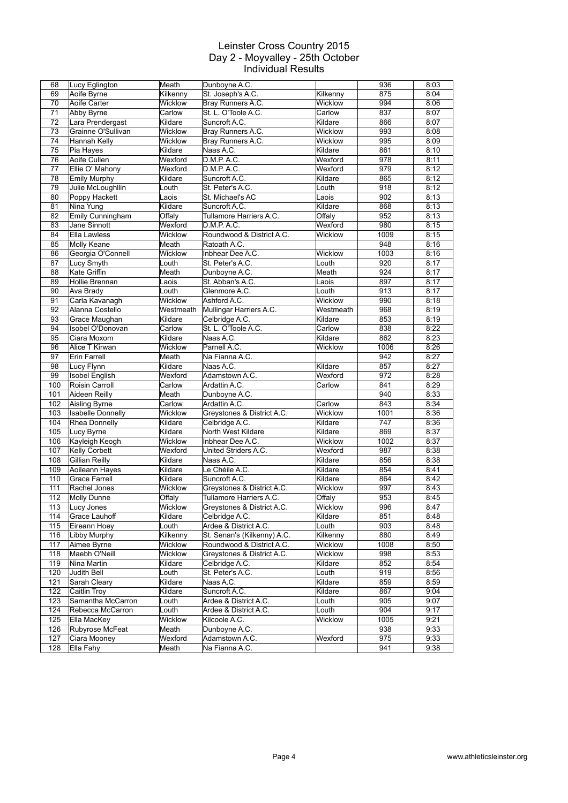| 68         | Lucy Eglington            | Meath            | Dunboyne A.C.                    |           | 936        | 8:03         |
|------------|---------------------------|------------------|----------------------------------|-----------|------------|--------------|
| 69         | Aoife Byrne               | Kilkenny         | St. Joseph's A.C.                | Kilkenny  | 875        | 8:04         |
| 70         | Aoife Carter              | Wicklow          | Bray Runners A.C.                | Wicklow   | 994        | 8:06         |
| 71         | Abby Byrne                | Carlow           | St. L. O'Toole A.C.              | Carlow    | 837        | 8:07         |
|            |                           |                  |                                  |           |            |              |
| 72         | Lara Prendergast          | Kildare          | Suncroft A.C.                    | Kildare   | 866        | 8:07         |
| 73         | Grainne O'Sullivan        | Wicklow          | Bray Runners A.C.                | Wicklow   | 993        | 8:08         |
| 74         | Hannah Kelly              | Wicklow          | Bray Runners A.C.                | Wicklow   | 995        | 8:09         |
| 75         | Pia Hayes                 | Kildare          | Naas A.C.                        | Kildare   | 861        | 8:10         |
| 76         | Aoife Cullen              | Wexford          | D.M.P. A.C.                      | Wexford   | 978        | 8:11         |
| 77         | Ellie O' Mahony           | Wexford          | D.M.P. A.C.                      | Wexford   | 979        | 8:12         |
| 78         | Emily Murphy              | Kildare          | Suncroft A.C.                    | Kildare   | 865        | 8:12         |
| 79         | Julie McLoughllin         | Louth            | St. Peter's A.C.                 | Louth     | 918        | 8:12         |
| 80         | Poppy Hackett             | Laois            | St. Michael's AC                 | Laois     | 902        | 8:13         |
| 81         | Nina Yung                 | Kildare          | Suncroft A.C.                    | Kildare   | 868        | 8:13         |
| 82         | Emily Cunningham          | Offaly           | Tullamore Harriers A.C.          | Offaly    | 952        | 8:13         |
| 83         | Jane Sinnott              | Wexford          | D.M.P. A.C.                      | Wexford   | 980        | 8:15         |
| 84         | Ella Lawless              | Wicklow          | Roundwood & District A.C.        | Wicklow   | 1009       | 8:15         |
| 85         | Molly Keane               | Meath            | Ratoath A.C.                     |           | 948        | 8:16         |
|            |                           |                  |                                  |           |            |              |
| 86         | Georgia O'Connell         | Wicklow          | Inbhear Dee A.C.                 | Wicklow   | 1003       | 8:16         |
| 87         | Lucy Smyth                | Louth            | St. Peter's A.C.                 | Louth     | 920        | 8:17         |
| 88         | Kate Griffin              | Meath            | Dunboyne A.C.                    | Meath     | 924        | 8:17         |
| 89         | Hollie Brennan            | Laois            | St. Abban's A.C.                 | Laois     | 897        | 8:17         |
| 90         | Ava Brady                 | Louth            | Glenmore A.C.                    | Louth     | 913        | 8:17         |
| 91         | Carla Kavanagh            | Wicklow          | Ashford A.C.                     | Wicklow   | 990        | 8:18         |
| 92         | Alanna Costello           | Westmeath        | Mullingar Harriers A.C.          | Westmeath | 968        | 8:19         |
| 93         | Grace Maughan             | Kildare          | Celbridge A.C.                   | Kildare   | 853        | 8:19         |
| 94         | Isobel O'Donovan          | Carlow           | St. L. O'Toole A.C.              | Carlow    | 838        | 8:22         |
| 95         | Ciara Moxom               | Kildare          | Naas A.C.                        | Kildare   | 862        | 8:23         |
| 96         | Alice T Kirwan            | Wicklow          | Parnell A.C.                     | Wicklow   | 1006       | 8:26         |
| 97         | Erin Farrell              | Meath            | Na Fianna A.C.                   |           | 942        | 8:27         |
|            |                           |                  |                                  |           | 857        |              |
| 98         | Lucy Flynn                | Kildare          | Naas A.C.                        | Kildare   |            | 8:27         |
| 99         | <b>Isobel English</b>     | Wexford          | Adamstown A.C.                   | Wexford   | 972        | 8:28         |
| 100        | Roisin Carroll            | Carlow           | Ardattin A.C.                    | Carlow    | 841        | 8:29         |
| 101        | Aideen Reilly             | Meath            | Dunboyne A.C.                    |           | 940        | 8:33         |
| 102        | Aisling Byrne             | Carlow           | Ardattin A.C.                    | Carlow    | 843        | 8:34         |
| 103        | <b>Isabelle Donnelly</b>  | Wicklow          | Greystones & District A.C.       | Wicklow   | 1001       | 8:36         |
| 104        | <b>Rhea Donnelly</b>      | Kildare          | Celbridge A.C.                   | Kildare   | 747        | 8:36         |
| 105        | Lucy Byrne                | Kildare          | North West Kildare               | Kildare   | 869        | 8:37         |
| 106        | Kayleigh Keogh            | Wicklow          | Inbhear Dee A.C.                 | Wicklow   | 1002       | 8:37         |
| 107        | Kelly Corbett             | Wexford          | United Striders A.C.             | Wexford   | 987        | 8:38         |
| 108        | Gillian Reilly            | Kildare          | Naas A.C.                        | Kildare   | 856        | 8:38         |
| 109        | Aoileann Hayes            | Kildare          | Le Chéile A.C.                   | Kildare   | 854        | 8:41         |
| 110        | <b>Grace Farrell</b>      | Kildare          | Suncroft A.C.                    | Kildare   | 864        | 8:42         |
| 111        | Rachel Jones              | <b>Wicklow</b>   | Greystones & District A.C.       | Wicklow   | 997        | 8:43         |
| 112        |                           |                  | Tullamore Harriers A.C.          |           | 953        | 8:45         |
|            | Molly Dunne               | Offaly           |                                  | Offaly    |            |              |
| 113        | Lucy Jones                | Wicklow          | Greystones & District A.C.       | Wicklow   | 996        | 8:47         |
| 114        | Grace Lauhoff             | Kildare          | Celbridge A.C.                   | Kildare   | 851        | 8:48         |
| 115        | Eireann Hoey              | Louth            | Ardee & District A.C.            | Louth     | 903        | 8:48         |
| 116        | Libby Murphy              | Kilkenny         | St. Senan's (Kilkenny) A.C.      | Kilkenny  | 880        | 8:49         |
| 117        | Aimee Byrne               | Wicklow          | Roundwood & District A.C.        | Wicklow   | 1008       | 8:50         |
| 118        | Maebh O'Neill             | Wicklow          | Greystones & District A.C.       | Wicklow   | 998        | 8:53         |
| 119        | Nina Martin               | Kildare          | Celbridge A.C.                   | Kildare   | 852        | 8:54         |
| 120        | Judith Bell               | Louth            | St. Peter's A.C.                 | Louth     | 919        | 8:56         |
| 121        | Sarah Cleary              | Kildare          | Naas A.C.                        | Kildare   | 859        | 8:59         |
| 122        | Caitlin Troy              | Kildare          | Suncroft A.C.                    | Kildare   | 867        | 9:04         |
| 123        | Samantha McCarron         | Louth            | Ardee & District A.C.            | Louth     | 905        | 9:07         |
| 124        | Rebecca McCarron          | Louth            | Ardee & District A.C.            | Louth     | 904        | 9:17         |
| 125        |                           |                  | Kilcoole A.C.                    | Wicklow   | 1005       | 9:21         |
|            |                           |                  |                                  |           |            |              |
|            | Ella MacKey               | Wicklow          |                                  |           |            |              |
| 126        | Rubyrose McFeat           | Meath            | Dunboyne A.C.                    |           | 938        | 9:33         |
| 127<br>128 | Ciara Mooney<br>Ella Fahy | Wexford<br>Meath | Adamstown A.C.<br>Na Fianna A.C. | Wexford   | 975<br>941 | 9:33<br>9:38 |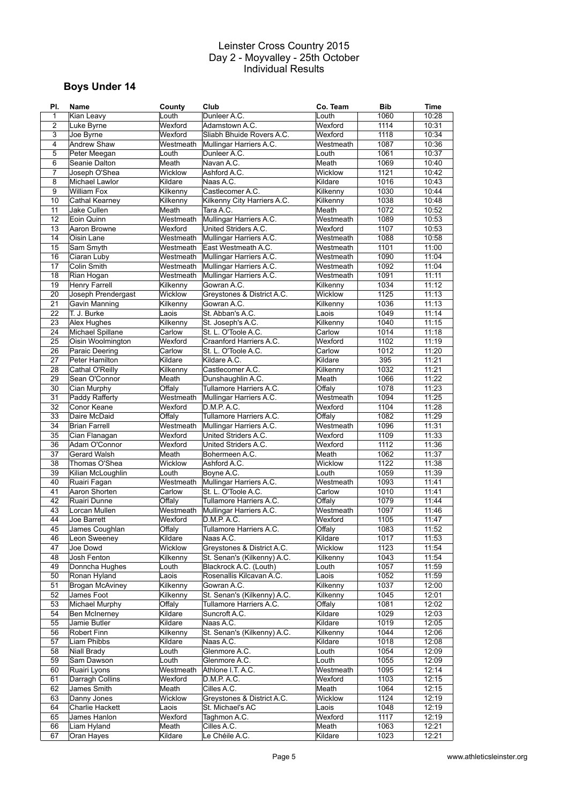# **Boys Under 14**

| PI.            | Name                   | County    | Club                        | Co. Team  | <b>Bib</b> | Time  |
|----------------|------------------------|-----------|-----------------------------|-----------|------------|-------|
| $\mathbf 1$    | Kian Leavy             | Louth     | Dunleer A.C.                | Louth     | 1060       | 10:28 |
| $\overline{2}$ | Luke Byrne             | Wexford   | Adamstown A.C.              | Wexford   | 1114       | 10:31 |
| 3              | Joe Byrne              | Wexford   | Sliabh Bhuide Rovers A.C.   | Wexford   | 1118       | 10:34 |
| 4              | Andrew Shaw            | Westmeath | Mullingar Harriers A.C.     | Westmeath | 1087       | 10:36 |
| 5              | Peter Meegan           | Louth     | Dunleer A.C.                | Louth     | 1061       | 10:37 |
|                |                        |           |                             |           |            |       |
| 6              | Seanie Dalton          | Meath     | Navan A.C.                  | Meath     | 1069       | 10:40 |
| 7              | Joseph O'Shea          | Wicklow   | Ashford A.C.                | Wicklow   | 1121       | 10:42 |
| 8              | Michael Lawlor         | Kildare   | Naas A.C.                   | Kildare   | 1016       | 10:43 |
| 9              | <b>William Fox</b>     | Kilkenny  | Castlecomer A.C.            | Kilkenny  | 1030       | 10:44 |
| 10             | Cathal Kearney         | Kilkenny  | Kilkenny City Harriers A.C. | Kilkenny  | 1038       | 10:48 |
| 11             | Jake Cullen            | Meath     | Tara A.C.                   | Meath     | 1072       | 10:52 |
| 12             | Eoin Quinn             | Westmeath | Mullingar Harriers A.C.     | Westmeath | 1089       | 10:53 |
| 13             | Aaron Browne           | Wexford   | United Striders A.C.        | Wexford   | 1107       | 10:53 |
| 14             |                        |           |                             |           |            |       |
|                | Oisin Lane             | Westmeath | Mullingar Harriers A.C.     | Westmeath | 1088       | 10:58 |
| 15             | Sam Smyth              | Westmeath | East Westmeath A.C.         | Westmeath | 1101       | 11:00 |
| 16             | Ciaran Luby            | Westmeath | Mullingar Harriers A.C.     | Westmeath | 1090       | 11:04 |
| 17             | Colin Smith            | Westmeath | Mullingar Harriers A.C.     | Westmeath | 1092       | 11:04 |
| 18             | Rian Hogan             | Westmeath | Mullingar Harriers A.C.     | Westmeath | 1091       | 11:11 |
| 19             | Henry Farrell          | Kilkenny  | Gowran A.C.                 | Kilkenny  | 1034       | 11:12 |
| 20             | Joseph Prendergast     | Wicklow   | Greystones & District A.C.  | Wicklow   | 1125       | 11:13 |
| 21             | Gavin Manning          | Kilkenny  | Gowran A.C.                 | Kilkenny  | 1036       | 11:13 |
| 22             | T. J. Burke            | Laois     | St. Abban's A.C.            | Laois     | 1049       | 11:14 |
|                |                        |           |                             |           |            |       |
| 23             | Alex Hughes            | Kilkenny  | St. Joseph's A.C.           | Kilkenny  | 1040       | 11:15 |
| 24             | Michael Spillane       | Carlow    | St. L. O'Toole A.C.         | Carlow    | 1014       | 11:18 |
| 25             | Oisin Woolmington      | Wexford   | Craanford Harriers A.C.     | Wexford   | 1102       | 11:19 |
| 26             | Paraic Deering         | Carlow    | St. L. O'Toole A.C.         | Carlow    | 1012       | 11:20 |
| 27             | Peter Hamilton         | Kildare   | Kildare A.C.                | Kildare   | 395        | 11:21 |
| 28             | Cathal O'Reilly        | Kilkenny  | Castlecomer A.C.            | Kilkenny  | 1032       | 11:21 |
| 29             | Sean O'Connor          | Meath     | Dunshaughlin A.C.           | Meath     | 1066       | 11:22 |
| 30             | Cian Murphy            | Offaly    | Tullamore Harriers A.C.     | Offaly    | 1078       | 11:23 |
| 31             | Paddy Rafferty         | Westmeath | Mullingar Harriers A.C.     | Westmeath | 1094       | 11:25 |
|                |                        |           |                             |           |            |       |
| 32             | Conor Keane            | Wexford   | D.M.P. A.C.                 | Wexford   | 1104       | 11:28 |
| 33             | Daire McDaid           | Offaly    | Tullamore Harriers A.C.     | Offaly    | 1082       | 11:29 |
| 34             | <b>Brian Farrell</b>   | Westmeath | Mullingar Harriers A.C.     | Westmeath | 1096       | 11:31 |
| 35             | Cian Flanagan          | Wexford   | United Striders A.C.        | Wexford   | 1109       | 11:33 |
| 36             | Adam O'Connor          | Wexford   | United Striders A.C.        | Wexford   | 1112       | 11:36 |
| 37             | Gerard Walsh           | Meath     | Bohermeen A.C.              | Meath     | 1062       | 11:37 |
| 38             | Thomas O'Shea          | Wicklow   | Ashford A.C.                | Wicklow   | 1122       | 11:38 |
| 39             | Kilian McLoughlin      | Louth     | Boyne A.C.                  | Louth     | 1059       | 11:39 |
| 40             | Ruairi Fagan           | Westmeath | Mullingar Harriers A.C.     | Westmeath | 1093       | 11:41 |
|                |                        |           |                             |           |            |       |
| 41             | Aaron Shorten          | Carlow    | St. L. O'Toole A.C.         | Carlow    | 1010       | 11:41 |
| 42             | Ruairi Dunne           | Offaly    | Tullamore Harriers A.C.     | Offaly    | 1079       | 11:44 |
| 43             | Lorcan Mullen          | Westmeath | Mullingar Harriers A.C.     | Westmeath | 1097       | 11:46 |
| 44             | Joe Barrett            | Wexford   | D.M.P. A.C.                 | Wexford   | 1105       | 11:47 |
| 45             | James Coughlan         | Offaly    | Tullamore Harriers A.C.     | Offaly    | 1083       | 11:52 |
| 46             | Leon Sweeney           | Kildare   | Naas A.C.                   | Kildare   | 1017       | 11:53 |
| 47             | Joe Dowd               | Wicklow   | Greystones & District A.C.  | Wicklow   | 1123       | 11:54 |
| 48             | Josh Fenton            | Kilkenny  | St. Senan's (Kilkenny) A.C. | Kilkenny  | 1043       | 11:54 |
| 49             | Donncha Hughes         | Louth     | Blackrock A.C. (Louth)      | Louth     | 1057       | 11:59 |
| 50             | Ronan Hyland           | Laois     | Rosenallis Kilcavan A.C.    | Laois     | 1052       | 11:59 |
| 51             |                        |           | Gowran A.C.                 | Kilkenny  | 1037       | 12:00 |
|                | Brogan McAviney        | Kilkenny  |                             |           |            |       |
| 52             | James Foot             | Kilkenny  | St. Senan's (Kilkenny) A.C. | Kilkenny  | 1045       | 12:01 |
| 53             | Michael Murphy         | Offaly    | Tullamore Harriers A.C.     | Offaly    | 1081       | 12:02 |
| 54             | <b>Ben McInerney</b>   | Kildare   | Suncroft A.C.               | Kildare   | 1029       | 12:03 |
| 55             | Jamie Butler           | Kildare   | Naas A.C.                   | Kildare   | 1019       | 12:05 |
| 56             | Robert Finn            | Kilkenny  | St. Senan's (Kilkenny) A.C. | Kilkenny  | 1044       | 12:06 |
| 57             | Liam Phibbs            | Kildare   | Naas A.C.                   | Kildare   | 1018       | 12:08 |
| 58             | Niall Brady            | Louth     | Glenmore A.C.               | Louth     | 1054       | 12:09 |
| 59             | Sam Dawson             | Louth     | Glenmore A.C.               | Louth     | 1055       | 12:09 |
| 60             | Ruairi Lyons           | Westmeath | Athlone I.T. A.C.           | Westmeath | 1095       | 12:14 |
| 61             | <b>Darragh Collins</b> |           |                             |           | 1103       |       |
|                |                        | Wexford   | D.M.P. A.C.                 | Wexford   |            | 12:15 |
| 62             | James Smith            | Meath     | Cilles A.C.                 | Meath     | 1064       | 12:15 |
| 63             | Danny Jones            | Wicklow   | Greystones & District A.C.  | Wicklow   | 1124       | 12:19 |
| 64             | <b>Charlie Hackett</b> | Laois     | St. Michael's AC            | Laois     | 1048       | 12:19 |
| 65             | James Hanlon           | Wexford   | Taghmon A.C.                | Wexford   | 1117       | 12:19 |
| 66             | Liam Hyland            | Meath     | Cilles A.C.                 | Meath     | 1063       | 12:21 |
| 67             | Oran Hayes             | Kildare   | Le Chéile A.C.              | Kildare   | 1023       | 12:21 |
|                |                        |           |                             |           |            |       |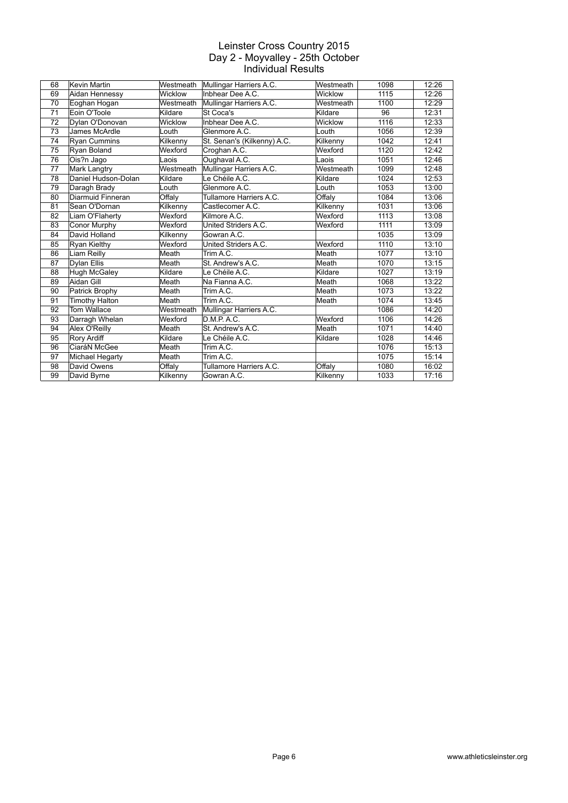| 68 | Kevin Martin          | Westmeath | Mullingar Harriers A.C.     | Westmeath | 1098 | 12:26 |
|----|-----------------------|-----------|-----------------------------|-----------|------|-------|
| 69 | Aidan Hennessy        | Wicklow   | Inbhear Dee A.C.            | Wicklow   | 1115 | 12:26 |
| 70 | Eoghan Hogan          | Westmeath | Mullingar Harriers A.C.     | Westmeath | 1100 | 12:29 |
| 71 | Eoin O'Toole          | Kildare   | St Coca's                   | Kildare   | 96   | 12:31 |
| 72 | Dylan O'Donovan       | Wicklow   | Inbhear Dee A.C.            | Wicklow   | 1116 | 12:33 |
| 73 | James McArdle         | Louth     | Glenmore A.C.               | Louth     | 1056 | 12:39 |
| 74 | <b>Ryan Cummins</b>   | Kilkenny  | St. Senan's (Kilkenny) A.C. | Kilkenny  | 1042 | 12:41 |
| 75 | Ryan Boland           | Wexford   | Croghan A.C.                | Wexford   | 1120 | 12:42 |
| 76 | Ois?n Jago            | Laois     | Oughaval A.C.               | Laois     | 1051 | 12:46 |
| 77 | Mark Langtry          | Westmeath | Mullingar Harriers A.C.     | Westmeath | 1099 | 12:48 |
| 78 | Daniel Hudson-Dolan   | Kildare   | Le Chéile A.C.              | Kildare   | 1024 | 12:53 |
| 79 | Daragh Brady          | Louth     | Glenmore A.C.               | Louth     | 1053 | 13:00 |
| 80 | Diarmuid Finneran     | Offaly    | Tullamore Harriers A.C.     | Offaly    | 1084 | 13:06 |
| 81 | Sean O'Dornan         | Kilkenny  | Castlecomer A.C.            | Kilkenny  | 1031 | 13:06 |
| 82 | Liam O'Flaherty       | Wexford   | Kilmore A.C.                | Wexford   | 1113 | 13:08 |
| 83 | <b>Conor Murphy</b>   | Wexford   | United Striders A.C.        | Wexford   | 1111 | 13:09 |
| 84 | David Holland         | Kilkenny  | Gowran A.C.                 |           | 1035 | 13:09 |
| 85 | Ryan Kielthy          | Wexford   | United Striders A.C.        | Wexford   | 1110 | 13:10 |
| 86 | Liam Reilly           | Meath     | Trim A.C.                   | Meath     | 1077 | 13:10 |
| 87 | <b>Dylan Ellis</b>    | Meath     | St. Andrew's A.C.           | Meath     | 1070 | 13:15 |
| 88 | Hugh McGaley          | Kildare   | Le Chéile A.C.              | Kildare   | 1027 | 13:19 |
| 89 | Aidan Gill            | Meath     | Na Fianna A.C.              | Meath     | 1068 | 13:22 |
| 90 | Patrick Brophy        | Meath     | Trim A.C.                   | Meath     | 1073 | 13:22 |
| 91 | <b>Timothy Halton</b> | Meath     | Trim A.C.                   | Meath     | 1074 | 13:45 |
| 92 | Tom Wallace           | Westmeath | Mullingar Harriers A.C.     |           | 1086 | 14:20 |
| 93 | Darragh Whelan        | Wexford   | D.M.P.A.C.                  | Wexford   | 1106 | 14:26 |
| 94 | Alex O'Reilly         | Meath     | St. Andrew's A.C.           | Meath     | 1071 | 14:40 |
| 95 | <b>Rory Ardiff</b>    | Kildare   | Le Chéile A.C.              | Kildare   | 1028 | 14:46 |
| 96 | CiaráN McGee          | Meath     | Trim A.C.                   |           | 1076 | 15:13 |
| 97 | Michael Hegarty       | Meath     | Trim A.C.                   |           | 1075 | 15:14 |
| 98 | David Owens           | Offaly    | Tullamore Harriers A.C.     | Offaly    | 1080 | 16:02 |
| 99 | David Byrne           | Kilkenny  | Gowran A.C.                 | Kilkenny  | 1033 | 17:16 |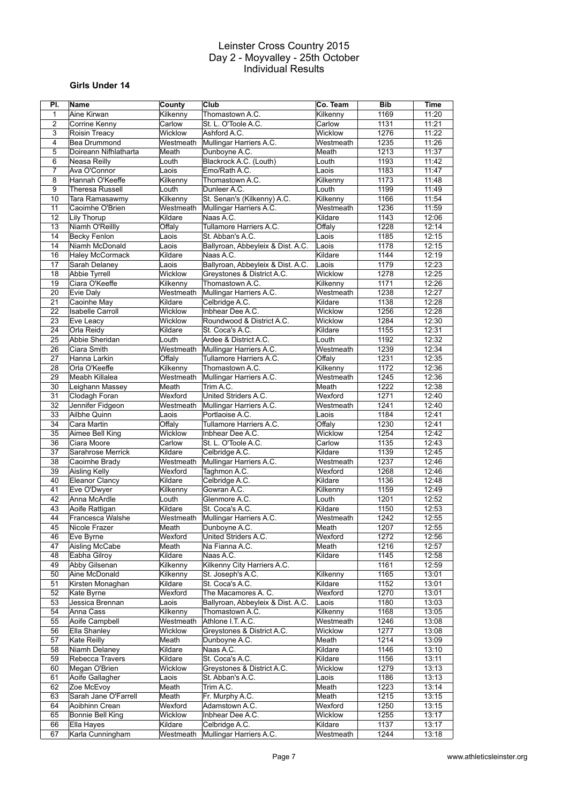# **Girls Under 14**

| PI.             | Name                    | County    | Club                              | Co. Team  | <b>Bib</b> | <b>Time</b> |
|-----------------|-------------------------|-----------|-----------------------------------|-----------|------------|-------------|
| 1               | Aine Kirwan             | Kilkenny  | Thomastown A.C.                   | Kilkenny  | 1169       | 11:20       |
| 2               | Corrine Kenny           | Carlow    | St. L. O'Toole A.C.               | Carlow    | 1131       | 11:21       |
| 3               | <b>Roisin Treacy</b>    | Wicklow   | Ashford A.C.                      | Wicklow   | 1276       | 11:22       |
| 4               | <b>Bea Drummond</b>     | Westmeath | Mullingar Harriers A.C.           | Westmeath | 1235       | 11:26       |
| 5               | Doireann Nifhlatharta   | Meath     | Dunboyne A.C.                     | Meath     | 1213       | 11:37       |
| 6               | Neasa Reilly            | Louth     | Blackrock A.C. (Louth)            | Louth     | 1193       | 11:42       |
| $\overline{7}$  | Ava O'Connor            | Laois     | Emo/Rath A.C.                     | Laois     | 1183       | 11:47       |
| 8               | Hannah O'Keeffe         | Kilkenny  | Thomastown A.C.                   | Kilkenny  | 1173       | 11:48       |
| 9               |                         |           |                                   |           | 1199       | 11:49       |
|                 | <b>Theresa Russell</b>  | Louth     | Dunleer A.C.                      | Louth     |            |             |
| 10              | Tara Ramasawmy          | Kilkenny  | St. Senan's (Kilkenny) A.C.       | Kilkenny  | 1166       | 11:54       |
| 11              | Caoimhe O'Brien         | Westmeath | Mullingar Harriers A.C.           | Westmeath | 1236       | 11:59       |
| 12              | Lily Thorup             | Kildare   | Naas A.C.                         | Kildare   | 1143       | 12:06       |
| 13              | Niamh O'Reillly         | Offaly    | Tullamore Harriers A.C.           | Offaly    | 1228       | 12:14       |
| 14              | Becky Fenlon            | Laois     | St. Abban's A.C.                  | Laois     | 1185       | 12:15       |
| 14              | Niamh McDonald          | Laois     | Ballyroan, Abbeyleix & Dist. A.C. | Laois     | 1178       | 12:15       |
| 16              | <b>Haley McCormack</b>  | Kildare   | Naas A.C.                         | Kildare   | 1144       | 12:19       |
| 17              | Sarah Delaney           | Laois     | Ballyroan, Abbeyleix & Dist. A.C. | Laois     | 1179       | 12:23       |
| 18              | <b>Abbie Tyrrell</b>    | Wicklow   | Greystones & District A.C.        | Wicklow   | 1278       | 12:25       |
| 19              | Ciara O'Keeffe          | Kilkenny  | Thomastown A.C.                   | Kilkenny  | 1171       | 12:26       |
| 20              | Evie Daly               | Westmeath | Mullingar Harriers A.C.           | Westmeath | 1238       | 12:27       |
| 21              | Caoinhe May             | Kildare   | Celbridge A.C.                    | Kildare   | 1138       | 12:28       |
| 22              | <b>Isabelle Carroll</b> | Wicklow   | Inbhear Dee A.C.                  | Wicklow   | 1256       | 12:28       |
| 23              | Eve Leacy               | Wicklow   | Roundwood & District A.C.         | Wicklow   | 1284       | 12:30       |
| 24              | Orla Reidy              | Kildare   | St. Coca's A.C.                   | Kildare   | 1155       | 12:31       |
| 25              | Abbie Sheridan          | Louth     | Ardee & District A.C.             | Louth     | 1192       | 12:32       |
| 26              | Ciara Smith             | Westmeath | Mullingar Harriers A.C.           | Westmeath | 1239       | 12:34       |
| 27              | Hanna Larkin            | Offaly    | Tullamore Harriers A.C.           | Offaly    | 1231       | 12:35       |
| 28              | Orla O'Keeffe           | Kilkenny  | Thomastown A.C.                   | Kilkenny  | 1172       | 12:36       |
| 29              | Meabh Killalea          | Westmeath | Mullingar Harriers A.C.           | Westmeath | 1245       | 12:36       |
| 30              | Leighann Massey         | Meath     | Trim A.C.                         | Meath     | 1222       | 12:38       |
|                 |                         |           |                                   |           | 1271       |             |
| 31              | Clodagh Foran           | Wexford   | United Striders A.C.              | Wexford   |            | 12:40       |
| 32              | Jennifer Fidgeon        | Westmeath | Mullingar Harriers A.C.           | Westmeath | 1241       | 12:40       |
| 33              | Ailbhe Quinn            | Laois     | Portlaoise A.C.                   | Laois     | 1184       | 12:41       |
| 34              | Cara Martin             | Offaly    | Tullamore Harriers A.C.           | Offaly    | 1230       | 12:41       |
| 35              | Aimee Bell King         | Wicklow   | Inbhear Dee A.C.                  | Wicklow   | 1254       | 12:42       |
| 36              | Ciara Moore             | Carlow    | St. L. O'Toole A.C.               | Carlow    | 1135       | 12:43       |
| 37              | Sarahrose Merrick       | Kildare   | Celbridge A.C.                    | Kildare   | 1139       | 12:45       |
| 38              | Caoimhe Brady           | Westmeath | Mullingar Harriers A.C.           | Westmeath | 1237       | 12:46       |
| 39              | Aisling Kelly           | Wexford   | Taghmon A.C.                      | Wexford   | 1268       | 12:46       |
| 40              | Eleanor Clancy          | Kildare   | Celbridge A.C.                    | Kildare   | 1136       | 12:48       |
| 41              | Eve O'Dwyer             | Kilkenny  | Gowran A.C.                       | Kilkenny  | 1159       | 12:49       |
| 42              | Anna McArdle            | Louth     | Glenmore A.C.                     | Louth     | 1201       | 12:52       |
| 43              | Aoife Rattigan          | Kildare   | St. Coca's A.C.                   | Kildare   | 1150       | 12:53       |
| 44              | Francesca Walshe        | Westmeath | Mullingar Harriers A.C.           | Westmeath | 1242       | 12:55       |
| $\overline{45}$ | Nicole Frazer           | Meath     | Dunboyne A.C.                     | Meath     | 1207       | 12:55       |
| 46              | Eve Byrne               | Wexford   | United Striders A.C.              | Wexford   | 1272       | 12:56       |
| 47              | Aisling McCabe          | Meath     | Na Fianna A.C.                    | Meath     | 1216       | 12:57       |
| 48              | Eabha Gilroy            | Kildare   | Naas A.C.                         | Kildare   | 1145       | 12:58       |
| 49              | Abby Gilsenan           | Kilkenny  | Kilkenny City Harriers A.C.       |           | 1161       | 12:59       |
| 50              | Aine McDonald           | Kilkenny  | St. Joseph's A.C.                 | Kilkenny  | 1165       | 13:01       |
| 51              | Kirsten Monaghan        | Kildare   | St. Coca's A.C.                   | Kildare   | 1152       | 13:01       |
| 52              | Kate Byrne              | Wexford   | The Macamores A. C.               | Wexford   | 1270       | 13:01       |
| 53              | Jessica Brennan         | Laois     | Ballyroan, Abbeyleix & Dist. A.C. | Laois     | 1180       | 13:03       |
| 54              | Anna Cass               | Kilkenny  | Thomastown A.C.                   | Kilkenny  | 1168       | 13:05       |
| 55              | Aoife Campbell          | Westmeath | Athlone I.T. A.C.                 | Westmeath | 1246       | 13:08       |
| 56              | Ella Shanley            | Wicklow   | Greystones & District A.C.        | Wicklow   | 1277       | 13:08       |
| 57              | Kate Reilly             | Meath     | Dunboyne A.C.                     | Meath     | 1214       | 13:09       |
|                 | Niamh Delaney           | Kildare   | Naas A.C.                         | Kildare   |            |             |
| 58              |                         |           |                                   |           | 1146       | 13:10       |
| 59              | Rebecca Travers         | Kildare   | St. Coca's A.C.                   | Kildare   | 1156       | 13:11       |
| 60              | Megan O'Brien           | Wicklow   | Greystones & District A.C.        | Wicklow   | 1279       | 13:13       |
| 61              | Aoife Gallagher         | Laois     | St. Abban's A.C.                  | Laois     | 1186       | 13:13       |
| 62              | Zoe McEvoy              | Meath     | Trim A.C.                         | Meath     | 1223       | 13:14       |
| 63              | Sarah Jane O'Farrell    | Meath     | Fr. Murphy A.C.                   | Meath     | 1215       | 13:15       |
| 64              | Aoibhinn Crean          | Wexford   | Adamstown A.C.                    | Wexford   | 1250       | 13:15       |
| 65              | Bonnie Bell King        | Wicklow   | Inbhear Dee A.C.                  | Wicklow   | 1255       | 13:17       |
| 66              | Ella Hayes              | Kildare   | Celbridge A.C.                    | Kildare   | 1137       | 13:17       |
| 67              | Karla Cunningham        | Westmeath | Mullingar Harriers A.C.           | Westmeath | 1244       | 13:18       |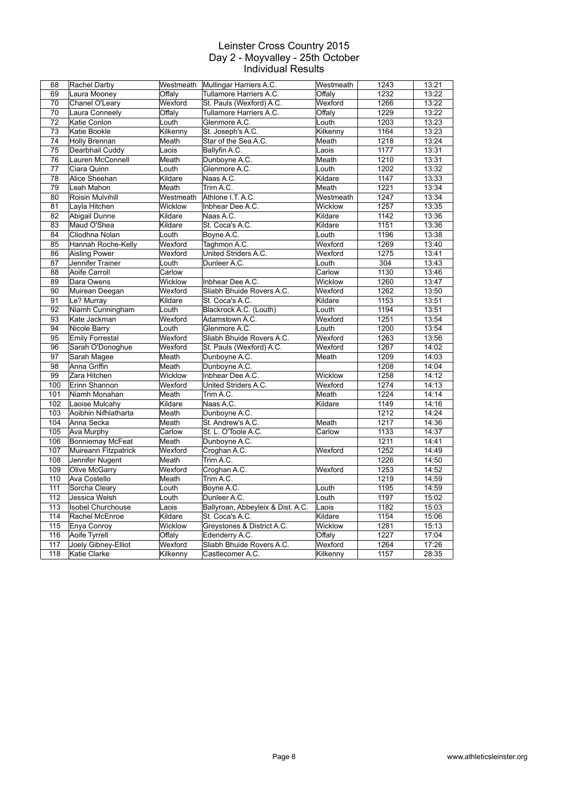| 68              | Rachel Darby             |           | Westmeath Mullingar Harriers A.C. | Westmeath | 1243 | 13:21 |
|-----------------|--------------------------|-----------|-----------------------------------|-----------|------|-------|
| 69              | Laura Mooney             | Offaly    | Tullamore Harriers A.C.           | Offaly    | 1232 | 13:22 |
| 70              | Chanel O'Leary           | Wexford   | St. Pauls (Wexford) A.C.          | Wexford   | 1266 | 13:22 |
| 70              | Laura Conneely           | Offaly    | Tullamore Harriers A.C.           | Offaly    | 1229 | 13:22 |
| 72              | Katie Conlon             | Louth     | Glenmore A.C.                     | Louth     | 1203 | 13:23 |
| 73              | Katie Bookle             | Kilkenny  | St. Joseph's A.C.                 | Kilkenny  | 1164 | 13:23 |
| 74              | <b>Holly Brennan</b>     | Meath     | Star of the Sea A.C.              | Meath     | 1218 | 13:24 |
| $\overline{75}$ | Dearbhail Cuddy          | Laois     | Ballyfin A.C.                     | Laois     | 1177 | 13:31 |
| 76              | Lauren McConnell         | Meath     | Dunboyne A.C.                     | Meath     | 1210 | 13:31 |
| 77              | Ciara Quinn              | Louth     | Glenmore A.C.                     | Louth     | 1202 | 13:32 |
| 78              | Alice Sheehan            | Kildare   | Naas A.C.                         | Kildare   | 1147 | 13:33 |
| 79              | Leah Mahon               | Meath     | Trim A.C.                         | Meath     | 1221 | 13:34 |
| 80              | Roisin Mulvihill         | Westmeath | Athlone I.T. A.C.                 | Westmeath | 1247 | 13:34 |
| 81              | Layla Hitchen            | Wicklow   | Inbhear Dee A.C.                  | Wicklow   | 1257 | 13:35 |
| 82              | Abigail Dunne            | Kildare   | Naas A.C.                         | Kildare   | 1142 | 13:36 |
| 83              | Maud O'Shea              | Kildare   | St. Coca's A.C.                   | Kildare   | 1151 | 13:36 |
| 84              | Cliodhna Nolan           | Louth     | Boyne A.C.                        | Louth     | 1196 | 13:38 |
| 85              | Hannah Roche-Kelly       | Wexford   | Taghmon A.C.                      | Wexford   | 1269 | 13:40 |
| 86              | <b>Aisling Power</b>     | Wexford   | United Striders A.C.              | Wexford   | 1275 | 13:41 |
| 87              | Jennifer Trainer         | Louth     | Dunleer A.C.                      | Louth     | 304  | 13:43 |
| 88              | Aoife Carroll            | Carlow    |                                   | Carlow    | 1130 | 13:46 |
| 89              | Dara Owens               | Wicklow   | Inbhear Dee A.C.                  | Wicklow   | 1260 | 13:47 |
| 90              | Muirean Deegan           | Wexford   | Sliabh Bhuide Rovers A.C.         | Wexford   | 1262 | 13:50 |
| 91              | Le? Murray               | Kildare   | St. Coca's A.C.                   | Kildare   | 1153 | 13:51 |
| 92              | Niamh Cunningham         | Louth     | Blackrock A.C. (Louth)            | Louth     | 1194 | 13:51 |
| 93              | Kate Jackman             | Wexford   | Adamstown A.C.                    | Wexford   | 1251 | 13:54 |
| 94              | Nicole Barry             | Louth     | Glenmore A.C.                     | Louth     | 1200 | 13:54 |
| 95              | <b>Emily Forrestal</b>   | Wexford   | Sliabh Bhuide Rovers A.C.         | Wexford   | 1263 | 13:56 |
| 96              | Sarah O'Donoghue         | Wexford   | St. Pauls (Wexford) A.C.          | Wexford   | 1267 | 14:02 |
| 97              | Sarah Magee              | Meath     | Dunboyne A.C.                     | Meath     | 1209 | 14:03 |
| 98              | Anna Griffin             | Meath     | Dunboyne A.C.                     |           | 1208 | 14:04 |
| 99              | Zara Hitchen             | Wicklow   | Inbhear Dee A.C.                  | Wicklow   | 1258 | 14:12 |
| 100             | Erinn Shannon            | Wexford   | United Striders A.C.              | Wexford   | 1274 | 14:13 |
| 101             | Niamh Monahan            | Meath     | Trim A.C.                         | Meath     | 1224 | 14:14 |
| 102             | Laoise Mulcahy           | Kildare   | Naas A.C.                         | Kildare   | 1149 | 14:16 |
| 103             | Aoibhin Nifhlatharta     | Meath     | Dunboyne A.C.                     |           | 1212 | 14:24 |
| 104             | Anna Secka               | Meath     | St. Andrew's A.C.                 | Meath     | 1217 | 14:36 |
| 105             | Ava Murphy               | Carlow    | St. L. O'Toole A.C.               | Carlow    | 1133 | 14:37 |
| 106             | Bonniemay McFeat         | Meath     | Dunboyne A.C.                     |           | 1211 | 14:41 |
| 107             | Muireann Fitzpatrick     | Wexford   | Croghan A.C.                      | Wexford   | 1252 | 14:49 |
| 108             | Jennifer Nugent          | Meath     | Trim A.C.                         |           | 1226 | 14:50 |
| 109             | Olive McGarry            | Wexford   | Croghan A.C.                      | Wexford   | 1253 | 14:52 |
| 110             | Ava Costello             | Meath     | Trim A.C.                         |           | 1219 | 14:59 |
| 111             | Sorcha Cleary            | Louth     | Boyne A.C.                        | Louth     | 1195 | 14:59 |
| 112             | Jessica Welsh            | Louth     | Dunleer A.C.                      | Louth     | 1197 | 15:02 |
| 113             | <b>Isobel Churchouse</b> | Laois     | Ballyroan, Abbeyleix & Dist. A.C. | Laois     | 1182 | 15:03 |
| 114             | Rachel McEnroe           | Kildare   | St. Coca's A.C.                   | Kildare   | 1154 | 15:06 |
| 115             | Enya Conroy              | Wicklow   | Greystones & District A.C.        | Wicklow   | 1281 | 15:13 |
| 116             | Aoife Tyrrell            | Offaly    | Edenderry A.C.                    | Offaly    | 1227 | 17:04 |
| $\frac{1}{117}$ | Joely Gibney-Elliot      | Wexford   | Sliabh Bhuide Rovers A.C.         | Wexford   | 1264 | 17:26 |
| 118             | Katie Clarke             | Kilkenny  | Castlecomer A.C.                  | Kilkenny  | 1157 | 28:35 |
|                 |                          |           |                                   |           |      |       |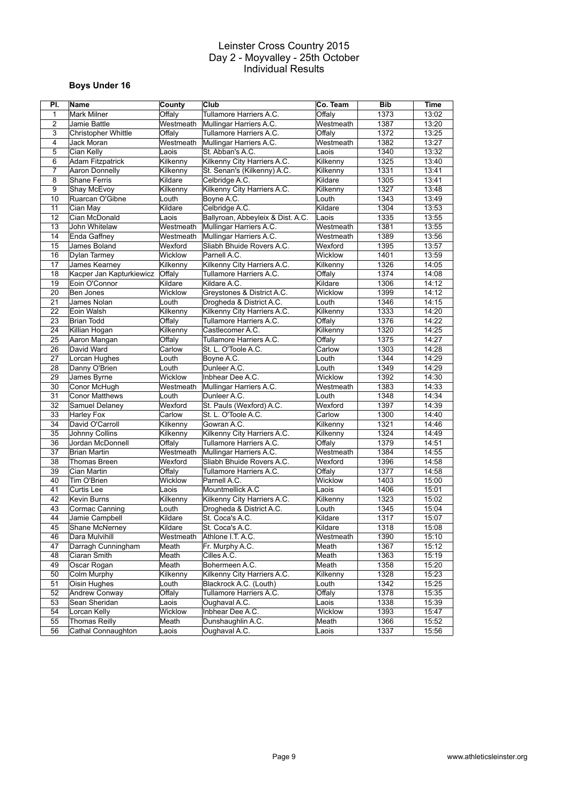# **Boys Under 16**

| PI.             | Name                       | County    | Club                              | Co. Team         | <b>Bib</b>   | Time  |
|-----------------|----------------------------|-----------|-----------------------------------|------------------|--------------|-------|
| 1               | <b>Mark Milner</b>         | Offaly    | Tullamore Harriers A.C.           | Offaly           | 1373         | 13:02 |
| $\overline{2}$  | Jamie Battle               | Westmeath | Mullingar Harriers A.C.           | Westmeath        | 1387         | 13:20 |
| 3               | <b>Christopher Whittle</b> | Offaly    | Tullamore Harriers A.C.           | Offaly           | 1372         | 13:25 |
| 4               | Jack Moran                 | Westmeath | Mullingar Harriers A.C.           | Westmeath        | 1382         | 13:27 |
| 5               | Cian Kelly                 | Laois     | St. Abban's A.C.                  | Laois            | 1340         | 13:32 |
| 6               | <b>Adam Fitzpatrick</b>    | Kilkenny  | Kilkenny City Harriers A.C.       | Kilkenny         | 1325         | 13:40 |
| $\overline{7}$  | <b>Aaron Donnelly</b>      | Kilkenny  | St. Senan's (Kilkenny) A.C.       | Kilkenny         | 1331         | 13:41 |
| 8               | <b>Shane Ferris</b>        | Kildare   | Celbridge A.C.                    | Kildare          | 1305         | 13:41 |
| 9               | Shay McEvoy                | Kilkenny  | Kilkenny City Harriers A.C.       | Kilkenny         | 1327         | 13:48 |
| 10              | Ruarcan O'Gibne            | Louth     | Boyne A.C.                        | Louth            | 1343         | 13:49 |
| 11              | Cian May                   | Kildare   | Celbridge A.C.                    | Kildare          | 1304         | 13:53 |
| 12              | Cian McDonald              | Laois     | Ballyroan, Abbeyleix & Dist. A.C. | Laois            | 1335         | 13:55 |
| 13              | John Whitelaw              | Westmeath | Mullingar Harriers A.C.           | Westmeath        | 1381         | 13:55 |
| 14              | Enda Gaffney               | Westmeath | Mullingar Harriers A.C.           | Westmeath        | 1389         | 13:56 |
| 15              | James Boland               | Wexford   | Sliabh Bhuide Rovers A.C.         | Wexford          | 1395         | 13:57 |
| 16              | Dylan Tarmey               | Wicklow   | Parnell A.C.                      | Wicklow          | 1401         | 13:59 |
| 17              | James Kearney              | Kilkenny  | Kilkenny City Harriers A.C.       | Kilkenny         | 1326         | 14:05 |
| 18              | Kacper Jan Kapturkiewicz   | Offaly    | Tullamore Harriers A.C.           | Offaly           | 1374         | 14:08 |
| 19              | Eoin O'Connor              | Kildare   | Kildare A.C.                      | Kildare          | 1306         | 14:12 |
| 20              | Ben Jones                  | Wicklow   | Greystones & District A.C.        | Wicklow          | 1399         | 14:12 |
| 21              | James Nolan                | Louth     | Drogheda & District A.C.          | Louth            | 1346         | 14:15 |
| 22              | Eoin Walsh                 | Kilkenny  | Kilkenny City Harriers A.C.       | Kilkenny         | 1333         | 14:20 |
| 23              | Brian Todd                 | Offalv    | Tullamore Harriers A.C.           | Offaly           | 1376         | 14:22 |
| 24              | Killian Hogan              | Kilkenny  | Castlecomer A.C.                  | Kilkenny         | 1320         | 14:25 |
| 25              | Aaron Mangan               |           | Tullamore Harriers A.C.           | Offalv           | 1375         | 14:27 |
| 26              | David Ward                 | Offaly    | St. L. O'Toole A.C.               |                  | 1303         | 14:28 |
| 27              | Lorcan Hughes              | Carlow    |                                   | Carlow           | 1344         | 14:29 |
|                 |                            | Louth     | Boyne A.C.                        | Louth            |              |       |
| 28<br>29        | Danny O'Brien              | Louth     | Dunleer A.C.<br>Inbhear Dee A.C.  | Louth<br>Wicklow | 1349<br>1392 | 14:29 |
|                 | James Byrne                | Wicklow   |                                   |                  |              | 14:30 |
| 30              | Conor McHugh               | Westmeath | Mullingar Harriers A.C.           | Westmeath        | 1383         | 14:33 |
| 31              | <b>Conor Matthews</b>      | Louth     | Dunleer A.C.                      | Louth            | 1348         | 14:34 |
| 32              | Samuel Delaney             | Wexford   | St. Pauls (Wexford) A.C.          | Wexford          | 1397         | 14:39 |
| 33              | Harley Fox                 | Carlow    | St. L. O'Toole A.C.               | Carlow           | 1300         | 14:40 |
| 34              | David O'Carroll            | Kilkenny  | Gowran A.C.                       | Kilkenny         | 1321         | 14:46 |
| 35              | <b>Johnny Collins</b>      | Kilkenny  | Kilkenny City Harriers A.C.       | Kilkenny         | 1324         | 14:49 |
| 36              | Jordan McDonnell           | Offaly    | Tullamore Harriers A.C.           | Offaly           | 1379         | 14:51 |
| 37              | <b>Brian Martin</b>        | Westmeath | Mullingar Harriers A.C.           | Westmeath        | 1384         | 14:55 |
| 38              | Thomas Breen               | Wexford   | Sliabh Bhuide Rovers A.C.         | Wexford          | 1396         | 14:58 |
| 39              | Cian Martin                | Offaly    | Tullamore Harriers A.C.           | Offaly           | 1377         | 14:58 |
| 40              | Tim O'Brien                | Wicklow   | Parnell A.C.                      | Wicklow          | 1403         | 15:00 |
| 41              | Curtis Lee                 | Laois     | Mountmellick A.C                  | Laois            | 1406         | 15:01 |
| 42              | <b>Kevin Burns</b>         | Kilkenny  | Kilkenny City Harriers A.C.       | Kilkenny         | 1323         | 15:02 |
| 43              | <b>Cormac Canning</b>      | Louth     | Drogheda & District A.C.          | Louth            | 1345         | 15:04 |
| 44              | Jamie Campbell             | Kildare   | St. Coca's A.C.                   | Kildare          | 1317         | 15:07 |
| $\overline{45}$ | Shane McNerney             | Kildare   | St. Coca's A.C.                   | Kildare          | 1318         | 15:08 |
| 46              | Dara Mulvihill             | Westmeath | Athlone I.T. A.C.                 | Westmeath        | 1390         | 15:10 |
| 47              | Darragh Cunningham         | Meath     | Fr. Murphy A.C.                   | Meath            | 1367         | 15:12 |
| 48              | Ciaran Smith               | Meath     | Cilles A.C.                       | Meath            | 1363         | 15:19 |
| 49              | Oscar Rogan                | Meath     | Bohermeen A.C.                    | Meath            | 1358         | 15:20 |
| 50              | Colm Murphy                | Kilkenny  | Kilkenny City Harriers A.C.       | Kilkenny         | 1328         | 15:23 |
| 51              | Oisin Hughes               | Louth     | Blackrock A.C. (Louth)            | Louth            | 1342         | 15:25 |
| 52              | Andrew Conway              | Offaly    | Tullamore Harriers A.C.           | Offaly           | 1378         | 15:35 |
| 53              | Sean Sheridan              | Laois     | Oughaval A.C.                     | Laois            | 1338         | 15:39 |
| 54              | Lorcan Kelly               | Wicklow   | Inbhear Dee A.C.                  | Wicklow          | 1393         | 15:47 |
| 55              | <b>Thomas Reilly</b>       | Meath     | Dunshaughlin A.C.                 | Meath            | 1366         | 15:52 |
| 56              | Cathal Connaughton         | Laois     | Oughaval A.C.                     | Laois            | 1337         | 15:56 |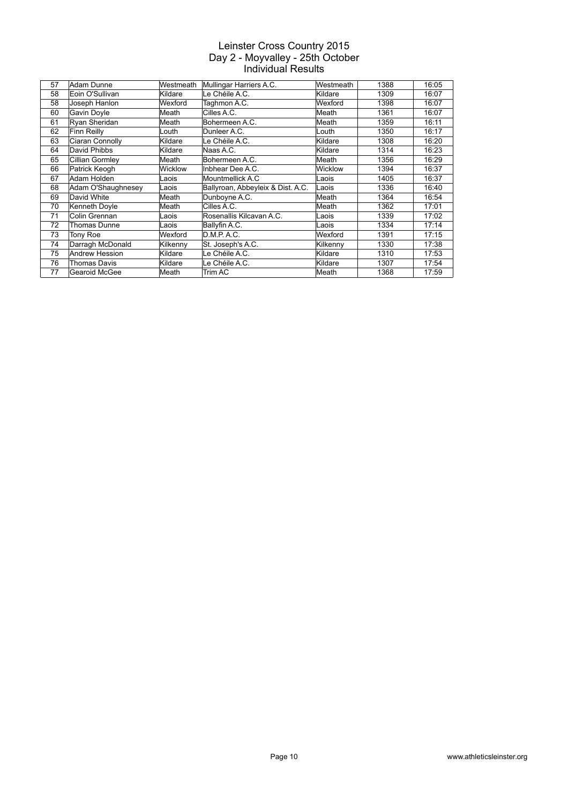| 57 | Adam Dunne             | Westmeath | Mullingar Harriers A.C.           | Westmeath | 1388 | 16:05 |
|----|------------------------|-----------|-----------------------------------|-----------|------|-------|
| 58 | Eoin O'Sullivan        | Kildare   | Le Chéile A.C.                    | Kildare   | 1309 | 16:07 |
| 58 | Joseph Hanlon          | Wexford   | Taghmon A.C.                      | Wexford   | 1398 | 16:07 |
| 60 | Gavin Doyle            | Meath     | Cilles A.C.                       | Meath     | 1361 | 16:07 |
| 61 | Ryan Sheridan          | Meath     | Bohermeen A.C.                    | Meath     | 1359 | 16:11 |
| 62 | Finn Reilly            | Louth     | Dunleer A.C.                      | Louth     | 1350 | 16:17 |
| 63 | Ciaran Connolly        | Kildare   | Le Chéile A.C.                    | Kildare   | 1308 | 16:20 |
| 64 | David Phibbs           | Kildare   | Naas A.C.                         | Kildare   | 1314 | 16:23 |
| 65 | <b>Cillian Gormley</b> | Meath     | Bohermeen A.C.                    | Meath     | 1356 | 16:29 |
| 66 | Patrick Keogh          | Wicklow   | Inbhear Dee A.C.                  | Wicklow   | 1394 | 16:37 |
| 67 | Adam Holden            | Laois     | Mountmellick A.C.                 | Laois     | 1405 | 16:37 |
| 68 | Adam O'Shaughnesey     | Laois     | Ballyroan, Abbeyleix & Dist. A.C. | Laois     | 1336 | 16:40 |
| 69 | David White            | Meath     | Dunboyne A.C.                     | Meath     | 1364 | 16:54 |
| 70 | Kenneth Doyle          | Meath     | Cilles A.C.                       | Meath     | 1362 | 17:01 |
| 71 | Colin Grennan          | Laois     | Rosenallis Kilcavan A.C.          | Laois     | 1339 | 17:02 |
| 72 | Thomas Dunne           | Laois     | Ballyfin A.C.                     | Laois     | 1334 | 17:14 |
| 73 | Tony Roe               | Wexford   | D.M.P.A.C.                        | Wexford   | 1391 | 17:15 |
| 74 | Darragh McDonald       | Kilkenny  | St. Joseph's A.C.                 | Kilkennv  | 1330 | 17:38 |
| 75 | <b>Andrew Hession</b>  | Kildare   | Le Chéile A.C.                    | Kildare   | 1310 | 17:53 |
| 76 | Thomas Davis           | Kildare   | Le Chéile A.C.                    | Kildare   | 1307 | 17:54 |
| 77 | Gearoid McGee          | Meath     | Trim AC                           | lMeath    | 1368 | 17:59 |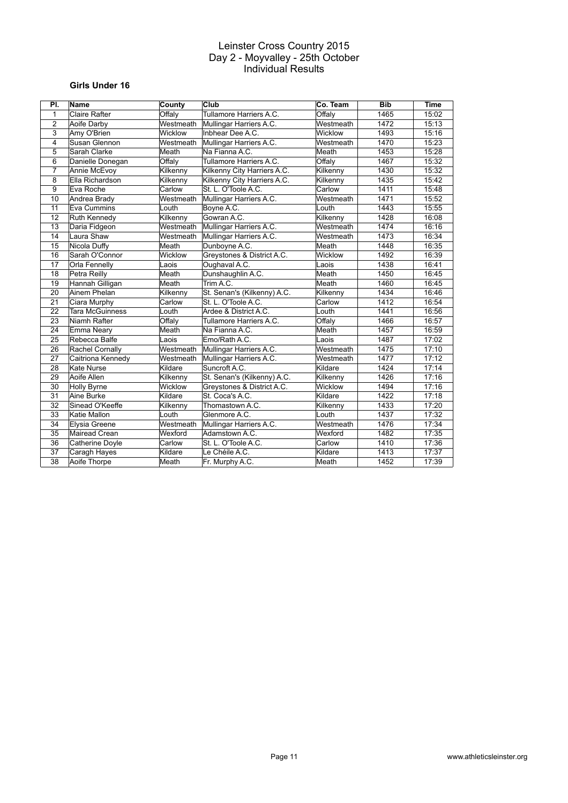# **Girls Under 16**

| PI.             | Name                 | County    | Club                        | Co. Team  | <b>Bib</b> | <b>Time</b> |
|-----------------|----------------------|-----------|-----------------------------|-----------|------------|-------------|
| $\mathbf{1}$    | <b>Claire Rafter</b> | Offaly    | Tullamore Harriers A.C.     | Offalv    | 1465       | 15:02       |
| $\overline{2}$  | Aoife Darby          | Westmeath | Mullingar Harriers A.C.     | Westmeath | 1472       | 15:13       |
| 3               | Amy O'Brien          | Wicklow   | Inbhear Dee A.C.            | Wicklow   | 1493       | 15:16       |
| 4               | Susan Glennon        | Westmeath | Mullingar Harriers A.C.     | Westmeath | 1470       | 15:23       |
| 5               | Sarah Clarke         | Meath     | Na Fianna A.C.              | Meath     | 1453       | 15:28       |
| 6               | Danielle Donegan     | Offaly    | Tullamore Harriers A.C.     | Offaly    | 1467       | 15:32       |
| $\overline{7}$  | Annie McEvoy         | Kilkenny  | Kilkenny City Harriers A.C. | Kilkenny  | 1430       | 15:32       |
| 8               | Ella Richardson      | Kilkenny  | Kilkenny City Harriers A.C. | Kilkenny  | 1435       | 15:42       |
| 9               | Eva Roche            | Carlow    | St. L. O'Toole A.C.         | Carlow    | 1411       | 15:48       |
| 10              | Andrea Brady         | Westmeath | Mullingar Harriers A.C.     | Westmeath | 1471       | 15:52       |
| 11              | Eva Cummins          | Louth     | Boyne A.C.                  | Louth     | 1443       | 15:55       |
| $\overline{12}$ | Ruth Kennedy         | Kilkenny  | Gowran A.C.                 | Kilkenny  | 1428       | 16:08       |
| 13              | Daria Fidgeon        | Westmeath | Mullingar Harriers A.C.     | Westmeath | 1474       | 16:16       |
| 14              | Laura Shaw           | Westmeath | Mullingar Harriers A.C.     | Westmeath | 1473       | 16:34       |
| 15              | Nicola Duffy         | Meath     | Dunboyne A.C.               | Meath     | 1448       | 16:35       |
| 16              | Sarah O'Connor       | Wicklow   | Greystones & District A.C.  | Wicklow   | 1492       | 16:39       |
| 17              | <b>Orla Fennelly</b> | Laois     | Oughaval A.C.               | Laois     | 1438       | 16:41       |
| 18              | Petra Reilly         | Meath     | Dunshaughlin A.C.           | Meath     | 1450       | 16:45       |
| 19              | Hannah Gilligan      | Meath     | Trim A.C.                   | Meath     | 1460       | 16:45       |
| 20              | Ainem Phelan         | Kilkenny  | St. Senan's (Kilkenny) A.C. | Kilkenny  | 1434       | 16:46       |
| 21              | Ciara Murphy         | Carlow    | St. L. O'Toole A.C.         | Carlow    | 1412       | 16:54       |
| 22              | Tara McGuinness      | Louth     | Ardee & District A.C.       | Louth     | 1441       | 16:56       |
| 23              | Niamh Rafter         | Offaly    | Tullamore Harriers A.C.     | Offaly    | 1466       | 16:57       |
| 24              | Emma Neary           | Meath     | Na Fianna A.C.              | Meath     | 1457       | 16:59       |
| 25              | Rebecca Balfe        | Laois     | Emo/Rath A.C.               | Laois     | 1487       | 17:02       |
| 26              | Rachel Cornally      | Westmeath | Mullingar Harriers A.C.     | Westmeath | 1475       | 17:10       |
| 27              | Caitriona Kennedy    | Westmeath | Mullingar Harriers A.C.     | Westmeath | 1477       | 17:12       |
| 28              | Kate Nurse           | Kildare   | Suncroft A.C.               | Kildare   | 1424       | 17:14       |
| 29              | Aoife Allen          | Kilkenny  | St. Senan's (Kilkenny) A.C. | Kilkenny  | 1426       | 17:16       |
| $\overline{30}$ | <b>Holly Byrne</b>   | Wicklow   | Greystones & District A.C.  | Wicklow   | 1494       | 17:16       |
| 31              | Aine Burke           | Kildare   | St. Coca's A.C.             | Kildare   | 1422       | 17:18       |
| 32              | Sinead O'Keeffe      | Kilkenny  | Thomastown A.C.             | Kilkenny  | 1433       | 17:20       |
| 33              | Katie Mallon         | Louth     | Glenmore A.C.               | Louth     | 1437       | 17:32       |
| 34              | Elysia Greene        | Westmeath | Mullingar Harriers A.C.     | Westmeath | 1476       | 17:34       |
| 35              | Mairead Crean        | Wexford   | Adamstown A.C.              | Wexford   | 1482       | 17:35       |
| 36              | Catherine Doyle      | Carlow    | St. L. O'Toole A.C.         | Carlow    | 1410       | 17:36       |
| 37              | Caragh Hayes         | Kildare   | Le Chéile A.C.              | Kildare   | 1413       | 17:37       |
| 38              | Aoife Thorpe         | Meath     | Fr. Murphy A.C.             | Meath     | 1452       | 17:39       |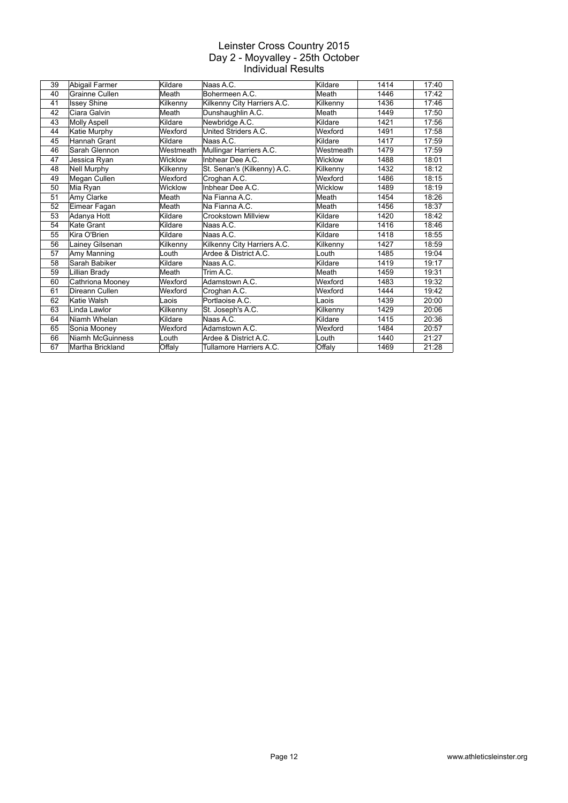| 39 | Abigail Farmer      | Kildare   | Naas A.C.                   | Kildare   | 1414 | 17:40 |
|----|---------------------|-----------|-----------------------------|-----------|------|-------|
| 40 | Grainne Cullen      | Meath     | Bohermeen A.C.              | Meath     | 1446 | 17:42 |
| 41 | <b>Issey Shine</b>  | Kilkenny  | Kilkenny City Harriers A.C. | Kilkenny  | 1436 | 17:46 |
| 42 | Ciara Galvin        | Meath     | Dunshaughlin A.C.           | Meath     | 1449 | 17:50 |
| 43 | Molly Aspell        | Kildare   | Newbridge A.C.              | Kildare   | 1421 | 17:56 |
| 44 | Katie Murphy        | Wexford   | United Striders A.C.        | Wexford   | 1491 | 17:58 |
| 45 | <b>Hannah Grant</b> | Kildare   | Naas A.C.                   | Kildare   | 1417 | 17:59 |
| 46 | Sarah Glennon       | Westmeath | Mullingar Harriers A.C.     | Westmeath | 1479 | 17:59 |
| 47 | Jessica Ryan        | Wicklow   | Inbhear Dee A.C.            | Wicklow   | 1488 | 18:01 |
| 48 | <b>Nell Murphy</b>  | Kilkenny  | St. Senan's (Kilkenny) A.C. | Kilkenny  | 1432 | 18:12 |
| 49 | Megan Cullen        | Wexford   | Croghan A.C.                | Wexford   | 1486 | 18:15 |
| 50 | Mia Ryan            | Wicklow   | Inbhear Dee A.C.            | Wicklow   | 1489 | 18:19 |
| 51 | Amy Clarke          | Meath     | Na Fianna A.C.              | Meath     | 1454 | 18:26 |
| 52 | Eimear Fagan        | Meath     | Na Fianna A.C.              | Meath     | 1456 | 18:37 |
| 53 | Adanya Hott         | Kildare   | Crookstown Millview         | Kildare   | 1420 | 18:42 |
| 54 | <b>Kate Grant</b>   | Kildare   | Naas A.C.                   | Kildare   | 1416 | 18:46 |
| 55 | Kira O'Brien        | Kildare   | Naas A.C.                   | Kildare   | 1418 | 18:55 |
| 56 | Lainey Gilsenan     | Kilkenny  | Kilkenny City Harriers A.C. | Kilkenny  | 1427 | 18:59 |
| 57 | Amy Manning         | Louth     | Ardee & District A.C.       | Louth     | 1485 | 19:04 |
| 58 | Sarah Babiker       | Kildare   | Naas A.C.                   | Kildare   | 1419 | 19:17 |
| 59 | Lillian Brady       | Meath     | Trim A.C.                   | Meath     | 1459 | 19:31 |
| 60 | Cathriona Mooney    | Wexford   | Adamstown A.C.              | Wexford   | 1483 | 19:32 |
| 61 | Direann Cullen      | Wexford   | Croghan A.C.                | Wexford   | 1444 | 19:42 |
| 62 | Katie Walsh         | Laois     | Portlaoise A.C.             | Laois     | 1439 | 20:00 |
| 63 | Linda Lawlor        | Kilkenny  | St. Joseph's A.C.           | Kilkenny  | 1429 | 20:06 |
| 64 | Niamh Whelan        | Kildare   | Naas A.C.                   | Kildare   | 1415 | 20:36 |
| 65 | Sonia Mooney        | Wexford   | Adamstown A.C.              | Wexford   | 1484 | 20:57 |
| 66 | Niamh McGuinness    | Louth     | Ardee & District A.C.       | Louth     | 1440 | 21:27 |
| 67 | Martha Brickland    | Offaly    | Tullamore Harriers A.C.     | Offaly    | 1469 | 21:28 |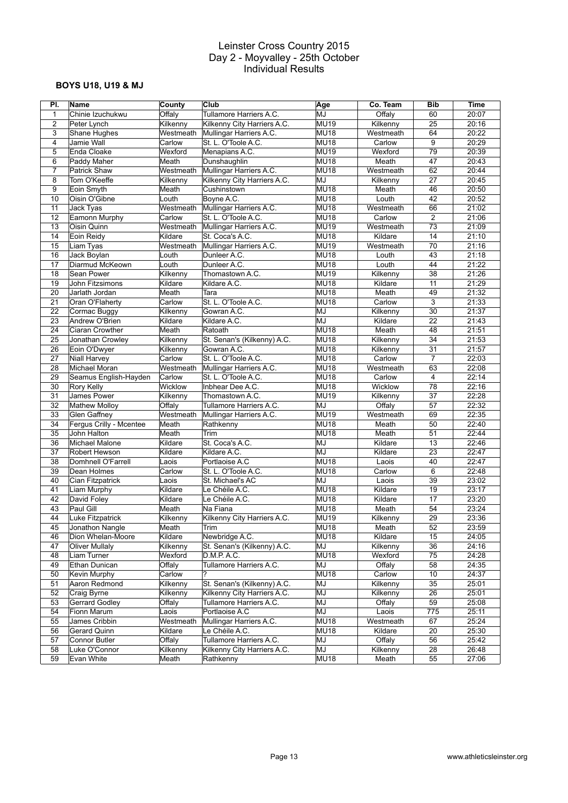# **BOYS U18, U19 & MJ**

| PI.             | Name                           | County            | Club                                      | Age              | Co. Team  | <b>Bib</b>      | Time  |
|-----------------|--------------------------------|-------------------|-------------------------------------------|------------------|-----------|-----------------|-------|
| 1               | Chinie Izuchukwu               | Offaly            | Tullamore Harriers A.C.                   | MJ               | Offaly    | 60              | 20:07 |
| $\overline{2}$  | Peter Lynch                    | Kilkenny          | Kilkenny City Harriers A.C.               | <b>MU19</b>      | Kilkenny  | 25              | 20:16 |
| 3               | Shane Hughes                   | Westmeath         | Mullingar Harriers A.C.                   | <b>MU18</b>      | Westmeath | 64              | 20:22 |
| $\overline{4}$  | Jamie Wall                     | Carlow            | St. L. O'Toole A.C.                       | MU18             | Carlow    | 9               | 20:29 |
| 5               | Enda Cloake                    | Wexford           | Menapians A.C.                            | <b>MU19</b>      | Wexford   | 79              | 20:39 |
| 6               | Paddy Maher                    | Meath             | Dunshaughlin                              | MU18             | Meath     | 47              | 20:43 |
| $\overline{7}$  | <b>Patrick Shaw</b>            | Westmeath         | Mullingar Harriers A.C.                   | <b>MU18</b>      | Westmeath | 62              | 20:44 |
| 8               | Tom O'Keeffe                   | Kilkenny          | Kilkenny City Harriers A.C.               | MJ               | Kilkenny  | 27              | 20:45 |
| 9               | Eoin Smyth                     | Meath             | Cushinstown                               | MU18             | Meath     | 46              | 20:50 |
| 10              | Oisin O'Gibne                  | Louth             | Boyne A.C.                                | MU <sub>18</sub> | Louth     | 42              | 20:52 |
| 11              | Jack Tyas                      | Westmeath         | Mullingar Harriers A.C.                   | MU18             | Westmeath | 66              | 21:02 |
| 12              | Eamonn Murphy                  | Carlow            | St. L. O'Toole A.C.                       | MU18             | Carlow    | 2               | 21:06 |
| 13              | Oisin Quinn                    | Westmeath         | Mullingar Harriers A.C.                   | <b>MU19</b>      | Westmeath | $\overline{73}$ | 21:09 |
| 14              | Eoin Reidy                     | Kildare           | St. Coca's A.C.                           | MU18             | Kildare   | 14              | 21:10 |
| 15              | Liam Tyas                      | Westmeath         | Mullingar Harriers A.C.                   | <b>MU19</b>      | Westmeath | $\overline{70}$ | 21:16 |
| 16              | Jack Boylan                    | Louth             | Dunleer A.C.                              | <b>MU18</b>      | Louth     | 43              | 21:18 |
| 17              | Diarmud McKeown                | Louth             | Dunleer A.C.                              | <b>MU18</b>      | Louth     | 44              | 21:22 |
| 18              | Sean Power                     | Kilkenny          | Thomastown A.C.                           | <b>MU19</b>      | Kilkenny  | 38              | 21:26 |
| 19              | John Fitzsimons                | Kildare           | Kildare A.C.                              | <b>MU18</b>      | Kildare   | 11              | 21:29 |
| 20              | Jarlath Jordan                 | Meath             | Tara                                      | <b>MU18</b>      | Meath     | 49              | 21:32 |
| 21              | Oran O'Flaherty                | Carlow            | St. L. O'Toole A.C.                       | MU18             | Carlow    | $\overline{3}$  | 21:33 |
| 22              | Cormac Buggy                   | Kilkenny          | Gowran A.C.                               | MJ               | Kilkenny  | 30              | 21:37 |
| 23              | Andrew O'Brien                 | Kildare           | Kildare A.C.                              | MJ               | Kildare   | 22              | 21:43 |
| 24              | Ciaran Crowther                | Meath             | Ratoath                                   | <b>MU18</b>      | Meath     | 48              | 21:51 |
| 25              | Jonathan Crowley               | Kilkenny          | St. Senan's (Kilkenny) A.C.               | <b>MU18</b>      | Kilkenny  | 34              | 21:53 |
| 26              | Eoin O'Dwyer                   | Kilkenny          | Gowran A.C.                               | MU18             | Kilkenny  | $\overline{31}$ | 21:57 |
| 27              | <b>Niall Harvey</b>            | Carlow            | St. L. O'Toole A.C.                       | <b>MU18</b>      | Carlow    | $\overline{7}$  | 22:03 |
| 28              | Michael Moran                  | Westmeath         | Mullingar Harriers A.C.                   | <b>MU18</b>      | Westmeath | 63              | 22:08 |
| 29              | Seamus English-Hayden          | Carlow            | St. L. O'Toole A.C.                       | <b>MU18</b>      | Carlow    | $\overline{4}$  | 22:14 |
| 30              | Rory Kelly                     | Wicklow           | Inbhear Dee A.C.                          | <b>MU18</b>      | Wicklow   | 78              | 22:16 |
| 31              | James Power                    | Kilkenny          | Thomastown A.C.                           | <b>MU19</b>      | Kilkenny  | 37              | 22:28 |
| 32              | <b>Mathew Molloy</b>           | Offaly            | Tullamore Harriers A.C.                   | MJ               | Offaly    | 57              | 22:32 |
| 33              | <b>Glen Gaffney</b>            | Westmeath         | Mullingar Harriers A.C.                   | <b>MU19</b>      | Westmeath | 69              | 22:35 |
| 34              | Fergus Crilly - Mcentee        | Meath             | Rathkenny                                 | MU18             | Meath     | 50              | 22:40 |
| 35              | John Halton                    | Meath             | Trim                                      | MU <sub>18</sub> | Meath     | 51              | 22:44 |
| 36              | Michael Malone                 | Kildare           | St. Coca's A.C.                           | MJ               | Kildare   | 13              | 22:46 |
| 37              | Robert Hewson                  | Kildare           | Kildare A.C.                              | MJ               | Kildare   | 23              | 22:47 |
| 38              | Domhnell O'Farrell             | Laois             | Portlaoise A.C                            | <b>MU18</b>      | Laois     | 40              | 22:47 |
| 39              | Dean Holmes                    | Carlow            | St. L. O'Toole A.C.                       | MU18             | Carlow    | 6               | 22:48 |
| 40              | Cian Fitzpatrick               | Laois             | St. Michael's AC                          | MJ               | Laois     | $\overline{39}$ | 23:02 |
| 41              | Liam Murphy                    | Kildare           | Le Chéile A.C.                            | <b>MU18</b>      | Kildare   | 19              | 23:17 |
| 42              | David Foley                    | Kildare           | Le Chéile A.C.                            | MU18             | Kildare   | 17              | 23:20 |
| 43              | Paul Gill                      | Meath             | Na Fiana                                  | MU18             | Meath     | 54              | 23:24 |
| 44              | Luke Fitzpatrick               | Kilkenny          | Kilkenny City Harriers A.C.               | <b>MU19</b>      | Kilkenny  | 29              | 23:36 |
| $\overline{45}$ | Jonathon Nangle                | Meath             | Irim                                      | <b>MU18</b>      | Meath     | $\overline{52}$ | 23:59 |
| 46              | Dion Whelan-Moore              | Kildare           | Newbridge A.C.                            | MU18             | Kildare   | 15              | 24:05 |
| 47              | <b>Oliver Mullaly</b>          | Kilkenny          | St. Senan's (Kilkenny) A.C.               | MJ               | Kilkenny  | 36              | 24:16 |
| 48              | Liam Turner                    | Wexford           | D.M.P. A.C.                               | <b>MU18</b>      | Wexford   | 75              | 24:28 |
| 49              | Ethan Dunican                  | Offaly            | Tullamore Harriers A.C.                   | MJ               | Offaly    | 58              | 24:35 |
| 50              | Kevin Murphy                   | Carlow            |                                           | <b>MU18</b>      | Carlow    | 10              | 24:37 |
| 51              | Aaron Redmond                  | Kilkenny          | St. Senan's (Kilkenny) A.C.               | MJ               | Kilkenny  | 35              | 25:01 |
| 52              | Craig Byrne                    | Kilkenny          | Kilkenny City Harriers A.C.               | MJ               | Kilkenny  | 26              | 25:01 |
| 53              | <b>Gerrard Godley</b>          | Offaly            | Tullamore Harriers A.C.                   | MJ               | Offaly    | 59              | 25:08 |
| 54              | Fionn Marum                    | Laois             | Portlaoise A.C                            | MJ               | Laois     | 775             | 25:11 |
| 55              |                                | Westmeath         |                                           | <b>MU18</b>      | Westmeath | 67              | 25:24 |
| 56              | James Cribbin                  |                   | Mullingar Harriers A.C.<br>Le Chéile A.C. | <b>MU18</b>      | Kildare   |                 |       |
|                 | Gerard Quinn                   | Kildare<br>Offaly | Tullamore Harriers A.C.                   |                  | Offalv    | 20              | 25:30 |
| 57              | Connor Butler<br>Luke O'Connor |                   |                                           | MJ               |           | 56              | 25:42 |
| 58<br>59        |                                | Kilkenny          | Kilkenny City Harriers A.C.               | MJ               | Kilkenny  | 28              | 26:48 |
|                 | Evan White                     | Meath             | Rathkenny                                 | <b>MU18</b>      | Meath     | 55              | 27:06 |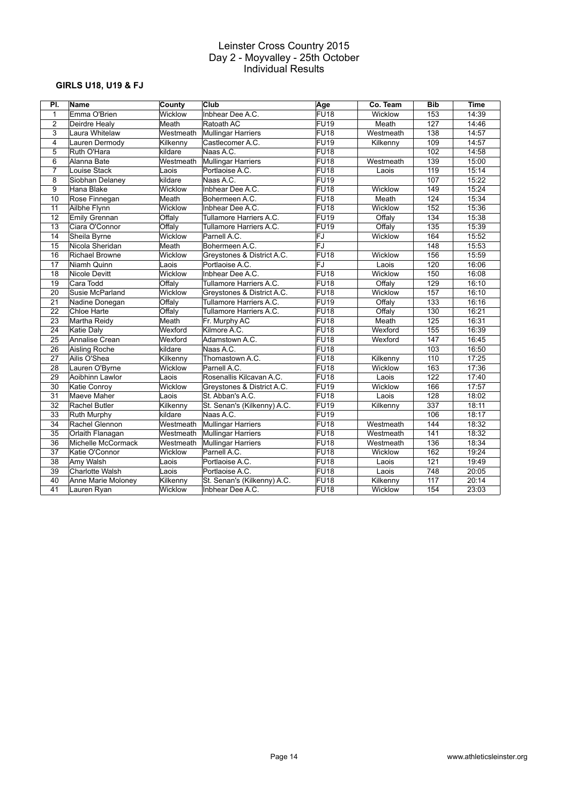# **GIRLS U18, U19 & FJ**

| PI.             | Name                  | County    | Club                        | Age               | Co. Team  | <b>Bib</b>       | <b>Time</b> |
|-----------------|-----------------------|-----------|-----------------------------|-------------------|-----------|------------------|-------------|
| $\mathbf{1}$    | Emma O'Brien          | Wicklow   | Inbhear Dee A.C.            | $\overline{FU18}$ | Wicklow   | 153              | 14:39       |
| $\overline{2}$  | Deirdre Healy         | Meath     | Ratoath AC                  | FU19              | Meath     | 127              | 14:46       |
| 3               | Laura Whitelaw        | Westmeath | Mullingar Harriers          | <b>FU18</b>       | Westmeath | 138              | 14:57       |
| 4               | Lauren Dermody        | Kilkenny  | Castlecomer A.C.            | <b>FU19</b>       | Kilkenny  | 109              | 14:57       |
| 5               | Ruth O'Hara           | kildare   | Naas A.C.                   | FU <sub>18</sub>  |           | 102              | 14:58       |
| 6               | Alanna Bate           | Westmeath | Mullingar Harriers          | FU <sub>18</sub>  | Westmeath | 139              | 15:00       |
| 7               | Louise Stack          | ∟aois     | Portlaoise A.C.             | <b>FU18</b>       | Laois     | 119              | 15:14       |
| 8               | Siobhan Delaney       | kildare   | Naas A.C.                   | $\overline{FU19}$ |           | 107              | 15:22       |
| 9               | Hana Blake            | Wicklow   | Inbhear Dee A.C.            | <b>FU18</b>       | Wicklow   | 149              | 15:24       |
| 10              | Rose Finnegan         | Meath     | Bohermeen A.C.              | FU18              | Meath     | 124              | 15:34       |
| 11              | Ailbhe Flynn          | Wicklow   | Inbhear Dee A.C.            | FU <sub>18</sub>  | Wicklow   | 152              | 15:36       |
| 12              | Emily Grennan         | Offaly    | Tullamore Harriers A.C.     | <b>FU19</b>       | Offaly    | 134              | 15:38       |
| 13              | Ciara O'Connor        | Offaly    | Tullamore Harriers A.C.     | $\overline{FU19}$ | Offaly    | $\overline{135}$ | 15:39       |
| 14              | Sheila Byrne          | Wicklow   | Parnell A.C.                | FJ                | Wicklow   | 164              | 15:52       |
| 15              | Nicola Sheridan       | Meath     | Bohermeen A.C.              | FJ                |           | 148              | 15:53       |
| 16              | <b>Richael Browne</b> | Wicklow   | Greystones & District A.C.  | FU <sub>18</sub>  | Wicklow   | 156              | 15:59       |
| 17              | Niamh Quinn           | Laois     | Portlaoise A.C.             | FJ                | Laois     | 120              | 16:06       |
| 18              | <b>Nicole Devitt</b>  | Wicklow   | Inbhear Dee A.C.            | FU <sub>18</sub>  | Wicklow   | 150              | 16:08       |
| 19              | Cara Todd             | Offaly    | Tullamore Harriers A.C.     | FU <sub>18</sub>  | Offaly    | $\overline{129}$ | 16:10       |
| 20              | Susie McParland       | Wicklow   | Greystones & District A.C.  | <b>FU18</b>       | Wicklow   | 157              | 16:10       |
| 21              | Nadine Donegan        | Offaly    | Tullamore Harriers A.C.     | <b>FU19</b>       | Offaly    | 133              | 16:16       |
| 22              | Chloe Harte           | Offaly    | Tullamore Harriers A.C.     | FU <sub>18</sub>  | Offaly    | 130              | 16:21       |
| 23              | Martha Reidy          | Meath     | Fr. Murphy AC               | FU <sub>18</sub>  | Meath     | 125              | 16:31       |
| 24              | Katie Daly            | Wexford   | Kilmore A.C.                | <b>FU18</b>       | Wexford   | 155              | 16:39       |
| $\overline{25}$ | Annalise Crean        | Wexford   | Adamstown A.C.              | FU <sub>18</sub>  | Wexford   | 147              | 16:45       |
| 26              | Aisling Roche         | kildare   | Naas A.C.                   | <b>FU18</b>       |           | 103              | 16:50       |
| 27              | Ailis O'Shea          | Kilkenny  | Thomastown A.C.             | FU <sub>18</sub>  | Kilkenny  | 110              | 17:25       |
| 28              | Lauren O'Byrne        | Wicklow   | Parnell A.C.                | <b>FU18</b>       | Wicklow   | 163              | 17:36       |
| 29              | Aoibhinn Lawlor       | _aois     | Rosenallis Kilcavan A.C.    | <b>FU18</b>       | Laois     | 122              | 17:40       |
| 30              | Katie Conroy          | Wicklow   | Greystones & District A.C.  | <b>FU19</b>       | Wicklow   | 166              | 17:57       |
| 31              | Maeve Maher           | _aois     | St. Abban's A.C.            | FU <sub>18</sub>  | Laois     | 128              | 18:02       |
| 32              | Rachel Butler         | Kilkenny  | St. Senan's (Kilkenny) A.C. | FU <sub>19</sub>  | Kilkenny  | 337              | 18:11       |
| 33              | Ruth Murphy           | kildare   | Naas A.C.                   | <b>FU19</b>       |           | 106              | 18:17       |
| 34              | Rachel Glennon        | Westmeath | Mullingar Harriers          | <b>FU18</b>       | Westmeath | 144              | 18:32       |
| 35              | Orlaith Flanagan      | Westmeath | Mullingar Harriers          | FU <sub>18</sub>  | Westmeath | 141              | 18:32       |
| 36              | Michelle McCormack    | Westmeath | <b>Mullingar Harriers</b>   | FU <sub>18</sub>  | Westmeath | 136              | 18:34       |
| 37              | Katie O'Connor        | Wicklow   | Parnell A.C.                | <b>FU18</b>       | Wicklow   | 162              | 19:24       |
| 38              | Amy Walsh             | ∟aois     | Portlaoise A.C.             | FU <sub>18</sub>  | Laois     | 121              | 19:49       |
| 39              | Charlotte Walsh       | Laois     | Portlaoise A.C.             | FU <sub>18</sub>  | Laois     | 748              | 20:05       |
| 40              | Anne Marie Moloney    | Kilkenny  | St. Senan's (Kilkenny) A.C. | FU <sub>18</sub>  | Kilkenny  | 117              | 20:14       |
| 41              | Lauren Ryan           | Wicklow   | Inbhear Dee A.C.            | <b>FU18</b>       | Wicklow   | 154              | 23:03       |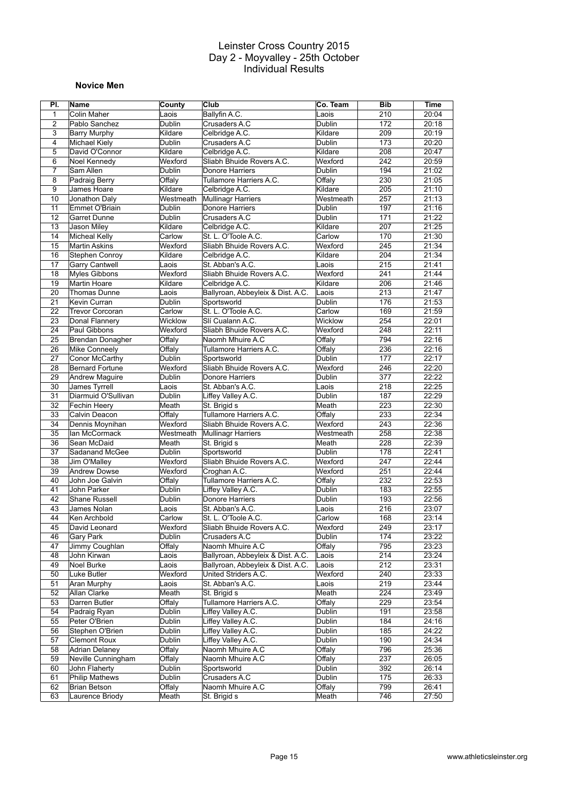#### **Novice Men**

| PI.                     | Name                   | County        | Club                              | Co. Team      | <b>Bib</b> | <b>Time</b> |
|-------------------------|------------------------|---------------|-----------------------------------|---------------|------------|-------------|
| 1                       | Colin Maher            | Laois         | Ballyfin A.C.                     | Laois         | 210        | 20:04       |
| $\overline{2}$          | Pablo Sanchez          | Dublin        | Crusaders A.C                     | Dublin        | 172        | 20:18       |
| 3                       | <b>Barry Murphy</b>    | Kildare       | Celbridge A.C.                    | Kildare       | 209        | 20:19       |
| $\overline{\mathbf{4}}$ | Michael Kiely          | Dublin        | Crusaders A.C                     | Dublin        | 173        | 20:20       |
| 5                       | David O'Connor         | Kildare       | Celbridge A.C.                    | Kildare       | 208        | 20:47       |
| 6                       | Noel Kennedy           | Wexford       | Sliabh Bhuide Rovers A.C.         | Wexford       | 242        | 20:59       |
| $\overline{7}$          | Sam Allen              | Dublin        | Donore Harriers                   | <b>Dublin</b> | 194        | 21:02       |
| 8                       | Padraig Berry          | Offaly        | Tullamore Harriers A.C.           | Offaly        | 230        | 21:05       |
| 9                       | James Hoare            | Kildare       | Celbridge A.C.                    | Kildare       | 205        | 21:10       |
| 10                      | Jonathon Daly          | Westmeath     | Mullinagr Harriers                | Westmeath     | 257        | 21:13       |
| 11                      | Emmet O'Briain         | Dublin        | Donore Harriers                   | Dublin        | 197        | 21:16       |
| 12                      | Garret Dunne           | <b>Dublin</b> | Crusaders A.C                     | <b>Dublin</b> | 171        | 21:22       |
| 13                      | Jason Miley            | Kildare       | Celbridge A.C.                    | Kildare       | 207        | 21:25       |
| 14                      | <b>Micheal Kelly</b>   | Carlow        | St. L. O'Toole A.C.               | Carlow        | 170        | 21:30       |
| 15                      | Martin Askins          | Wexford       | Sliabh Bhuide Rovers A.C.         | Wexford       | 245        | 21:34       |
| 16                      | Stephen Conroy         | Kildare       | Celbridge A.C.                    | Kildare       | 204        | 21:34       |
| 17                      | <b>Garry Cantwell</b>  | Laois         | St. Abban's A.C.                  | Laois         | 215        | 21:41       |
| 18                      | Myles Gibbons          | Wexford       | Sliabh Bhuide Rovers A.C.         | Wexford       | 241        | 21:44       |
| 19                      | Martin Hoare           | Kildare       | Celbridge A.C.                    | Kildare       | 206        | 21:46       |
| 20                      | <b>Thomas Dunne</b>    | Laois         | Ballyroan, Abbeyleix & Dist. A.C. | Laois         | 213        | 21:47       |
| 21                      | Kevin Curran           | Dublin        | Sportsworld                       | Dublin        | 176        | 21:53       |
| 22                      | <b>Trevor Corcoran</b> | Carlow        | St. L. O'Toole A.C.               | Carlow        | 169        | 21:59       |
| 23                      | Donal Flannery         | Wicklow       | Slí Cualann A.C.                  | Wicklow       | 254        | 22:01       |
| 24                      | Paul Gibbons           | Wexford       | Sliabh Bhuide Rovers A.C.         | Wexford       | 248        | 22:11       |
| 25                      | Brendan Donagher       | Offaly        | Naomh Mhuire A.C                  | Offaly        | 794        | 22:16       |
| 26                      | Mike Conneely          | Offalv        | Tullamore Harriers A.C.           | Offaly        | 236        | 22:16       |
| 27                      | Conor McCarthy         | Dublin        | Sportsworld                       | Dublin        | 177        | 22:17       |
| 28                      | <b>Bernard Fortune</b> | Wexford       | Sliabh Bhuide Rovers A.C.         | Wexford       | 246        | 22:20       |
| 29                      | Andrew Maguire         | Dublin        | Donore Harriers                   | Dublin        | 377        | 22:22       |
| 30                      | James Tyrrell          | Laois         | St. Abban's A.C.                  | Laois         | 218        | 22:25       |
| 31                      | Diarmuid O'Sullivan    | Dublin        | Liffey Valley A.C.                | Dublin        | 187        | 22:29       |
| 32                      | Fechin Heery           | Meath         | St. Brigid s                      | Meath         | 223        | 22:30       |
| 33                      | Calvin Deacon          | Offaly        | Tullamore Harriers A.C.           | Offaly        | 233        | 22:34       |
| 34                      | Dennis Moynihan        | Wexford       | Sliabh Bhuide Rovers A.C.         | Wexford       | 243        | 22:36       |
| 35                      | lan McCormack          | Westmeath     | Mullinagr Harriers                | Westmeath     | 258        | 22:38       |
| 36                      | Sean McDaid            | Meath         | St. Brigid s                      | Meath         | 228        | 22:39       |
| 37                      | Sadanand McGee         | <b>Dublin</b> | Sportsworld                       | <b>Dublin</b> | 178        | 22:41       |
| 38                      | Jim O'Malley           | Wexford       | Sliabh Bhuide Rovers A.C.         | Wexford       | 247        | 22:44       |
| 39                      | <b>Andrew Dowse</b>    | Wexford       | Croghan A.C.                      | Wexford       | 251        | 22:44       |
| 40                      | John Joe Galvin        | Offalv        | Tullamore Harriers A.C.           | Offalv        | 232        | 22:53       |
| 41                      | John Parker            | Dublin        | Liffey Valley A.C.                | Dublin        | 183        | 22:55       |
| 42                      | <b>Shane Russell</b>   | Dublin        | Donore Harriers                   | Dublin        | 193        | 22:56       |
| 43                      | James Nolan            | Laois         | St. Abban's A.C.                  | Laois         | 216        | 23:07       |
| 44                      | Ken Archbold           | Carlow        | St. L. O'Toole A.C.               | Carlow        | 168        | 23:14       |
| $\overline{45}$         | David Leonard          | Wexford       | Sliabh Bhuide Rovers A.C.         | Wexford       | 249        | 23:17       |
| 46                      | <b>Gary Park</b>       | Dublin        | Crusaders A.C                     | Dublin        | 174        | 23:22       |
| 47                      | Jimmy Coughlan         | Offaly        | Naomh Mhuire A.C                  | Offaly        | 795        | 23:23       |
| 48                      | John Kirwan            | Laois         | Ballyroan, Abbeyleix & Dist. A.C. | Laois         | 214        | 23:24       |
| 49                      | Noel Burke             | Laois         | Ballyroan, Abbeyleix & Dist. A.C. | Laois         | 212        | 23:31       |
| 50                      | Luke Butler            | Wexford       | United Striders A.C.              | Wexford       | 240        | 23:33       |
| 51                      | <b>Aran Murphy</b>     | Laois         | St. Abban's A.C.                  | Laois         | 219        | 23:44       |
| 52                      | Allan Clarke           | Meath         | St. Brigid s                      | Meath         | 224        | 23:49       |
| 53                      | Darren Butler          | Offaly        | Tullamore Harriers A.C.           | Offaly        | 229        | 23:54       |
| 54                      | Padraig Ryan           | Dublin        | Liffey Valley A.C.                | Dublin        | 191        | 23:58       |
| 55                      | Peter O'Brien          | <b>Dublin</b> | Liffey Valley A.C.                | Dublin        | 184        | 24:16       |
| 56                      | Stephen O'Brien        | Dublin        | Liffey Valley A.C.                | Dublin        | 185        | 24:22       |
| 57                      | <b>Clemont Roux</b>    | Dublin        | Liffey Valley A.C.                | Dublin        | 190        | 24:34       |
| 58                      | Adrian Delaney         | Offaly        | Naomh Mhuire A.C                  | Offaly        | 796        | 25:36       |
| 59                      | Neville Cunningham     | Offaly        | Naomh Mhuire A.C                  | Offaly        | 237        | 26:05       |
| 60                      | John Flaherty          | Dublin        | Sportsworld                       | Dublin        | 392        | 26:14       |
| 61                      | <b>Philip Mathews</b>  | <b>Dublin</b> | Crusaders A.C                     | Dublin        | 175        | 26:33       |
| 62                      | Brian Betson           | Offaly        | Naomh Mhuire A.C                  | Offaly        | 799        | 26:41       |
| 63                      | Laurence Briody        | Meath         | St. Brigid s                      | Meath         | 746        | 27:50       |
|                         |                        |               |                                   |               |            |             |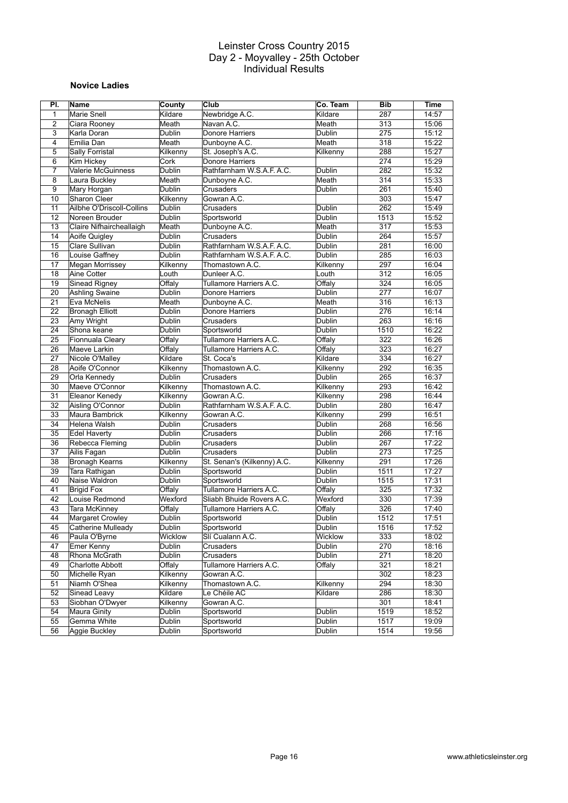#### **Novice Ladies**

| PI.            | Name                              | County        | Club                          | Co. Team      | <b>Bib</b> | <b>Time</b> |
|----------------|-----------------------------------|---------------|-------------------------------|---------------|------------|-------------|
| 1              | <b>Marie Snell</b>                | Kildare       | Newbridge A.C.                | Kildare       | 287        | 14:57       |
| 2              | Ciara Rooney                      | Meath         | Navan A.C.                    | Meath         | 313        | 15:06       |
| 3              | Karla Doran                       | Dublin        | Donore Harriers               | <b>Dublin</b> | 275        | 15:12       |
| 4              | Emilia Dan                        | Meath         | Dunboyne A.C.                 | Meath         | 318        | 15:22       |
| 5              | Sally Forristal                   | Kilkenny      | St. Joseph's A.C.             | Kilkenny      | 288        | 15:27       |
| 6              | Kim Hickey                        | Cork          | Donore Harriers               |               | 274        | 15:29       |
| $\overline{7}$ | <b>Valerie McGuinness</b>         | <b>Dublin</b> | Rathfarnham W.S.A.F.A.C.      | <b>Dublin</b> | 282        | 15:32       |
| 8              | Laura Buckley                     | Meath         | Dunboyne A.C.                 | Meath         | 314        | 15:33       |
| 9              | Mary Horgan                       | <b>Dublin</b> | Crusaders                     | Dublin        | 261        | 15:40       |
| 10             | Sharon Cleer                      | Kilkenny      | Gowran A.C.                   |               | 303        | 15:47       |
| 11             | Ailbhe O'Driscoll-Collins         | Dublin        | Crusaders                     | Dublin        | 262        | 15:49       |
| 12             | Noreen Brouder                    | Dublin        | Sportsworld                   | Dublin        | 1513       | 15:52       |
| 13             | Claire Nifhaircheallaigh          | Meath         | Dunboyne A.C.                 | Meath         | 317        | 15:53       |
| 14             | Aoife Quigley                     | Dublin        | Crusaders                     | Dublin        | 264        | 15:57       |
| 15             | Clare Sullivan                    | Dublin        | Rathfarnham W.S.A.F. A.C.     | Dublin        | 281        | 16:00       |
| 16             | Louise Gaffney                    | Dublin        | Rathfarnham W.S.A.F. A.C.     | Dublin        | 285        | 16:03       |
| 17             | Megan Morrissey                   | Kilkenny      | Thomastown A.C.               | Kilkenny      | 297        | 16:04       |
| 18             | Aine Cotter                       | Louth         | Dunleer A.C.                  | Louth         | 312        | 16:05       |
| 19             | Sinead Rigney                     | Offaly        | Tullamore Harriers A.C.       | Offaly        | 324        | 16:05       |
| 20             | Ashling Swaine                    | Dublin        | Donore Harriers               | Dublin        | 277        | 16:07       |
| 21             | Eva McNelis                       | Meath         | Dunboyne A.C.                 | Meath         | 316        | 16:13       |
| 22             | <b>Bronagh Elliott</b>            | Dublin        | <b>Donore Harriers</b>        | Dublin        | 276        | 16:14       |
| 23             | Amy Wright                        | <b>Dublin</b> | Crusaders                     | Dublin        | 263        | 16:16       |
| 24             | Shona keane                       | Dublin        | Sportsworld                   | Dublin        | 1510       | 16:22       |
| 25             | Fionnuala Cleary                  | Offaly        | Tullamore Harriers A.C.       | Offaly        | 322        | 16:26       |
| 26             |                                   | Offalv        | Tullamore Harriers A.C.       | Offaly        | 323        |             |
|                | Maeve Larkin                      |               |                               |               |            | 16:27       |
| 27             | Nicole O'Malley<br>Aoife O'Connor | Kildare       | St. Coca's<br>Thomastown A.C. | Kildare       | 334<br>292 | 16:27       |
| 28<br>29       |                                   | Kilkenny      |                               | Kilkenny      | 265        | 16:35       |
|                | Orla Kennedy                      | Dublin        | Crusaders                     | Dublin        |            | 16:37       |
| 30             | Maeve O'Connor                    | Kilkenny      | Thomastown A.C.               | Kilkenny      | 293        | 16:42       |
| 31             | Eleanor Kenedy                    | Kilkenny      | Gowran A.C.                   | Kilkenny      | 298        | 16:44       |
| 32             | Aisling O'Connor                  | Dublin        | Rathfarnham W.S.A.F. A.C.     | Dublin        | 280        | 16:47       |
| 33             | Maura Bambrick                    | Kilkenny      | Gowran A.C.                   | Kilkenny      | 299        | 16:51       |
| 34             | Helena Walsh                      | Dublin        | Crusaders                     | <b>Dublin</b> | 268        | 16:56       |
| 35             | <b>Edel Haverty</b>               | Dublin        | Crusaders                     | Dublin        | 266        | 17:16       |
| 36             | Rebecca Fleming                   | Dublin        | Crusaders                     | Dublin        | 267        | 17:22       |
| 37             | Ailis Fagan                       | <b>Dublin</b> | Crusaders                     | Dublin        | 273        | 17:25       |
| 38             | Bronagh Kearns                    | Kilkenny      | St. Senan's (Kilkenny) A.C.   | Kilkenny      | 291        | 17:26       |
| 39             | Tara Rathigan                     | Dublin        | Sportsworld                   | Dublin        | 1511       | 17:27       |
| 40             | Naise Waldron                     | Dublin        | Sportsworld                   | Dublin        | 1515       | 17:31       |
| 41             | <b>Brigid Fox</b>                 | Offaly        | Tullamore Harriers A.C.       | Offaly        | 325        | 17:32       |
| 42             | Louise Redmond                    | Wexford       | Sliabh Bhuide Rovers A.C.     | Wexford       | 330        | 17:39       |
| 43             | <b>Tara McKinney</b>              | Offaly        | Tullamore Harriers A.C.       | Offaly        | 326        | 17:40       |
| 44             | Margaret Crowley                  | Dublin        | Sportsworld                   | Dublin        | 1512       | 17:51       |
| 45             | Catherine Mulleady                | <b>Dublin</b> | Sportsworld                   | <b>Dublin</b> | 1516       | 17:52       |
| 46             | Paula O'Byrne                     | Wicklow       | Slí Cualann A.C.              | Wicklow       | 333        | 18:02       |
| 47             | Emer Kenny                        | Dublin        | Crusaders                     | Dublin        | 270        | 18:16       |
| 48             | Rhona McGrath                     | <b>Dublin</b> | Crusaders                     | Dublin        | 271        | 18:20       |
| 49             | Charlotte Abbott                  | Offaly        | Tullamore Harriers A.C.       | Offaly        | 321        | 18:21       |
| 50             | Michelle Ryan                     | Kilkenny      | Gowran A.C.                   |               | 302        | 18:23       |
| 51             | Niamh O'Shea                      | Kilkenny      | Thomastown A.C.               | Kilkenny      | 294        | 18:30       |
| 52             | Sinead Leavy                      | Kildare       | Le Chéile AC                  | Kildare       | 286        | 18:30       |
| 53             | Siobhan O'Dwyer                   | Kilkenny      | Gowran A.C.                   |               | 301        | 18:41       |
| 54             | Maura Ginity                      | Dublin        | Sportsworld                   | Dublin        | 1519       | 18:52       |
| 55             | Gemma White                       | <b>Dublin</b> | Sportsworld                   | Dublin        | 1517       | 19:09       |
| 56             | Aggie Buckley                     | <b>Dublin</b> | Sportsworld                   | Dublin        | 1514       | 19:56       |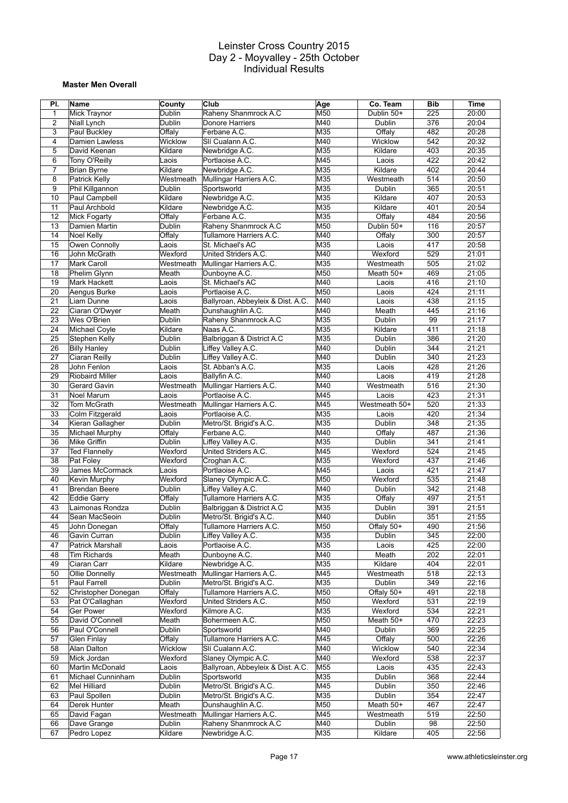#### **Master Men Overall**

| PI.            | Name                                           | <b>County</b>  | Club                              | Age             | Co. Team       | <b>Bib</b> | <b>Time</b>    |
|----------------|------------------------------------------------|----------------|-----------------------------------|-----------------|----------------|------------|----------------|
| $\mathbf{1}$   | Mick Traynor                                   | Dublin         | Raheny Shanmrock A.C              | M50             | Dublin 50+     | 225        | 20:00          |
| $\overline{2}$ | Niall Lynch                                    | Dublin         | Donore Harriers                   | M40             | Dublin         | 376        | 20:04          |
| 3              | Paul Buckley                                   | Offaly         | Ferbane A.C.                      | M35             | Offaly         | 482        | 20:28          |
| 4              | Damien Lawless                                 | Wicklow        | Slí Cualann A.C.                  | M40             | Wicklow        | 542        | 20:32          |
| 5              | David Keenan                                   | Kildare        | Newbridge A.C.                    | M35             | Kildare        | 403        | 20:35          |
| 6              | Tony O'Reilly                                  | Laois          | Portlaoise A.C.                   | M45             | Laois          | 422        | 20:42          |
| $\overline{7}$ | <b>Brian Byrne</b>                             | Kildare        | Newbridge A.C.                    | M35             | Kildare        | 402        | 20:44          |
| 8              | Patrick Kelly                                  | Westmeath      | Mullingar Harriers A.C.           | M35             | Westmeath      | 514        | 20:50          |
| 9              | Phil Killgannon                                | Dublin         | Sportsworld                       | M35             | Dublin         | 365        | 20:51          |
| 10             | Paul Campbell                                  | Kildare        | Newbridge A.C.                    | M35             | Kildare        | 407        | 20:53          |
| 11             | Paul Archbold                                  | Kildare        | Newbridge A.C.                    | M35             | Kildare        | 401        | 20:54          |
| 12             | Mick Fogarty                                   | Offaly         | Ferbane A.C.                      | M35             | Offaly         | 484        | 20:56          |
| 13             | Damien Martin                                  | Dublin         | Raheny Shanmrock A.C              | M50             | Dublin 50+     | 116        | 20:57          |
| 14             | Noel Kelly                                     | Offaly         | Tullamore Harriers A.C.           | M40             | Offaly         | 300        | 20:57          |
| 15             | Owen Connolly                                  | Laois          | St. Michael's AC                  | M35             | Laois          | 417        | 20:58          |
| 16             | John McGrath                                   | Wexford        | United Striders A.C.              | M40             | Wexford        | 529        | 21:01          |
| 17             | <b>Mark Caroll</b>                             | Westmeath      | Mullingar Harriers A.C.           | M35             | Westmeath      | 505        | 21:02          |
| 18             | <b>Phelim Glynn</b>                            | Meath          | Dunboyne A.C.                     | M50             | Meath 50+      | 469        | 21:05          |
| 19             | Mark Hackett                                   | Laois          | St. Michael's AC                  | M40             | Laois          | 416        | 21:10          |
| 20             | Aengus Burke                                   | Laois          | Portlaoise A.C.                   | M50             | Laois          | 424        | 21:11          |
| 21             | Liam Dunne                                     | Laois          | Ballyroan, Abbeyleix & Dist. A.C. | M40             | Laois          | 438        | 21:15          |
| 22             | Ciaran O'Dwyer                                 | Meath          | Dunshaughlin A.C.                 | M40             | Meath          | 445        | 21:16          |
| 23             | Wes O'Brien                                    | Dublin         | Raheny Shanmrock A.C              | M35             | Dublin         | 99         | 21:17          |
| 24             | Michael Coyle                                  | Kildare        | Naas A.C.                         | M35             | Kildare        | 411        | 21:18          |
| 25             | Stephen Kelly                                  | Dublin         | Balbriggan & District A.C         | M35             | Dublin         | 386        | 21:20          |
| 26             | <b>Billy Hanley</b>                            | Dublin         | Liffey Valley A.C.                | M40             | Dublin         | 344        | 21:21          |
| 27             | Ciaran Reilly                                  | Dublin         | Liffey Valley A.C.                | M40             | Dublin         | 340        | 21:23          |
| 28             | John Fenlon                                    | Laois          | St. Abban's A.C.                  | M35             | Laois          | 428        | 21:26          |
| 29             | <b>Riobaird Miller</b>                         | Laois          | Ballyfin A.C.                     | M40             | Laois          | 419        | 21:28          |
| 30             | Gerard Gavin                                   | Westmeath      | Mullingar Harriers A.C.           | M40             | Westmeath      | 516        | 21:30          |
| 31             | Noel Marum                                     | Laois          | Portlaoise A.C.                   | M45             | Laois          | 423        | 21:31          |
| 32             | Tom McGrath                                    | Westmeath      | Mullingar Harriers A.C.           | M45             | Westmeath 50+  | 520        | 21:33          |
| 33             | Colm Fitzgerald                                | Laois          | Portlaoise A.C.                   | M35             | Laois          | 420        | 21:34          |
| 34             | Kieran Gallagher                               | Dublin         | Metro/St. Brigid's A.C.           | M35             | Dublin         | 348        | 21:35          |
| 35             | Michael Murphy                                 | Offaly         | Ferbane A.C.                      | M40             | Offaly         | 487        | 21:36          |
| 36             | Mike Griffin                                   | Dublin         | Liffey Valley A.C.                | M35             | Dublin         | 341        | 21:41          |
| 37             | <b>Ted Flannelly</b>                           | Wexford        | United Striders A.C.              | M45             | Wexford        | 524        | 21:45          |
| 38             | Pat Foley                                      | Wexford        | Croghan A.C.                      | M35             | Wexford        | 437        | 21:46          |
| 39             | James McCormack                                | Laois          | Portlaoise A.C.                   | M45             | Laois          | 421        | 21:47          |
| 40             | Kevin Murphy                                   | Wexford        | Slaney Olympic A.C.               | M50             | Wexford        | 535        | 21:48          |
| 41             | <b>Brendan Beere</b>                           | Dublin         | Liffey Valley A.C.                | M40             | Dublin         | 342        | 21:48          |
| 42             | Eddie Garry                                    | Offaly         | Tullamore Harriers A.C.           | M35             | Offaly         | 497        | 21:51          |
| 43             | Laimonas Rondza                                | Dublin         | Balbriggan & District A.C         | M35             | Dublin         | 391        | 21:51          |
| 44             | Sean MacSeoin                                  | Dublin         | Metro/St. Brigid's A.C.           | M40             | Dublin         | 351        | 21:55          |
| 45             | John Donegan                                   | Offaly         | Tullamore Harriers A.C.           | M <sub>50</sub> | Offaly 50+     | 490        | 21:56          |
| 46             | Gavin Curran                                   | Dublin         | Liffey Valley A.C.                | M35             | Dublin         | 345        | 22:00          |
|                |                                                |                | Portlaoise A.C.                   |                 |                |            |                |
| 47<br>48       | <b>Patrick Marshall</b><br><b>Tim Richards</b> | Laois<br>Meath | Dunboyne A.C.                     | M35<br>M40      | Laois<br>Meath | 425<br>202 | 22:00<br>22:01 |
|                |                                                | Kildare        |                                   | M35             | Kildare        |            |                |
| 49             | Ciaran Carr                                    |                | Newbridge A.C.                    |                 |                | 404        | 22:01          |
| 50             | Ollie Donnelly                                 | Westmeath      | Mullingar Harriers A.C.           | M45             | Westmeath      | 518        | 22:13          |
| 51             | Paul Farrell                                   | Dublin         | Metro/St. Brigid's A.C.           | M35             | Dublin         | 349        | 22:16          |
| 52             | Christopher Donegan                            | Offaly         | Tullamore Harriers A.C.           | M50             | Offaly 50+     | 491        | 22:18          |
| 53             | Pat O'Callaghan                                | Wexford        | United Striders A.C.              | M50             | Wexford        | 531        | 22:19          |
| 54             | <b>Ger Power</b>                               | Wexford        | Kilmore A.C.                      | M35             | Wexford        | 534        | 22:21          |
| 55             | David O'Connell                                | Meath          | Bohermeen A.C.                    | M50             | Meath 50+      | 470        | 22:23          |
| 56             | Paul O'Connell                                 | Dublin         | Sportsworld                       | M40             | Dublin         | 369        | 22:25          |
| 57             | <b>Glen Finlay</b>                             | Offaly         | Tullamore Harriers A.C.           | M45             | Offaly         | 500        | 22:26          |
| 58             | Alan Dalton                                    | Wicklow        | Slí Cualann A.C.                  | M40             | Wicklow        | 540        | 22:34          |
| 59             | Mick Jordan                                    | Wexford        | Slaney Olympic A.C.               | M40             | Wexford        | 538        | 22:37          |
| 60             | Martin McDonald                                | Laois          | Ballyroan, Abbeyleix & Dist. A.C. | M55             | Laois          | 435        | 22:43          |
| 61             | Michael Cunninham                              | Dublin         | Sportsworld                       | M35             | Dublin         | 368        | 22:44          |
| 62             | Mel Hilliard                                   | Dublin         | Metro/St. Brigid's A.C.           | M45             | Dublin         | 350        | 22:46          |
| 63             | Paul Spollen                                   | Dublin         | Metro/St. Brigid's A.C.           | M35             | <b>Dublin</b>  | 354        | 22:47          |
| 64             | Derek Hunter                                   | Meath          | Dunshaughlin A.C.                 | M50             | Meath 50+      | 467        | 22:47          |
| 65             | David Fagan                                    | Westmeath      | Mullingar Harriers A.C.           | M45             | Westmeath      | 519        | 22:50          |
| 66             | Dave Grange                                    | <b>Dublin</b>  | Raheny Shanmrock A.C              | M40             | Dublin         | 98         | 22:50          |
| 67             | Pedro Lopez                                    | Kildare        | Newbridge A.C.                    | M35             | Kildare        | 405        | 22:56          |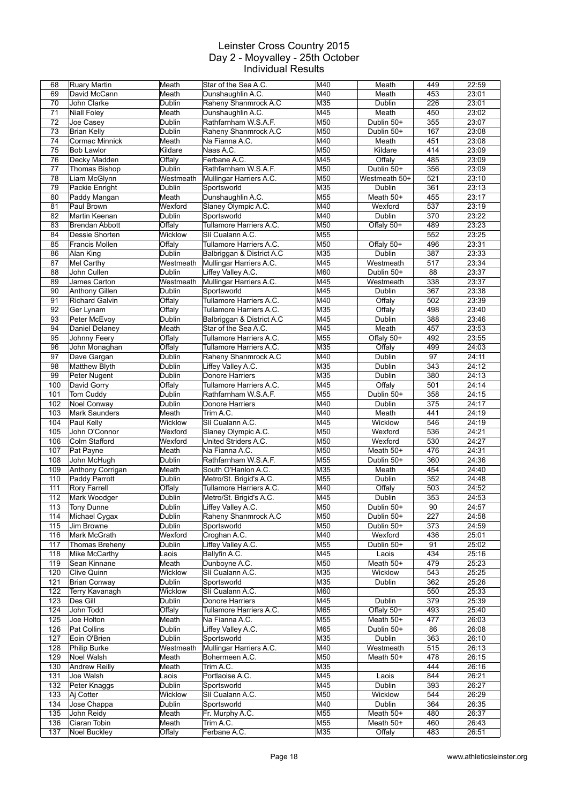| 68  | <b>Ruary Martin</b>   | Meath         | Star of the Sea A.C.      | M40 | Meath         | 449             | 22:59 |
|-----|-----------------------|---------------|---------------------------|-----|---------------|-----------------|-------|
| 69  | David McCann          | Meath         | Dunshaughlin A.C.         | M40 | Meath         | 453             | 23:01 |
| 70  | John Clarke           | Dublin        | Raheny Shanmrock A.C      | M35 | Dublin        | 226             | 23:01 |
| 71  | <b>Niall Foley</b>    | Meath         | Dunshaughlin A.C.         | M45 | Meath         | 450             | 23:02 |
| 72  | Joe Casey             | Dublin        | Rathfarnham W.S.A.F.      | M50 | Dublin 50+    | 355             | 23:07 |
| 73  |                       |               | Raheny Shanmrock A.C      | M50 |               |                 |       |
|     | <b>Brian Kelly</b>    | Dublin        |                           |     | Dublin 50+    | 167             | 23:08 |
| 74  | Cormac Minnick        | Meath         | Na Fianna A.C.            | M40 | Meath         | 451             | 23:08 |
| 75  | <b>Bob Lawlor</b>     | Kildare       | Naas A.C.                 | M50 | Kildare       | 414             | 23:09 |
| 76  | Decky Madden          | Offaly        | Ferbane A.C.              | M45 | Offaly        | 485             | 23:09 |
| 77  | Thomas Bishop         | Dublin        | Rathfarnham W.S.A.F.      | M50 | Dublin 50+    | 356             | 23:09 |
| 78  | Liam McGlynn          | Westmeath     | Mullingar Harriers A.C.   | M50 | Westmeath 50+ | 521             | 23:10 |
| 79  | Packie Enright        | Dublin        | Sportsworld               | M35 | Dublin        | 361             | 23:13 |
| 80  | Paddy Mangan          | Meath         | Dunshaughlin A.C.         | M55 | Meath 50+     | 455             | 23:17 |
| 81  | Paul Brown            | Wexford       | Slaney Olympic A.C.       | M40 | Wexford       | 537             | 23:19 |
|     |                       |               |                           |     |               |                 |       |
| 82  | Martin Keenan         | Dublin        | Sportsworld               | M40 | Dublin        | 370             | 23:22 |
| 83  | <b>Brendan Abbott</b> | Offaly        | Tullamore Harriers A.C.   | M50 | Offaly 50+    | 489             | 23:23 |
| 84  | Dessie Shorten        | Wicklow       | Slí Cualann A.C.          | M55 |               | 552             | 23:25 |
| 85  | <b>Francis Mollen</b> | Offaly        | Tullamore Harriers A.C.   | M50 | Offaly 50+    | 496             | 23:31 |
| 86  | Alan King             | Dublin        | Balbriggan & District A.C | M35 | Dublin        | 387             | 23:33 |
| 87  | Mel Carthy            | Westmeath     | Mullingar Harriers A.C.   | M45 | Westmeath     | 517             | 23:34 |
| 88  | John Cullen           | Dublin        | Liffey Valley A.C.        | M60 | Dublin 50+    | 88              | 23:37 |
| 89  | James Carton          | Westmeath     | Mullingar Harriers A.C.   | M45 | Westmeath     | 338             | 23:37 |
| 90  | Anthony Gillen        | Dublin        | Sportsworld               | M45 | Dublin        | 367             | 23:38 |
|     |                       |               |                           |     |               |                 |       |
| 91  | <b>Richard Galvin</b> | Offaly        | Tullamore Harriers A.C.   | M40 | Offaly        | 502             | 23:39 |
| 92  | Ger Lynam             | Offaly        | Tullamore Harriers A.C.   | M35 | Offaly        | 498             | 23:40 |
| 93  | Peter McEvoy          | Dublin        | Balbriggan & District A.C | M45 | Dublin        | 388             | 23:46 |
| 94  | Daniel Delaney        | Meath         | Star of the Sea A.C.      | M45 | Meath         | 457             | 23:53 |
| 95  | Johnny Feery          | Offaly        | Tullamore Harriers A.C.   | M55 | Offaly 50+    | 492             | 23:55 |
| 96  | John Monaghan         | Offaly        | Tullamore Harriers A.C.   | M35 | Offaly        | 499             | 24:03 |
| 97  | Dave Gargan           | Dublin        | Raheny Shanmrock A.C      | M40 | Dublin        | 97              | 24:11 |
| 98  | <b>Matthew Blyth</b>  | Dublin        | Liffey Valley A.C.        | M35 | Dublin        | 343             | 24:12 |
| 99  |                       |               |                           | M35 |               | 380             |       |
|     | Peter Nugent          | Dublin        | Donore Harriers           |     | Dublin        |                 | 24:13 |
| 100 | David Gorry           | Offaly        | Tullamore Harriers A.C.   | M45 | Offaly        | 501             | 24:14 |
| 101 | Tom Cuddy             | Dublin        | Rathfarnham W.S.A.F.      | M55 | Dublin 50+    | 358             | 24:15 |
| 102 | Noel Conway           | Dublin        | Donore Harriers           | M40 | Dublin        | 375             | 24:17 |
| 103 | <b>Mark Saunders</b>  | Meath         | Trim A.C.                 | M40 | Meath         | 441             | 24:19 |
| 104 | Paul Kelly            | Wicklow       | Slí Cualann A.C.          | M45 | Wicklow       | 546             | 24:19 |
| 105 | John O'Connor         | Wexford       | Slaney Olympic A.C.       | M50 | Wexford       | 536             | 24:21 |
| 106 | Colm Stafford         | Wexford       | United Striders A.C.      | M50 | Wexford       | 530             | 24:27 |
| 107 | Pat Payne             | Meath         | Na Fianna A.C.            | M50 | Meath 50+     | 476             | 24:31 |
| 108 | John McHugh           | Dublin        | Rathfarnham W.S.A.F.      | M55 | Dublin 50+    | 360             | 24:36 |
|     |                       |               |                           |     |               |                 |       |
| 109 | Anthony Corrigan      | Meath         | South O'Hanlon A.C.       | M35 | Meath         | 454             | 24:40 |
| 110 | Paddy Parrott         | Dublin        | Metro/St. Brigid's A.C.   | M55 | Dublin        | 352             | 24:48 |
| 111 | <b>Rory Farrell</b>   | Offaly        | Tullamore Harriers A.C.   | M40 | Offaly        | 503             | 24:52 |
| 112 | Mark Woodger          | Dublin        | Metro/St. Brigid's A.C.   | M45 | Dublin        | 353             | 24:53 |
| 113 | Tony Dunne            | <b>Dublin</b> | Liffey Valley A.C.        | M50 | Dublin 50+    | $\overline{90}$ | 24:57 |
| 114 | Michael Cygax         | <b>Dublin</b> | Raheny Shanmrock A.C      | M50 | Dublin 50+    | 227             | 24:58 |
| 115 | Jim Browne            | Dublin        | Sportsworld               | M50 | Dublin 50+    | 373             | 24:59 |
| 116 | Mark McGrath          | Wexford       | Croghan A.C.              | M40 | Wexford       | 436             | 25:01 |
|     |                       |               | Liffey Valley A.C.        |     |               |                 |       |
| 117 | Thomas Breheny        | Dublin        |                           | M55 | Dublin 50+    | 91              | 25:02 |
| 118 | Mike McCarthy         | Laois         | Ballyfin A.C.             | M45 | Laois         | 434             | 25:16 |
| 119 | Sean Kinnane          | Meath         | Dunboyne A.C.             | M50 | Meath 50+     | 479             | 25:23 |
| 120 | Clive Quinn           | Wicklow       | Slí Cualann A.C.          | M35 | Wicklow       | 543             | 25:25 |
| 121 | Brian Conway          | Dublin        | Sportsworld               | M35 | Dublin        | 362             | 25:26 |
| 122 | Terry Kavanagh        | Wicklow       | Slí Cualann A.C.          | M60 |               | 550             | 25:33 |
| 123 | Des Gill              | Dublin        | Donore Harriers           | M45 | Dublin        | 379             | 25:39 |
| 124 | John Todd             | Offaly        | Tullamore Harriers A.C.   | M65 | Offaly 50+    | 493             | 25:40 |
| 125 | Joe Holton            | Meath         | Na Fianna A.C.            | M55 | Meath 50+     | 477             | 26:03 |
|     |                       |               |                           |     |               |                 |       |
| 126 | Pat Collins           | Dublin        | Liffey Valley A.C.        | M65 | Dublin 50+    | 86              | 26:08 |
| 127 | Eoin O'Brien          | Dublin        | Sportsworld               | M35 | Dublin        | 363             | 26:10 |
| 128 | Philip Burke          | Westmeath     | Mullingar Harriers A.C.   | M40 | Westmeath     | 515             | 26:13 |
| 129 | Noel Walsh            | Meath         | Bohermeen A.C.            | M50 | Meath 50+     | 478             | 26:15 |
| 130 | <b>Andrew Reilly</b>  | Meath         | Trim A.C.                 | M35 |               | 444             | 26:16 |
| 131 | Joe Walsh             | Laois         | Portlaoise A.C.           | M45 | Laois         | 844             | 26:21 |
| 132 | Peter Knaggs          | Dublin        | Sportsworld               | M45 | Dublin        | 393             | 26:27 |
| 133 | Aj Cotter             | Wicklow       | Slí Cualann A.C.          | M50 | Wicklow       | 544             | 26:29 |
| 134 | Jose Chappa           |               | Sportsworld               | M40 | Dublin        | 364             | 26:35 |
|     |                       | Dublin        |                           |     |               |                 |       |
| 135 | John Reidy            | Meath         | Fr. Murphy A.C.           | M55 | Meath 50+     | 480             | 26:37 |
| 136 | Ciaran Tobin          | Meath         | Trim A.C.                 | M55 | Meath 50+     | 460             | 26:43 |
| 137 | <b>Noel Buckley</b>   | Offaly        | Ferbane A.C.              | M35 | Offaly        | 483             | 26:51 |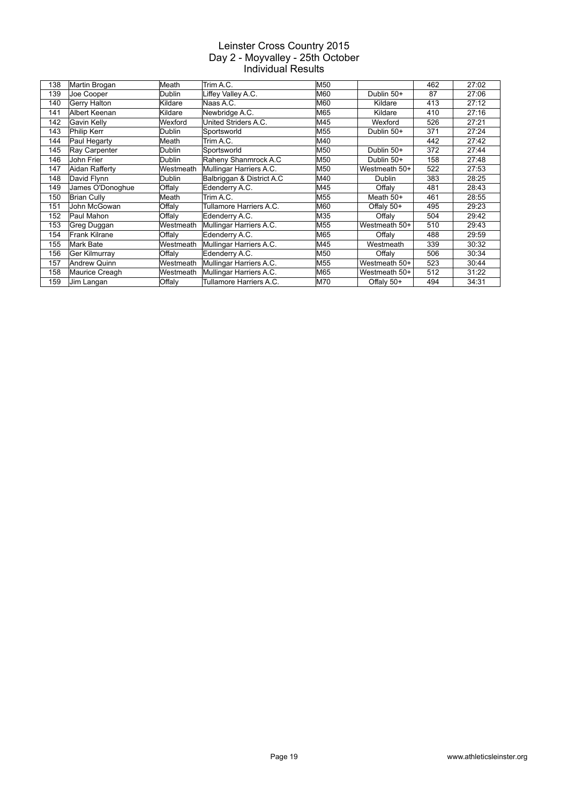| 138 | Martin Brogan       | Meath            | Trim A.C.                 | M50        |               | 462 | 27:02 |
|-----|---------------------|------------------|---------------------------|------------|---------------|-----|-------|
| 139 | Joe Cooper          | Dublin           | Liffey Valley A.C.        | M60        | Dublin 50+    | 87  | 27:06 |
| 140 | Gerry Halton        | Kildare          | Naas A.C.                 | IM60       | Kildare       | 413 | 27:12 |
| 141 | Albert Keenan       | Kildare          | Newbridge A.C.            | M65        | Kildare       | 410 | 27:16 |
| 142 | Gavin Kelly         | Wexford          | United Striders A.C.      | M45        | Wexford       | 526 | 27:21 |
| 143 | Philip Kerr         | Dublin           | Sportsworld               | M55        | Dublin 50+    | 371 | 27:24 |
| 144 | Paul Hegarty        | Meath            | Trim A.C.                 | M40        |               | 442 | 27:42 |
| 145 | Ray Carpenter       | Dublin           | Sportsworld               | M50        | Dublin 50+    | 372 | 27:44 |
| 146 | John Frier          | Dublin           | Raheny Shanmrock A.C      | M50        | Dublin 50+    | 158 | 27:48 |
| 147 | Aidan Rafferty      | <b>Westmeath</b> | Mullingar Harriers A.C.   | M50        | Westmeath 50+ | 522 | 27:53 |
| 148 | David Flynn         | Dublin           | Balbriggan & District A.C | M40        | <b>Dublin</b> | 383 | 28:25 |
| 149 | James O'Donoghue    | Offaly           | Edenderry A.C.            | M45        | Offaly        | 481 | 28:43 |
| 150 | <b>Brian Cully</b>  | Meath            | Trim A.C.                 | M55        | Meath $50+$   | 461 | 28:55 |
| 151 | John McGowan        | Offaly           | Tullamore Harriers A.C.   | M60        | Offaly 50+    | 495 | 29:23 |
| 152 | Paul Mahon          | Offaly           | Edenderry A.C.            | M35        | Offaly        | 504 | 29:42 |
| 153 | Greg Duggan         | Westmeath        | Mullingar Harriers A.C.   | M55        | Westmeath 50+ | 510 | 29:43 |
| 154 | Frank Kilrane       | Offaly           | Edenderry A.C.            | M65        | Offaly        | 488 | 29:59 |
| 155 | Mark Bate           | Westmeath        | Mullingar Harriers A.C.   | M45        | Westmeath     | 339 | 30:32 |
| 156 | Ger Kilmurray       | Offaly           | Edenderry A.C.            | M50        | Offaly        | 506 | 30:34 |
| 157 | <b>Andrew Quinn</b> | <b>Westmeath</b> | Mullingar Harriers A.C.   | M55        | Westmeath 50+ | 523 | 30:44 |
| 158 | Maurice Creagh      | Westmeath        | Mullingar Harriers A.C.   | M65        | Westmeath 50+ | 512 | 31:22 |
| 159 | Jim Langan          | Offaly           | Tullamore Harriers A.C.   | <b>M70</b> | Offaly 50+    | 494 | 34:31 |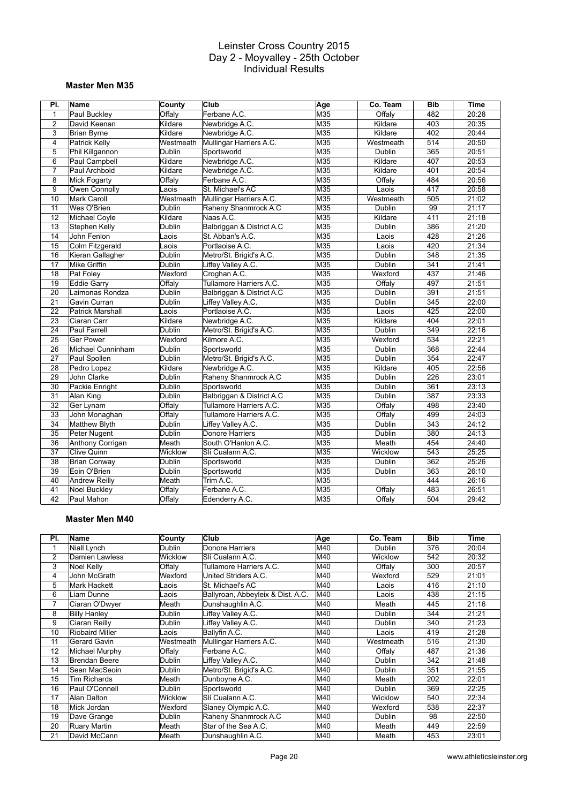#### **Master Men M35**

| PI.             | Name                    | County        | Club                      | Age | Co. Team      | <b>Bib</b>      | <b>Time</b> |
|-----------------|-------------------------|---------------|---------------------------|-----|---------------|-----------------|-------------|
| 1               | Paul Buckley            | Offaly        | Ferbane A.C.              | M35 | Offaly        | 482             | 20:28       |
| $\overline{2}$  | David Keenan            | Kildare       | Newbridge A.C.            | M35 | Kildare       | 403             | 20:35       |
| 3               | Brian Byrne             | Kildare       | Newbridge A.C.            | M35 | Kildare       | 402             | 20:44       |
| $\overline{4}$  | Patrick Kelly           | Westmeath     | Mullingar Harriers A.C.   | M35 | Westmeath     | 514             | 20:50       |
| 5               | Phil Killgannon         | <b>Dublin</b> | Sportsworld               | M35 | Dublin        | 365             | 20:51       |
| 6               | Paul Campbell           | Kildare       | Newbridge A.C.            | M35 | Kildare       | 407             | 20:53       |
| $\overline{7}$  | Paul Archbold           | Kildare       | Newbridge A.C.            | M35 | Kildare       | 401             | 20:54       |
| 8               | <b>Mick Fogarty</b>     | Offaly        | Ferbane A.C.              | M35 | Offaly        | 484             | 20:56       |
| 9               | Owen Connolly           | aois-         | St. Michael's AC          | M35 | Laois         | 417             | 20:58       |
| 10              | <b>Mark Caroll</b>      | Westmeath     | Mullingar Harriers A.C.   | M35 | Westmeath     | 505             | 21:02       |
| 11              | Wes O'Brien             | Dublin        | Raheny Shanmrock A.C      | M35 | Dublin        | 99              | 21:17       |
| 12              | Michael Coyle           | Kildare       | Naas A.C.                 | M35 | Kildare       | 411             | 21:18       |
| 13              | Stephen Kelly           | Dublin        | Balbriggan & District A.C | M35 | Dublin        | 386             | 21:20       |
| 14              | John Fenlon             | Laois         | St. Abban's A.C.          | M35 | Laois         | 428             | 21:26       |
| 15              | Colm Fitzgerald         | Laois         | Portlaoise A.C.           | M35 | Laois         | 420             | 21:34       |
| 16              | Kieran Gallagher        | <b>Dublin</b> | Metro/St. Brigid's A.C.   | M35 | Dublin        | 348             | 21:35       |
| $\overline{17}$ | <b>Mike Griffin</b>     | <b>Dublin</b> | Liffey Valley A.C.        | M35 | <b>Dublin</b> | 341             | 21:41       |
| 18              | Pat Foley               | Wexford       | Croghan A.C.              | M35 | Wexford       | 437             | 21:46       |
| 19              | Eddie Garry             | Offaly        | Tullamore Harriers A.C.   | M35 | Offaly        | 497             | 21:51       |
| 20              | Laimonas Rondza         | Dublin        | Balbriggan & District A.C | M35 | Dublin        | 391             | 21:51       |
| 21              | Gavin Curran            | Dublin        | Liffey Valley A.C.        | M35 | <b>Dublin</b> | 345             | 22:00       |
| 22              | <b>Patrick Marshall</b> | Laois         | Portlaoise A.C.           | M35 | Laois         | 425             | 22:00       |
| 23              | Ciaran Carr             | Kildare       | Newbridge A.C.            | M35 | Kildare       | 404             | 22:01       |
| 24              | Paul Farrell            | Dublin        | Metro/St. Brigid's A.C.   | M35 | Dublin        | 349             | 22:16       |
| 25              | <b>Ger Power</b>        | Wexford       | Kilmore A.C.              | M35 | Wexford       | 534             | 22:21       |
| 26              | Michael Cunninham       | Dublin        | Sportsworld               | M35 | Dublin        | 368             | 22:44       |
| 27              | Paul Spollen            | <b>Dublin</b> | Metro/St. Brigid's A.C.   | M35 | Dublin        | $\frac{1}{354}$ | 22:47       |
| 28              | Pedro Lopez             | Kildare       | Newbridge A.C.            | M35 | Kildare       | 405             | 22:56       |
| 29              | John Clarke             | <b>Dublin</b> | Raheny Shanmrock A.C      | M35 | <b>Dublin</b> | 226             | 23:01       |
| 30              | Packie Enright          | Dublin        | Sportsworld               | M35 | Dublin        | 361             | 23:13       |
| 31              | Alan King               | <b>Dublin</b> | Balbriggan & District A.C | M35 | Dublin        | 387             | 23:33       |
| $\overline{32}$ | Ger Lynam               | Offaly        | Tullamore Harriers A.C.   | M35 | Offaly        | 498             | 23:40       |
| 33              | John Monaghan           | Offaly        | Tullamore Harriers A.C.   | M35 | Offaly        | 499             | 24:03       |
| 34              | <b>Matthew Blyth</b>    | <b>Dublin</b> | Liffey Valley A.C.        | M35 | Dublin        | 343             | 24:12       |
| 35              | Peter Nugent            | Dublin        | Donore Harriers           | M35 | Dublin        | 380             | 24:13       |
| 36              | Anthony Corrigan        | Meath         | South O'Hanlon A.C.       | M35 | Meath         | 454             | 24:40       |
| 37              | <b>Clive Quinn</b>      | Wicklow       | Slí Cualann A.C.          | M35 | Wicklow       | 543             | 25:25       |
| 38              | <b>Brian Conway</b>     | Dublin        | Sportsworld               | M35 | Dublin        | 362             | 25:26       |
| 39              | Eoin O'Brien            | <b>Dublin</b> | Sportsworld               | M35 | <b>Dublin</b> | 363             | 26:10       |
| 40              | <b>Andrew Reilly</b>    | Meath         | Trim A.C.                 | M35 |               | 444             | 26:16       |
| 41              | <b>Noel Buckley</b>     | Offaly        | Ferbane A.C.              | M35 | Offaly        | 483             | 26:51       |
| 42              | Paul Mahon              | Offaly        | Edenderry A.C.            | M35 | Offaly        | 504             | 29:42       |

## **Master Men M40**

| PI. | Name                  | <b>County</b>  | Club                              | Age | Co. Team      | <b>Bib</b> | Time  |
|-----|-----------------------|----------------|-----------------------------------|-----|---------------|------------|-------|
|     | Niall Lynch           | Dublin         | Donore Harriers                   | M40 | <b>Dublin</b> | 376        | 20:04 |
| 2   | <b>Damien Lawless</b> | <b>Wicklow</b> | Slí Cualann A.C.                  | M40 | Wicklow       | 542        | 20:32 |
| 3   | Noel Kelly            | Offaly         | Tullamore Harriers A.C.           | M40 | Offalv        | 300        | 20:57 |
| 4   | John McGrath          | Wexford        | United Striders A.C.              | M40 | Wexford       | 529        | 21:01 |
| 5   | <b>Mark Hackett</b>   | Laois          | St. Michael's AC                  | M40 | Laois         | 416        | 21:10 |
| 6   | Liam Dunne            | _aois          | Ballyroan, Abbeyleix & Dist. A.C. | M40 | Laois         | 438        | 21:15 |
| 7   | Ciaran O'Dwyer        | Meath          | Dunshaughlin A.C.                 | M40 | Meath         | 445        | 21:16 |
| 8   | <b>Billy Hanley</b>   | Dublin         | Liffey Valley A.C.                | M40 | <b>Dublin</b> | 344        | 21:21 |
| 9   | Ciaran Reilly         | Dublin         | Liffey Valley A.C.                | M40 | Dublin        | 340        | 21:23 |
| 10  | Riobaird Miller       | Laois          | Ballyfin A.C.                     | M40 | Laois         | 419        | 21:28 |
| 11  | Gerard Gavin          | Westmeath      | Mullingar Harriers A.C.           | M40 | Westmeath     | 516        | 21:30 |
| 12  | Michael Murphy        | Offaly         | Ferbane A.C.                      | M40 | Offalv        | 487        | 21:36 |
| 13  | Brendan Beere         | Dublin         | Liffey Valley A.C.                | M40 | Dublin        | 342        | 21:48 |
| 14  | Sean MacSeoin         | Dublin         | Metro/St. Brigid's A.C.           | M40 | <b>Dublin</b> | 351        | 21:55 |
| 15  | <b>Tim Richards</b>   | Meath          | Dunboyne A.C.                     | M40 | Meath         | 202        | 22:01 |
| 16  | Paul O'Connell        | Dublin         | Sportsworld                       | M40 | <b>Dublin</b> | 369        | 22:25 |
| 17  | Alan Dalton           | <b>Wicklow</b> | Slí Cualann A.C.                  | M40 | Wicklow       | 540        | 22:34 |
| 18  | Mick Jordan           | Wexford        | Slaney Olympic A.C.               | M40 | Wexford       | 538        | 22:37 |
| 19  | Dave Grange           | Dublin         | Raheny Shanmrock A.C              | M40 | <b>Dublin</b> | 98         | 22:50 |
| 20  | <b>Ruary Martin</b>   | Meath          | Star of the Sea A.C.              | M40 | Meath         | 449        | 22:59 |
| 21  | David McCann          | Meath          | Dunshaughlin A.C.                 | M40 | Meath         | 453        | 23:01 |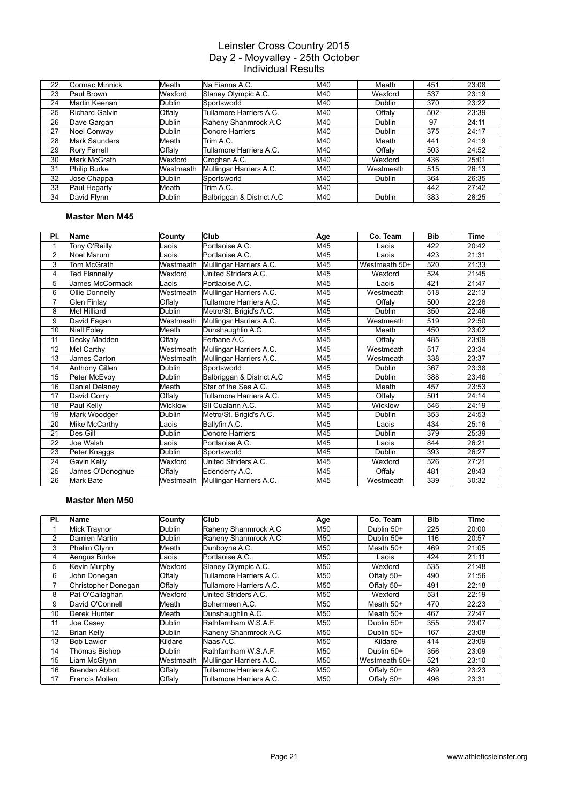| 22 | Cormac Minnick       | Meath            | Na Fianna A.C.            | M40 | Meath     | 451 | 23:08 |
|----|----------------------|------------------|---------------------------|-----|-----------|-----|-------|
| 23 | Paul Brown           | Wexford          | Slaney Olympic A.C.       | M40 | Wexford   | 537 | 23:19 |
| 24 | Martin Keenan        | Dublin           | Sportsworld               | M40 | Dublin    | 370 | 23:22 |
| 25 | Richard Galvin       | Offaly           | Tullamore Harriers A.C.   | M40 | Offaly    | 502 | 23:39 |
| 26 | Dave Gargan          | Dublin           | Raheny Shanmrock A.C      | M40 | Dublin    | 97  | 24:11 |
| 27 | Noel Conway          | Dublin           | Donore Harriers           | M40 | Dublin    | 375 | 24:17 |
| 28 | <b>Mark Saunders</b> | Meath            | Trim A.C.                 | M40 | Meath     | 441 | 24:19 |
| 29 | Rory Farrell         | Offaly           | Tullamore Harriers A.C.   | M40 | Offaly    | 503 | 24:52 |
| 30 | Mark McGrath         | Wexford          | Croghan A.C.              | M40 | Wexford   | 436 | 25:01 |
| 31 | Philip Burke         | <b>Westmeath</b> | Mullingar Harriers A.C.   | M40 | Westmeath | 515 | 26:13 |
| 32 | Jose Chappa          | Dublin           | Sportsworld               | M40 | Dublin    | 364 | 26:35 |
| 33 | Paul Hegarty         | Meath            | Trim A.C.                 | M40 |           | 442 | 27:42 |
| 34 | David Flynn          | Dublin           | Balbriggan & District A.C | M40 | Dublin    | 383 | 28:25 |

#### **Master Men M45**

| PI.            | <b>Name</b>          | County    | Club                      | Age | Co. Team      | <b>Bib</b> | Time  |
|----------------|----------------------|-----------|---------------------------|-----|---------------|------------|-------|
| 1              | Tony O'Reilly        | Laois     | Portlaoise A.C.           | M45 | Laois         | 422        | 20:42 |
| $\overline{2}$ | Noel Marum           | Laois     | Portlaoise A.C.           | M45 | Laois         | 423        | 21:31 |
| 3              | Tom McGrath          | Westmeath | Mullingar Harriers A.C.   | M45 | Westmeath 50+ | 520        | 21:33 |
| 4              | <b>Ted Flannelly</b> | Wexford   | United Striders A.C.      | M45 | Wexford       | 524        | 21:45 |
| 5              | James McCormack      | Laois     | Portlaoise A.C.           | M45 | Laois         | 421        | 21:47 |
| 6              | Ollie Donnelly       | Westmeath | Mullingar Harriers A.C.   | M45 | Westmeath     | 518        | 22:13 |
| $\overline{7}$ | Glen Finlay          | Offaly    | Tullamore Harriers A.C.   | M45 | Offalv        | 500        | 22:26 |
| 8              | Mel Hilliard         | Dublin    | Metro/St. Brigid's A.C.   | M45 | Dublin        | 350        | 22:46 |
| 9              | David Fagan          | Westmeath | Mullingar Harriers A.C.   | M45 | Westmeath     | 519        | 22:50 |
| 10             | <b>Niall Foley</b>   | Meath     | Dunshaughlin A.C.         | M45 | Meath         | 450        | 23:02 |
| 11             | Decky Madden         | Offaly    | Ferbane A.C.              | M45 | Offaly        | 485        | 23:09 |
| 12             | Mel Carthy           | Westmeath | Mullingar Harriers A.C.   | M45 | Westmeath     | 517        | 23:34 |
| 13             | James Carton         | Westmeath | Mullingar Harriers A.C.   | M45 | Westmeath     | 338        | 23:37 |
| 14             | Anthony Gillen       | Dublin    | Sportsworld               | M45 | Dublin        | 367        | 23:38 |
| 15             | Peter McEvoy         | Dublin    | Balbriggan & District A.C | M45 | Dublin        | 388        | 23:46 |
| 16             | Daniel Delaney       | Meath     | Star of the Sea A.C.      | M45 | Meath         | 457        | 23:53 |
| 17             | David Gorry          | Offaly    | Tullamore Harriers A.C.   | M45 | Offalv        | 501        | 24:14 |
| 18             | Paul Kelly           | Wicklow   | Slí Cualann A.C.          | M45 | Wicklow       | 546        | 24:19 |
| 19             | Mark Woodger         | Dublin    | Metro/St. Brigid's A.C.   | M45 | Dublin        | 353        | 24:53 |
| 20             | Mike McCarthy        | Laois     | Ballyfin A.C.             | M45 | Laois         | 434        | 25:16 |
| 21             | Des Gill             | Dublin    | Donore Harriers           | M45 | Dublin        | 379        | 25:39 |
| 22             | Joe Walsh            | Laois     | Portlaoise A.C.           | M45 | Laois         | 844        | 26:21 |
| 23             | Peter Knaggs         | Dublin    | Sportsworld               | M45 | Dublin        | 393        | 26:27 |
| 24             | Gavin Kelly          | Wexford   | United Striders A.C.      | M45 | Wexford       | 526        | 27:21 |
| 25             | James O'Donoghue     | Offaly    | Edenderry A.C.            | M45 | Offaly        | 481        | 28:43 |
| 26             | Mark Bate            | Westmeath | Mullingar Harriers A.C.   | M45 | Westmeath     | 339        | 30:32 |

#### **Master Men M50**

| PI.            | Name                | County    | Club                    | Age | Co. Team      | <b>Bib</b> | Time  |
|----------------|---------------------|-----------|-------------------------|-----|---------------|------------|-------|
|                | Mick Traynor        | Dublin    | Raheny Shanmrock A.C    | M50 | Dublin 50+    | 225        | 20:00 |
| $\overline{2}$ | Damien Martin       | Dublin    | Raheny Shanmrock A.C    | M50 | Dublin 50+    | 116        | 20:57 |
| 3              | Phelim Glynn        | Meath     | Dunbovne A.C.           | M50 | Meath 50+     | 469        | 21:05 |
| 4              | Aengus Burke        | _aois     | Portlaoise A.C.         | M50 | Laois         | 424        | 21:11 |
| 5              | Kevin Murphy        | Wexford   | Slaney Olympic A.C.     | M50 | Wexford       | 535        | 21:48 |
| 6              | John Donegan        | Offaly    | Tullamore Harriers A.C. | M50 | Offaly 50+    | 490        | 21:56 |
| 7              | Christopher Donegan | Offaly    | Tullamore Harriers A.C. | M50 | Offaly 50+    | 491        | 22:18 |
| 8              | Pat O'Callaghan     | Wexford   | United Striders A.C.    | M50 | Wexford       | 531        | 22:19 |
| 9              | David O'Connell     | Meath     | Bohermeen A.C.          | M50 | Meath 50+     | 470        | 22:23 |
| 10             | Derek Hunter        | Meath     | Dunshaughlin A.C.       | M50 | Meath 50+     | 467        | 22:47 |
| 11             | Joe Casey           | Dublin    | Rathfarnham W.S.A.F.    | M50 | Dublin 50+    | 355        | 23:07 |
| 12             | <b>Brian Kelly</b>  | Dublin    | Raheny Shanmrock A.C    | M50 | Dublin 50+    | 167        | 23:08 |
| 13             | <b>Bob Lawlor</b>   | Kildare   | Naas A.C.               | M50 | Kildare       | 414        | 23:09 |
| 14             | Thomas Bishop       | Dublin    | Rathfarnham W.S.A.F.    | M50 | Dublin 50+    | 356        | 23:09 |
| 15             | Liam McGlynn        | Westmeath | Mullingar Harriers A.C. | M50 | Westmeath 50+ | 521        | 23:10 |
| 16             | Brendan Abbott      | Offaly    | Tullamore Harriers A.C. | M50 | Offaly 50+    | 489        | 23:23 |
| 17             | Francis Mollen      | Offaly    | Tullamore Harriers A.C. | M50 | Offaly 50+    | 496        | 23:31 |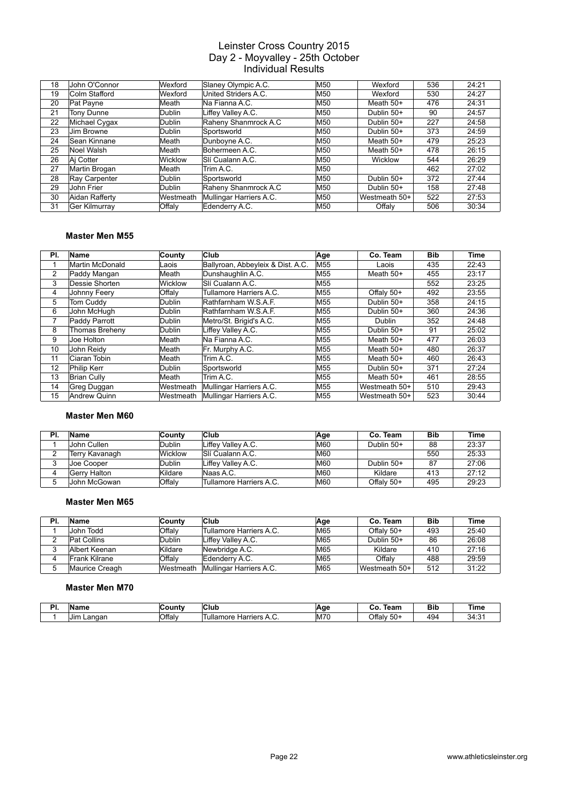| 18 | John O'Connor        | Wexford        | Slaney Olympic A.C.     | M50 | Wexford       | 536 | 24:21 |
|----|----------------------|----------------|-------------------------|-----|---------------|-----|-------|
| 19 | Colm Stafford        | Wexford        | United Striders A.C.    | M50 | Wexford       | 530 | 24:27 |
| 20 | Pat Payne            | lMeath         | Na Fianna A.C.          | M50 | Meath 50+     | 476 | 24:31 |
| 21 | <b>Tony Dunne</b>    | Dublin         | Liffey Valley A.C.      | M50 | Dublin 50+    | 90  | 24:57 |
| 22 | Michael Cygax        | Dublin         | Raheny Shanmrock A.C    | M50 | Dublin 50+    | 227 | 24:58 |
| 23 | Jim Browne           | Dublin         | Sportsworld             | M50 | Dublin 50+    | 373 | 24:59 |
| 24 | Sean Kinnane         | Meath          | Dunboyne A.C.           | M50 | Meath 50+     | 479 | 25:23 |
| 25 | Noel Walsh           | Meath          | Bohermeen A.C.          | M50 | Meath 50+     | 478 | 26:15 |
| 26 | Ai Cotter            | <b>Wicklow</b> | Slí Cualann A.C.        | M50 | Wicklow       | 544 | 26:29 |
| 27 | Martin Brogan        | lMeath         | Trim A.C.               | M50 |               | 462 | 27:02 |
| 28 | Ray Carpenter        | Dublin         | Sportsworld             | M50 | Dublin 50+    | 372 | 27:44 |
| 29 | John Frier           | Dublin         | Raheny Shanmrock A.C    | M50 | Dublin 50+    | 158 | 27:48 |
| 30 | Aidan Rafferty       | Westmeath      | Mullingar Harriers A.C. | M50 | Westmeath 50+ | 522 | 27:53 |
| 31 | <b>Ger Kilmurray</b> | Offaly         | Edenderry A.C.          | M50 | Offaly        | 506 | 30:34 |

#### **Master Men M55**

| PI. | Name                | County        | <b>Club</b>                       | Age             | Co. Team      | <b>Bib</b> | Time  |
|-----|---------------------|---------------|-----------------------------------|-----------------|---------------|------------|-------|
|     | Martin McDonald     | _aois         | Ballyroan, Abbeyleix & Dist. A.C. | M <sub>55</sub> | Laois         | 435        | 22:43 |
| 2   | Paddy Mangan        | Meath         | Dunshaughlin A.C.                 | M55             | Meath 50+     | 455        | 23:17 |
| 3   | Dessie Shorten      | Wicklow       | Slí Cualann A.C.                  | M55             |               | 552        | 23:25 |
| 4   | <b>Johnny Feery</b> | Offaly        | Tullamore Harriers A.C.           | M55             | Offaly 50+    | 492        | 23:55 |
| 5   | Tom Cuddv           | <b>Dublin</b> | Rathfarnham W.S.A.F.              | M55             | Dublin 50+    | 358        | 24:15 |
| 6   | John McHugh         | <b>Dublin</b> | Rathfarnham W.S.A.F.              | M55             | Dublin 50+    | 360        | 24:36 |
| 7   | Paddy Parrott       | <b>Dublin</b> | Metro/St. Brigid's A.C.           | M55             | Dublin        | 352        | 24:48 |
| 8   | Thomas Breheny      | <b>Dublin</b> | Liffey Valley A.C.                | M55             | Dublin 50+    | 91         | 25:02 |
| 9   | Joe Holton          | Meath         | Na Fianna A.C.                    | M55             | Meath $50+$   | 477        | 26:03 |
| 10  | John Reidy          | Meath         | Fr. Murphy A.C.                   | M55             | Meath $50+$   | 480        | 26:37 |
| 11  | Ciaran Tobin        | Meath         | Trim A.C.                         | M55             | Meath 50+     | 460        | 26:43 |
| 12  | Philip Kerr         | <b>Dublin</b> | Sportsworld                       | M55             | Dublin 50+    | 371        | 27:24 |
| 13  | <b>Brian Cully</b>  | Meath         | Trim A.C.                         | M55             | Meath $50+$   | 461        | 28:55 |
| 14  | Greg Duggan         | Westmeath     | Mullingar Harriers A.C.           | M55             | Westmeath 50+ | 510        | 29:43 |
| 15  | Andrew Quinn        | Westmeath     | Mullingar Harriers A.C.           | M55             | Westmeath 50+ | 523        | 30:44 |

#### **Master Men M60**

| PI. | Name            | ∣Countv       | Club                    | ∣Age       | Co. Team   | <b>Bib</b> | <b>Time</b> |
|-----|-----------------|---------------|-------------------------|------------|------------|------------|-------------|
|     | John Cullen     | <b>Dublin</b> | Liffev Vallev A.C.      | <b>M60</b> | Dublin 50+ | 88         | 23:37       |
|     | ⊺Terry Kavanagh | Wicklow       | ISIí Cualann A.C.       | <b>M60</b> |            | 550        | 25:33       |
|     | Joe Cooper      | Dublin        | Liffey Valley A.C.      | <b>M60</b> | Dublin 50+ | 87         | 27:06       |
|     | Gerry Halton    | Kildare       | Naas A.C.               | <b>M60</b> | Kildare    | 413        | 27:12       |
|     | John McGowan    | Offalv        | Tullamore Harriers A.C. | <b>M60</b> | Offaly 50+ | 495        | 29:23       |

#### **Master Men M65**

| PI. | Name           | County    | Club                    | ∣Age | Co. Team      | <b>Bib</b> | Time  |
|-----|----------------|-----------|-------------------------|------|---------------|------------|-------|
|     | John Todd      | Offaly    | Tullamore Harriers A.C. | M65  | Offaly 50+    | 493        | 25:40 |
|     | Pat Collins    | Dublin    | Liffey Valley A.C.      | IM65 | Dublin 50+    | 86         | 26:08 |
|     | Albert Keenan  | Kildare   | Newbridge A.C.          | IM65 | Kildare       | 410        | 27:16 |
|     | Frank Kilrane  | Offaly    | Edenderry A.C.          | M65  | Offalv        | 488        | 29:59 |
|     | Maurice Creagh | Westmeath | Mullingar Harriers A.C. | M65  | Westmeath 50+ | 512        | 31:22 |

#### **Master Men M70**

| D.<br> | ∣Name          | ∡ount∙ | <b>Club</b>                  | Aae        | Team<br>u       | <b>Bib</b><br>$\sim$ | <b>Time</b>                      |
|--------|----------------|--------|------------------------------|------------|-----------------|----------------------|----------------------------------|
|        | Langan<br>IJır | Offaly | ↑ Harriers A.C.<br>Tullamore | <b>M70</b> | Offalv<br>$50+$ | 494                  | ີ<br>$\sim$<br>ىن<br><b>F.L.</b> |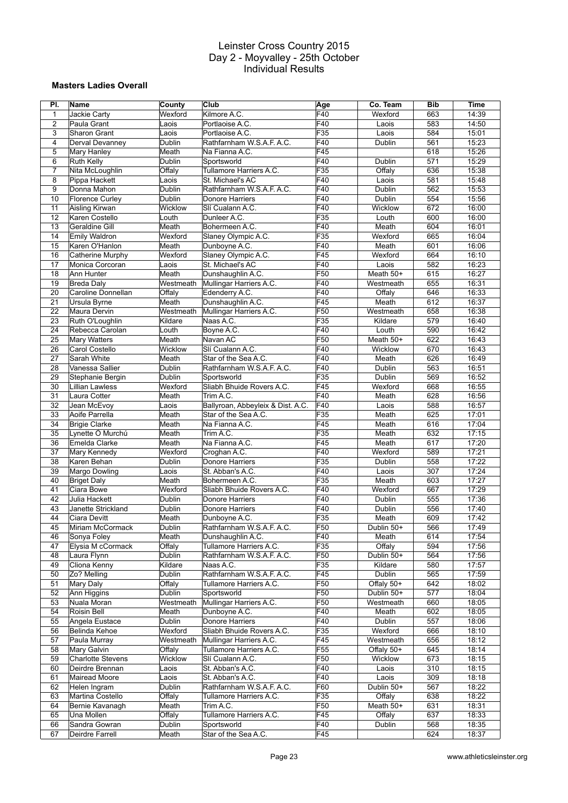#### **Masters Ladies Overall**

| PI.            | Name                     | County        | Club                              | Age              | Co. Team   | <b>Bib</b> | <b>Time</b> |
|----------------|--------------------------|---------------|-----------------------------------|------------------|------------|------------|-------------|
| $\mathbf{1}$   | Jackie Carty             | Wexford       | Kilmore A.C.                      | F40              | Wexford    | 663        | 14:39       |
| $\overline{2}$ | Paula Grant              | Laois         | Portlaoise A.C.                   | F40              | Laois      | 583        | 14:50       |
| 3              | Sharon Grant             | Laois         | Portlaoise A.C.                   | F35              | Laois      | 584        | 15:01       |
| 4              | Derval Devanney          | Dublin        | Rathfarnham W.S.A.F. A.C.         | F40              | Dublin     | 561        | 15:23       |
| 5              | Mary Hanley              | Meath         | Na Fianna A.C.                    | F45              |            | 618        | 15:26       |
| 6              | <b>Ruth Kelly</b>        | Dublin        | Sportsworld                       | F40              | Dublin     | 571        | 15:29       |
| $\overline{7}$ | Nita McLoughlin          | Offaly        | Tullamore Harriers A.C.           | F35              | Offaly     | 636        | 15:38       |
| 8              | Pippa Hackett            | Laois         | St. Michael's AC                  | F40              | Laois      | 581        | 15:48       |
| 9              | Donna Mahon              | Dublin        | Rathfarnham W.S.A.F. A.C.         | F40              | Dublin     | 562        | 15:53       |
| 10             | <b>Florence Curley</b>   | Dublin        | Donore Harriers                   | F40              | Dublin     | 554        | 15:56       |
| 11             | Aisling Kirwan           | Wicklow       | Slí Cualann A.C.                  | $\overline{F40}$ | Wicklow    | 672        | 16:00       |
| 12             | Karen Costello           | Louth         | Dunleer A.C.                      | F35              | Louth      | 600        | 16:00       |
| 13             | Geraldine Gill           | Meath         | Bohermeen A.C.                    | F40              | Meath      | 604        | 16:01       |
| 14             | Emily Waldron            | Wexford       | Slaney Olympic A.C.               | F35              | Wexford    | 665        | 16:04       |
| 15             | Karen O'Hanlon           | Meath         | Dunboyne A.C.                     | F40              | Meath      | 601        | 16:06       |
| 16             | Catherine Murphy         | Wexford       | Slaney Olympic A.C.               | F45              | Wexford    | 664        | 16:10       |
| 17             | Monica Corcoran          | Laois         | St. Michael's AC                  | F40              | Laois      | 582        | 16:23       |
| 18             | Ann Hunter               | Meath         | Dunshaughlin A.C.                 | F <sub>50</sub>  | Meath 50+  | 615        | 16:27       |
| 19             | Breda Daly               | Westmeath     | Mullingar Harriers A.C.           | F40              | Westmeath  | 655        | 16:31       |
| 20             | Caroline Donnellan       | Offaly        | Edenderry A.C.                    | F40              | Offaly     | 646        | 16:33       |
| 21             | Ursula Byrne             | Meath         | Dunshaughlin A.C.                 | F45              | Meath      | 612        | 16:37       |
| 22             | Maura Dervin             | Westmeath     | Mullingar Harriers A.C.           | F <sub>50</sub>  | Westmeath  | 658        | 16:38       |
| 23             | Ruth O'Loughlin          | Kildare       | Naas A.C.                         | F35              | Kildare    | 579        | 16:40       |
| 24             | Rebecca Carolan          | Louth         | Boyne A.C.                        | F40              | Louth      | 590        | 16:42       |
| 25             | <b>Mary Watters</b>      | Meath         | Navan AC                          | F50              | Meath 50+  | 622        | 16:43       |
| 26             | Carol Costello           | Wicklow       | Slí Cualann A.C.                  | F40              | Wicklow    | 670        | 16:43       |
| 27             | Sarah White              | Meath         | Star of the Sea A.C.              | F40              | Meath      | 626        | 16:49       |
| 28             | Vanessa Sallier          | Dublin        | Rathfarnham W.S.A.F. A.C.         | F40              | Dublin     | 563        | 16:51       |
| 29             | Stephanie Bergin         | Dublin        | Sportsworld                       | F35              | Dublin     | 569        | 16:52       |
| 30             | <b>Lillian Lawless</b>   | Wexford       | Sliabh Bhuide Rovers A.C.         | F45              | Wexford    | 668        | 16:55       |
| 31             | Laura Cotter             | Meath         | Trim A.C.                         | F40              | Meath      | 628        | 16:56       |
| 32             | Jean McEvoy              | Laois         | Ballyroan, Abbeyleix & Dist. A.C. | F40              | Laois      | 588        | 16:57       |
| 33             | Aoife Parrella           | Meath         | Star of the Sea A.C.              | F35              | Meath      | 625        | 17:01       |
| 34             | <b>Brigie Clarke</b>     | Meath         | Na Fianna A.C.                    | F45              | Meath      | 616        | 17:04       |
| 35             | Lynette Ó Murchú         | Meath         | Trim A.C.                         | F35              | Meath      | 632        | 17:15       |
| 36             | Emelda Clarke            | Meath         | Na Fianna A.C.                    | F45              | Meath      | 617        | 17:20       |
| 37             | Mary Kennedy             | Wexford       | Croghan A.C.                      | F40              | Wexford    | 589        | 17:21       |
| 38             | Karen Behan              | Dublin        | Donore Harriers                   | F35              | Dublin     | 558        | 17:22       |
| 39             | Margo Dowling            | Laois         | St. Abban's A.C.                  | F40              | Laois      | 307        | 17:24       |
| 40             | <b>Briget Daly</b>       | Meath         | Bohermeen A.C.                    | F35              | Meath      | 603        | 17:27       |
| 41             | Ciara Bowe               | Wexford       | Sliabh Bhuide Rovers A.C.         | F40              | Wexford    | 667        | 17:29       |
| 42             | Julia Hackett            | Dublin        | Donore Harriers                   | F40              | Dublin     | 555        | 17:36       |
| 43             | Janette Strickland       | Dublin        | Donore Harriers                   | F40              | Dublin     | 556        | 17:40       |
| 44             | Ciara Devitt             | Meath         | Dunboyne A.C.                     | F35              | Meath      | 609        | 17:42       |
| 45             | Miriam McCormack         | Dublin        | Rathfarnham W.S.A.F. A.C.         | F50              | Dublin 50+ | 566        | 17:49       |
| 46             | Sonya Foley              | Meath         | Dunshaughlin A.C.                 | F40              | Meath      | 614        | 17:54       |
| 47             | Elysia M cCormack        | Offaly        | Tullamore Harriers A.C.           | F35              | Offaly     | 594        | 17:56       |
| 48             | Laura Flynn              | <b>Dublin</b> | Rathfarnham W.S.A.F. A.C.         | F50              | Dublin 50+ | 564        | 17:56       |
| 49             | Cliona Kenny             | Kildare       | Naas A.C.                         | F35              | Kildare    | 580        | 17:57       |
| 50             | Zo? Melling              | Dublin        | Rathfarnham W.S.A.F.A.C.          | F45              | Dublin     | 565        | 17:59       |
| 51             | Mary Daly                | Offaly        | Tullamore Harriers A.C.           | F50              | Offaly 50+ | 642        | 18:02       |
| 52             | Ann Higgins              | <b>Dublin</b> | Sportsworld                       | F50              | Dublin 50+ | 577        | 18:04       |
| 53             | Nuala Moran              | Westmeath     | Mullingar Harriers A.C.           | F50              | Westmeath  | 660        | 18:05       |
| 54             | Roisin Bell              | Meath         | Dunboyne A.C.                     | F40              | Meath      | 602        | 18:05       |
| 55             | Angela Eustace           | <b>Dublin</b> | Donore Harriers                   | F40              | Dublin     | 557        | 18:06       |
| 56             | Belinda Kehoe            | Wexford       | Sliabh Bhuide Rovers A.C.         | F35              | Wexford    | 666        | 18:10       |
| 57             | Paula Murray             | Westmeath     | Mullingar Harriers A.C.           | F45              | Westmeath  | 656        | 18:12       |
| 58             | Mary Galvin              | Offaly        | Tullamore Harriers A.C.           | F55              | Offaly 50+ | 645        | 18:14       |
| 59             | <b>Charlotte Stevens</b> | Wicklow       | Slí Cualann A.C.                  | F50              | Wicklow    | 673        | 18:15       |
| 60             | Deirdre Brennan          | Laois         | St. Abban's A.C.                  | F40              | Laois      | 310        | 18:15       |
| 61             | Mairead Moore            | Laois         | St. Abban's A.C.                  | F40              | Laois      | 309        | 18:18       |
| 62             | Helen Ingram             | Dublin        | Rathfarnham W.S.A.F. A.C.         | F60              | Dublin 50+ | 567        | 18:22       |
| 63             | Martina Costello         | Offaly        | Tullamore Harriers A.C.           | F35              | Offaly     | 638        | 18:22       |
| 64             | Bernie Kavanagh          | Meath         | Trim A.C.                         | F50              | Meath 50+  | 631        | 18:31       |
| 65             | Una Mollen               | Offaly        | Tullamore Harriers A.C.           | F45              | Offaly     | 637        | 18:33       |
| 66             | Sandra Gowran            | Dublin        | Sportsworld                       | F40              | Dublin     | 568        | 18:35       |
| 67             | Deirdre Farrell          | Meath         | Star of the Sea A.C.              | F45              |            | 624        | 18:37       |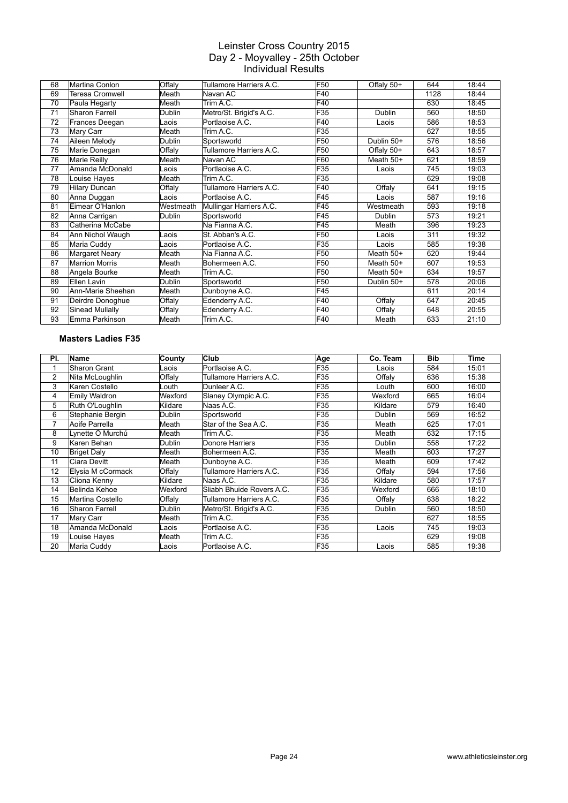| 68 | Martina Conlon        | Offaly    | Tullamore Harriers A.C. | F <sub>50</sub> | Offaly 50+    | 644  | 18:44 |
|----|-----------------------|-----------|-------------------------|-----------------|---------------|------|-------|
| 69 | Teresa Cromwell       | Meath     | Navan AC                | F40             |               | 1128 | 18:44 |
| 70 | Paula Hegarty         | Meath     | Trim A.C.               | F40             |               | 630  | 18:45 |
| 71 | <b>Sharon Farrell</b> | Dublin    | Metro/St. Brigid's A.C. | F35             | <b>Dublin</b> | 560  | 18:50 |
| 72 | Frances Deegan        | Laois     | Portlaoise A.C.         | F40             | Laois         | 586  | 18:53 |
| 73 | Mary Carr             | Meath     | Trim A.C.               | F35             |               | 627  | 18:55 |
| 74 | Aileen Melody         | Dublin    | Sportsworld             | F50             | Dublin 50+    | 576  | 18:56 |
| 75 | Marie Donegan         | Offaly    | Tullamore Harriers A.C. | F50             | Offaly 50+    | 643  | 18:57 |
| 76 | Marie Reilly          | Meath     | Navan AC                | F60             | Meath $50+$   | 621  | 18:59 |
| 77 | Amanda McDonald       | Laois     | Portlaoise A.C.         | F35             | Laois         | 745  | 19:03 |
| 78 | Louise Hayes          | Meath     | Trim A.C.               | F35             |               | 629  | 19:08 |
| 79 | <b>Hilary Duncan</b>  | Offaly    | Tullamore Harriers A.C. | F40             | Offaly        | 641  | 19:15 |
| 80 | Anna Duggan           | Laois     | Portlaoise A.C.         | F45             | Laois         | 587  | 19:16 |
| 81 | Eimear O'Hanlon       | Westmeath | Mullingar Harriers A.C. | F45             | Westmeath     | 593  | 19:18 |
| 82 | Anna Carrigan         | Dublin    | Sportsworld             | F45             | Dublin        | 573  | 19:21 |
| 83 | Catherina McCabe      |           | Na Fianna A.C.          | F45             | Meath         | 396  | 19:23 |
| 84 | Ann Nichol Waugh      | Laois     | St. Abban's A.C.        | F50             | Laois         | 311  | 19:32 |
| 85 | Maria Cuddy           | Laois     | Portlaoise A.C.         | F35             | Laois         | 585  | 19:38 |
| 86 | Margaret Neary        | Meath     | Na Fianna A.C.          | F50             | Meath $50+$   | 620  | 19:44 |
| 87 | <b>Marrion Morris</b> | Meath     | Bohermeen A.C.          | F50             | Meath $50+$   | 607  | 19:53 |
| 88 | Angela Bourke         | Meath     | Trim A.C.               | F50             | Meath $50+$   | 634  | 19:57 |
| 89 | Ellen Lavin           | Dublin    | Sportsworld             | F50             | Dublin 50+    | 578  | 20:06 |
| 90 | Ann-Marie Sheehan     | Meath     | Dunboyne A.C.           | F45             |               | 611  | 20:14 |
| 91 | Deirdre Donoghue      | Offaly    | Edenderry A.C.          | F40             | Offaly        | 647  | 20:45 |
| 92 | Sinead Mullally       | Offaly    | Edenderry A.C.          | F40             | Offaly        | 648  | 20:55 |
| 93 | Emma Parkinson        | Meath     | Trim A.C.               | F40             | Meath         | 633  | 21:10 |

#### **Masters Ladies F35**

| PI.            | <b>Name</b>           | County        | <b>Club</b>               | Age | Co. Team      | <b>Bib</b> | Time  |
|----------------|-----------------------|---------------|---------------------------|-----|---------------|------------|-------|
| 1              | Sharon Grant          | Laois         | Portlaoise A.C.           | F35 | Laois         | 584        | 15:01 |
| $\overline{2}$ | Nita McLoughlin       | Offaly        | Tullamore Harriers A.C.   | F35 | Offaly        | 636        | 15:38 |
| 3              | Karen Costello        | Louth         | Dunleer A.C.              | F35 | Louth         | 600        | 16:00 |
| 4              | Emily Waldron         | Wexford       | Slaney Olympic A.C.       | F35 | Wexford       | 665        | 16:04 |
| 5              | Ruth O'Loughlin       | Kildare       | Naas A.C.                 | F35 | Kildare       | 579        | 16:40 |
| 6              | Stephanie Bergin      | <b>Dublin</b> | Sportsworld               | F35 | Dublin        | 569        | 16:52 |
| 7              | Aoife Parrella        | Meath         | Star of the Sea A.C.      | F35 | Meath         | 625        | 17:01 |
| 8              | Lynette Ó Murchú      | Meath         | Trim A.C.                 | F35 | Meath         | 632        | 17:15 |
| 9              | Karen Behan           | Dublin        | Donore Harriers           | F35 | Dublin        | 558        | 17:22 |
| 10             | <b>Briget Daly</b>    | Meath         | Bohermeen A.C.            | F35 | Meath         | 603        | 17:27 |
| 11             | Ciara Devitt          | Meath         | Dunboyne A.C.             | F35 | Meath         | 609        | 17:42 |
| 12             | Elysia M cCormack     | Offaly        | Tullamore Harriers A.C.   | F35 | Offaly        | 594        | 17:56 |
| 13             | Cliona Kenny          | Kildare       | Naas A.C.                 | F35 | Kildare       | 580        | 17:57 |
| 14             | Belinda Kehoe         | Wexford       | Sliabh Bhuide Rovers A.C. | F35 | Wexford       | 666        | 18:10 |
| 15             | Martina Costello      | Offaly        | Tullamore Harriers A.C.   | F35 | Offaly        | 638        | 18:22 |
| 16             | <b>Sharon Farrell</b> | Dublin        | Metro/St. Brigid's A.C.   | F35 | <b>Dublin</b> | 560        | 18:50 |
| 17             | Mary Carr             | Meath         | Trim A.C.                 | F35 |               | 627        | 18:55 |
| 18             | Amanda McDonald       | Laois         | Portlaoise A.C.           | F35 | Laois         | 745        | 19:03 |
| 19             | Louise Haves          | Meath         | Trim A.C.                 | F35 |               | 629        | 19:08 |
| 20             | Maria Cuddy           | Laois         | Portlaoise A.C.           | F35 | Laois         | 585        | 19:38 |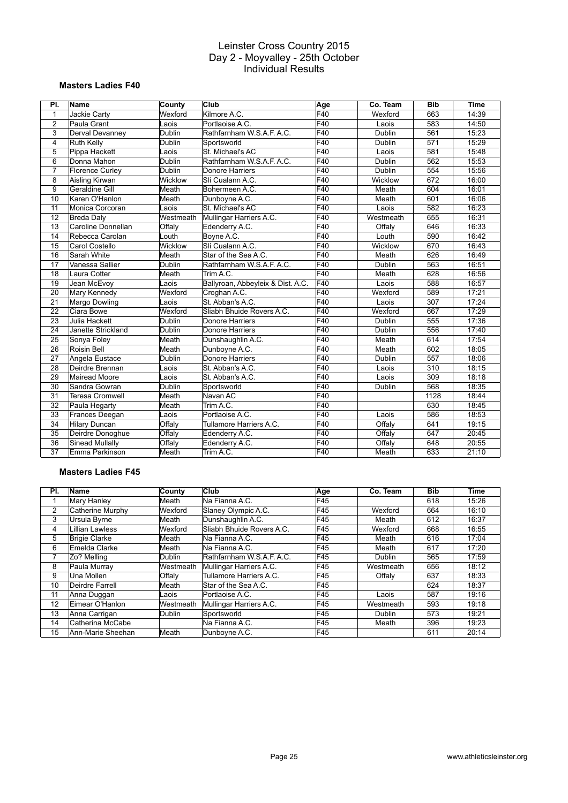#### **Masters Ladies F40**

| PI.            | Name                   | County        | Club                              | Age | Co. Team  | <b>Bib</b> | <b>Time</b> |
|----------------|------------------------|---------------|-----------------------------------|-----|-----------|------------|-------------|
| 1              | Jackie Carty           | Wexford       | Kilmore A.C.                      | F40 | Wexford   | 663        | 14:39       |
| $\overline{2}$ | Paula Grant            | Laois         | Portlaoise A.C.                   | F40 | Laois     | 583        | 14:50       |
| 3              | Derval Devanney        | Dublin        | Rathfarnham W.S.A.F. A.C.         | F40 | Dublin    | 561        | 15:23       |
| $\overline{4}$ | <b>Ruth Kelly</b>      | Dublin        | Sportsworld                       | F40 | Dublin    | 571        | 15:29       |
| 5              | Pippa Hackett          | Laois         | St. Michael's AC                  | F40 | Laois     | 581        | 15:48       |
| 6              | Donna Mahon            | <b>Dublin</b> | Rathfarnham W.S.A.F. A.C.         | F40 | Dublin    | 562        | 15:53       |
| $\overline{7}$ | <b>Florence Curley</b> | Dublin        | Donore Harriers                   | F40 | Dublin    | 554        | 15:56       |
| 8              | Aisling Kirwan         | Wicklow       | Slí Cualann A.C.                  | F40 | Wicklow   | 672        | 16:00       |
| 9              | Geraldine Gill         | Meath         | Bohermeen A.C.                    | F40 | Meath     | 604        | 16:01       |
| 10             | Karen O'Hanlon         | Meath         | Dunboyne A.C.                     | F40 | Meath     | 601        | 16:06       |
| 11             | Monica Corcoran        | Laois         | St. Michael's AC                  | F40 | Laois     | 582        | 16:23       |
| 12             | <b>Breda Daly</b>      | Westmeath     | Mullingar Harriers A.C.           | F40 | Westmeath | 655        | 16:31       |
| 13             | Caroline Donnellan     | Offaly        | Edenderry A.C.                    | F40 | Offaly    | 646        | 16:33       |
| 14             | Rebecca Carolan        | Louth         | Boyne A.C.                        | F40 | Louth     | 590        | 16:42       |
| 15             | Carol Costello         | Wicklow       | Slí Cualann A.C.                  | F40 | Wicklow   | 670        | 16:43       |
| 16             | Sarah White            | Meath         | Star of the Sea A.C.              | F40 | Meath     | 626        | 16:49       |
| 17             | Vanessa Sallier        | <b>Dublin</b> | Rathfarnham W.S.A.F. A.C.         | F40 | Dublin    | 563        | 16:51       |
| 18             | Laura Cotter           | Meath         | Trim A.C.                         | F40 | Meath     | 628        | 16:56       |
| 19             | Jean McEvoy            | Laois         | Ballyroan, Abbeyleix & Dist. A.C. | F40 | Laois     | 588        | 16:57       |
| 20             | Mary Kennedy           | Wexford       | Croghan A.C.                      | F40 | Wexford   | 589        | 17:21       |
| 21             | Margo Dowling          | Laois         | St. Abban's A.C.                  | F40 | Laois     | 307        | 17:24       |
| 22             | Ciara Bowe             | Wexford       | Sliabh Bhuide Rovers A.C.         | F40 | Wexford   | 667        | 17:29       |
| 23             | Julia Hackett          | Dublin        | Donore Harriers                   | F40 | Dublin    | 555        | 17:36       |
| 24             | Janette Strickland     | Dublin        | Donore Harriers                   | F40 | Dublin    | 556        | 17:40       |
| 25             | Sonya Foley            | Meath         | Dunshaughlin A.C.                 | F40 | Meath     | 614        | 17:54       |
| 26             | <b>Roisin Bell</b>     | Meath         | Dunboyne A.C.                     | F40 | Meath     | 602        | 18:05       |
| 27             | Angela Eustace         | Dublin        | Donore Harriers                   | F40 | Dublin    | 557        | 18:06       |
| 28             | Deirdre Brennan        | Laois         | St. Abban's A.C.                  | F40 | Laois     | 310        | 18:15       |
| 29             | <b>Mairead Moore</b>   | Laois         | St. Abban's A.C.                  | F40 | Laois     | 309        | 18:18       |
| 30             | Sandra Gowran          | Dublin        | Sportsworld                       | F40 | Dublin    | 568        | 18:35       |
| 31             | <b>Teresa Cromwell</b> | Meath         | Navan AC                          | F40 |           | 1128       | 18:44       |
| 32             | Paula Hegarty          | Meath         | Trim A.C.                         | F40 |           | 630        | 18:45       |
| 33             | Frances Deegan         | Laois         | Portlaoise A.C.                   | F40 | Laois     | 586        | 18:53       |
| 34             | <b>Hilary Duncan</b>   | Offaly        | Tullamore Harriers A.C.           | F40 | Offaly    | 641        | 19:15       |
| 35             | Deirdre Donoghue       | Offaly        | Edenderry A.C.                    | F40 | Offaly    | 647        | 20:45       |
| 36             | <b>Sinead Mullally</b> | Offaly        | Edenderry A.C.                    | F40 | Offaly    | 648        | 20:55       |
| 37             | Emma Parkinson         | Meath         | Trim A.C.                         | F40 | Meath     | 633        | 21:10       |

#### **Masters Ladies F45**

| PI. | Name                 | <b>County</b>    | Club                      | Age | Co. Team  | <b>Bib</b> | Time  |
|-----|----------------------|------------------|---------------------------|-----|-----------|------------|-------|
|     | Mary Hanley          | lMeath           | Na Fianna A.C.            | F45 |           | 618        | 15:26 |
| 2   | Catherine Murphy     | Wexford          | Slaney Olympic A.C.       | F45 | Wexford   | 664        | 16:10 |
| 3   | Ursula Byrne         | Meath            | Dunshaughlin A.C.         | F45 | Meath     | 612        | 16:37 |
| 4   | Lillian Lawless      | Wexford          | Sliabh Bhuide Rovers A.C. | F45 | Wexford   | 668        | 16:55 |
| 5   | <b>Brigie Clarke</b> | Meath            | Na Fianna A.C.            | F45 | Meath     | 616        | 17:04 |
| 6   | Emelda Clarke        | Meath            | Na Fianna A.C.            | F45 | Meath     | 617        | 17:20 |
| 7   | Zo? Melling          | Dublin           | Rathfarnham W.S.A.F. A.C. | F45 | Dublin    | 565        | 17:59 |
| 8   | Paula Murray         | Westmeath        | Mullingar Harriers A.C.   | F45 | Westmeath | 656        | 18:12 |
| 9   | Una Mollen           | Offaly           | Tullamore Harriers A.C.   | F45 | Offaly    | 637        | 18:33 |
| 10  | Deirdre Farrell      | Meath            | Star of the Sea A.C.      | F45 |           | 624        | 18:37 |
| 11  | Anna Duggan          | Laois            | Portlaoise A.C.           | F45 | Laois     | 587        | 19:16 |
| 12  | Eimear O'Hanlon      | <b>Westmeath</b> | Mullingar Harriers A.C.   | F45 | Westmeath | 593        | 19:18 |
| 13  | Anna Carrigan        | Dublin           | Sportsworld               | F45 | Dublin    | 573        | 19:21 |
| 14  | Catherina McCabe     |                  | Na Fianna A.C.            | F45 | Meath     | 396        | 19:23 |
| 15  | Ann-Marie Sheehan    | Meath            | Dunboyne A.C.             | F45 |           | 611        | 20:14 |